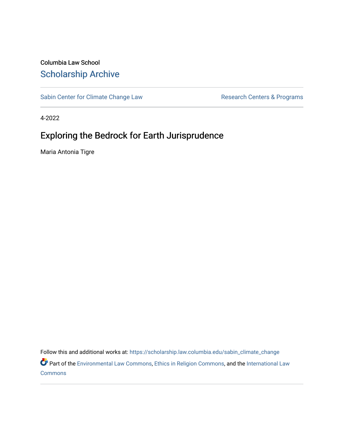## Columbia Law School [Scholarship Archive](https://scholarship.law.columbia.edu/)

[Sabin Center for Climate Change Law](https://scholarship.law.columbia.edu/sabin_climate_change) Research Centers & Programs

4-2022

# Exploring the Bedrock for Earth Jurisprudence

Maria Antonia Tigre

Follow this and additional works at: [https://scholarship.law.columbia.edu/sabin\\_climate\\_change](https://scholarship.law.columbia.edu/sabin_climate_change?utm_source=scholarship.law.columbia.edu%2Fsabin_climate_change%2F188&utm_medium=PDF&utm_campaign=PDFCoverPages) 

Part of the [Environmental Law Commons](http://network.bepress.com/hgg/discipline/599?utm_source=scholarship.law.columbia.edu%2Fsabin_climate_change%2F188&utm_medium=PDF&utm_campaign=PDFCoverPages), [Ethics in Religion Commons](http://network.bepress.com/hgg/discipline/541?utm_source=scholarship.law.columbia.edu%2Fsabin_climate_change%2F188&utm_medium=PDF&utm_campaign=PDFCoverPages), and the [International Law](http://network.bepress.com/hgg/discipline/609?utm_source=scholarship.law.columbia.edu%2Fsabin_climate_change%2F188&utm_medium=PDF&utm_campaign=PDFCoverPages)  **[Commons](http://network.bepress.com/hgg/discipline/609?utm_source=scholarship.law.columbia.edu%2Fsabin_climate_change%2F188&utm_medium=PDF&utm_campaign=PDFCoverPages)**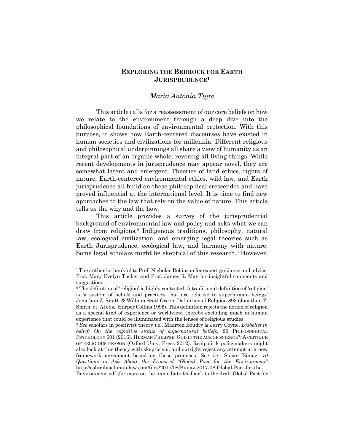## **EXPLORING THE BEDROCK FOR EARTH JURISPRUDENCE1**

## *Maria Antonia Tigre*

This article calls for a reassessment of our core beliefs on how we relate to the environment through a deep dive into the philosophical foundations of environmental protection. With this purpose, it shows how Earth-centered discourses have existed in human societies and civilizations for millennia. Different religious and philosophical underpinnings all share a view of humanity as an integral part of an organic whole, revering all living things. While recent developments in jurisprudence may appear novel, they are somewhat latent and emergent. Theories of land ethics, rights of nature, Earth-centered environmental ethics, wild law, and Earth jurisprudence all build on these philosophical crescendos and have proved influential at the international level. It is time to find new approaches to the law that rely on the value of nature. This article tells us the why and the how.

This article provides a survey of the jurisprudential background of environmental law and policy and asks what we can draw from religions,2 Indigenous traditions, philosophy, natural law, ecological civilization, and emerging legal theories such as Earth Jurisprudence, ecological law, and harmony with nature. Some legal scholars might be skeptical of this research.3 However,

<sup>&</sup>lt;sup>1</sup> The author is thankful to Prof. Nicholas Robinson for expert guidance and advice, Prof. Mary Evelyn Tucker and Prof. James R. May for insightful comments and suggestions.

<sup>2</sup> The definition of 'religion' is highly contested. A traditional definition of 'religion' is 'a system of beliefs and practices that are relative to superhuman beings' Jonathan Z. Smith & William Scott Green, Definition of Religion 893 (Jonathan Z. Smith, et. Al eds., Harper Collins 1995). This definition rejects the notion of religion as a special kind of experience or worldview, thereby excluding much in human experience that could be illuminated with the lenses of religious studies.

<sup>3</sup> *See* scholars in positivist theory i.e., Maarten Boudry & Jerry Coyne, *Disbelief in belief:* On the cognitive status of supernatural beliefs, 29 PHILOSOPHICAL PSYCHOLOGY 601 (2016). HERMAN PHILIPSE, GOD IN THE AGE OF SCIENCE?: A CRITIQUE OF RELIGIOUS REASON (Oxford Univ. Press 2012). Realpolitik policymakers might also look at this theory with skepticism, and outright reject any attempt at a new framework agreement based on these premises. See i.e., Susan Biniaz, *10 Questions to Ask About the Proposed "Global Pact for the Environment"* http://columbiaclimatelaw.com/files/2017/08/Biniaz-2017-08-Global-Pact-for-the-

Environment.pdf (for more on the immediate feedback to the draft Global Pact for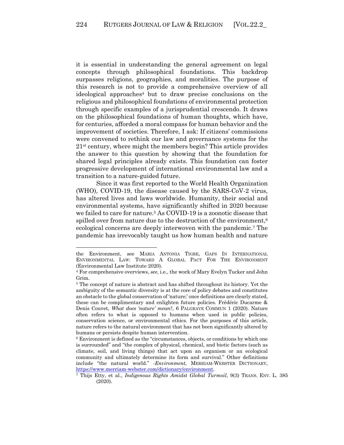it is essential in understanding the general agreement on legal concepts through philosophical foundations. This backdrop surpasses religions, geographies, and moralities. The purpose of this research is not to provide a comprehensive overview of all ideological approaches<sup>4</sup> but to draw precise conclusions on the religious and philosophical foundations of environmental protection through specific examples of a jurisprudential crescendo. It draws on the philosophical foundations of human thoughts, which have, for centuries, afforded a moral compass for human behavior and the improvement of societies. Therefore, I ask: If citizens' commissions were convened to rethink our law and governance systems for the  $21<sup>st</sup>$  century, where might the members begin? This article provides the answer to this question by showing that the foundation for shared legal principles already exists. This foundation can foster progressive development of international environmental law and a transition to a nature-guided future.

Since it was first reported to the World Health Organization (WHO), COVID-19, the disease caused by the SARS-CoV-2 virus, has altered lives and laws worldwide. Humanity, their social and environmental systems, have significantly shifted in 2020 because we failed to care for nature.5 As COVID-19 is a zoonotic disease that spilled over from nature due to the destruction of the environment, $6$ ecological concerns are deeply interwoven with the pandemic.7 The pandemic has irrevocably taught us how human health and nature

the Environment, see MARIA ANTONIA TIGRE, GAPS IN INTERNATIONAL ENVIRONMENTAL LAW: TOWARD A GLOBAL PACT FOR THE ENVIRONMENT (Environmental Law Institute 2020).

<sup>4</sup> For comprehensive overviews, *see*, i.e., the work of Mary Evelyn Tucker and John Grim.

<sup>5</sup> The concept of nature is abstract and has shifted throughout its history. Yet the ambiguity of the semantic diversity is at the core of policy debates and constitutes an obstacle to the global conservation of 'nature;' once definitions are clearly stated, these can be complimentary and enlighten future policies. Frédéric Ducarme & Denis Couvet, *What does 'nature' mean?*, 6 PALGRAVE COMMUN 1 (2020). Nature often refers to what is opposed to humans when used in public policies, conservation science, or environmental ethics. For the purposes of this article, nature refers to the natural environment that has not been significantly altered by humans or persists despite human intervention.<br><sup>6</sup> Environment is defined as the "circumstances, objects, or conditions by which one

is surrounded" and "the complex of physical, chemical, and biotic factors (such as climate, soil, and living things) that act upon an organism or an ecological community and ultimately determine its form and survival." Other definitions include "the natural world." -*Environment,* MERRIAM-WEBSTER DICTIONARY,

https://www.merriam-webster.com/dictionary/environment. 7 Thijs Etty, et al., *Indigenous Rights Amidst Global Turmoil*, 9(3) TRANS. ENV. L. <sup>385</sup> (2020).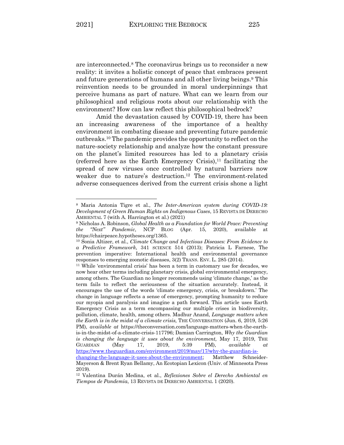are interconnected.8 The coronavirus brings us to reconsider a new reality: it invites a holistic concept of peace that embraces present and future generations of humans and all other living beings.9 This reinvention needs to be grounded in moral underpinnings that perceive humans as part of nature. What can we learn from our philosophical and religious roots about our relationship with the environment? How can law reflect this philosophical bedrock?

Amid the devastation caused by COVID-19, there has been an increasing awareness of the importance of a healthy environment in combating disease and preventing future pandemic outbreaks.10 The pandemic provides the opportunity to reflect on the nature-society relationship and analyze how the constant pressure on the planet's limited resources has led to a planetary crisis (referred here as the Earth Emergency Crisis), <sup>11</sup> facilitating the spread of new viruses once controlled by natural barriers now weaker due to nature's destruction. <sup>12</sup> The environment-related adverse consequences derived from the current crisis shone a light

<sup>8</sup> Maria Antonia Tigre et al., *The Inter-American system during COVID-19: Development of Green Human Rights on Indigenous Cases*, 15 REVISTA DE DERECHO AMBIENTAL 7 (with A. Harrington et al.) (2021)

<sup>9</sup> Nicholas A. Robinson, *Global Health as a Foundation for World Peace: Preventing the "Next" Pandemic*, NCP BLOG (Apr. 15, 2020), available at https://chairpeace.hypotheses.org/1365. 10 Sonia Altizer, et al., *Climate Change and Infectious Diseases: From Evidence to* 

*a Predictive Framework*, 341 SCIENCE 514 (2013); Patricia L Farnese, The prevention imperative: International health and environmental governance responses to emerging zoonotic diseases, 3(2) TRANS. ENV. L. 285 (2014).

<sup>11</sup> While 'environmental crisis' has been a term in customary use for decades, we now hear other terms including planetary crisis, global environmental emergency, among others. The Guardian no longer recommends using 'climate change,' as the term fails to reflect the seriousness of the situation accurately. Instead, it encourages the use of the words 'climate emergency, crisis, or breakdown.' The change in language reflects a sense of emergency, prompting humanity to reduce our myopia and paralysis and imagine a path forward. This article uses Earth Emergency Crisis as a term encompassing our multiple crises in biodiversity, pollution, climate, health, among others. Madhur Anand, *Language matters when the Earth is in the midst of a climate crisis,* THE CONVERSATION (Jun. 6, 2019, 5:26 PM), *available at* https://theconversation.com/language-matters-when-the-earthis-in-the-midst-of-a-climate-crisis-117796; Damian Carrington, *Why the Guardian is changing the language it uses about the environment,* May 17, 2019, THE GUARDIAN (May 17, 2019, 5:39 PM), *available at* https://www.theguardian.com/environment/2019/may/17/why-the-guardian-ischanging-the-language-it-uses-about-the-environment; Matthew Schneider-Mayerson & Brent Ryan Bellamy, An Ecotopian Lexicon (Univ. of Minnesota Press 2019).

<sup>12</sup> Valentina Durán Medina, et al., *Reflexiones Sobre el Derecho Ambiental en Tiempos de Pandemia*, 13 REVISTA DE DERECHO AMBIENTAL 1 (2020).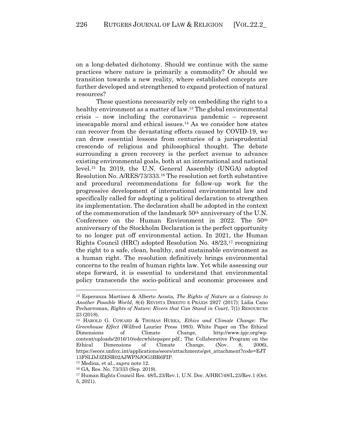on a long-debated dichotomy. Should we continue with the same practices where nature is primarily a commodity? Or should we transition towards a new reality, where established concepts are further developed and strengthened to expand protection of natural resources?

These questions necessarily rely on embedding the right to a healthy environment as a matter of law.<sup>13</sup> The global environmental crisis – now including the coronavirus pandemic – represent inescapable moral and ethical issues.14 As we consider how states can recover from the devastating effects caused by COVID-19, we can draw essential lessons from centuries of a jurisprudential crescendo of religious and philosophical thought. The debate surrounding a green recovery is the perfect avenue to advance existing environmental goals, both at an international and national level.15 In 2019, the U.N. General Assembly (UNGA) adopted Resolution No. A/RES/73/333.16 The resolution set forth substantive and procedural recommendations for follow-up work for the progressive development of international environmental law and specifically called for adopting a political declaration to strengthen its implementation. The declaration shall be adopted in the context of the commemoration of the landmark 50th anniversary of the U.N. Conference on the Human Environment in 2022. The 50th anniversary of the Stockholm Declaration is the perfect opportunity to no longer put off environmental action. In 2021, the Human Rights Council (HRC) adopted Resolution No. 48/23,17 recognizing the right to a safe, clean, healthy, and sustainable environment as a human right. The resolution definitively brings environmental concerns to the realm of human rights law. Yet while assessing our steps forward, it is essential to understand that environmental policy transcends the socio-political and economic processes and

<sup>13</sup> Esperanza Martínez & Alberto Acosta, *The Rights of Nature as a Gateway to Another Possible World*, 8(4) REVISTA DIREITO E PRÁXIS 2927 (2017); Lidia Cano Pecharroman, *Rights of Nature: Rivers that Can Stand in Court*, 7(1) RESOURCES 23 (2018).

<sup>14</sup> HAROLD G. COWARD & THOMAS HURKA, *Ethics and Climate Change: The Greenhouse Effect* (Wilfred Laurier Press 1993). White Paper on The Ethical Dimensions of Climate Change, http://www.ipjc.org/wpcontent/uploads/2016/10/edccwhitepaper.pdf.; The Collaborative Program on the Ethical Dimensions of Climate Change. (Nov. 8, 2006), https://seors.unfccc.int/applications/seors/attachments/get\_attachment?code=EJT 13FSLDJ3ZESR02AJWPNJOG3BR6FIP.

<sup>15</sup> Medina, et al., *supra* note 12.

<sup>16</sup> GA, Res. No. 73/333 (Sep. 2019).

<sup>17</sup> Human Rights Council Res. 48/L.23/Rev.1, U.N. Doc. A/HRC/48/L.23/Rev.1 (Oct. 5, 2021).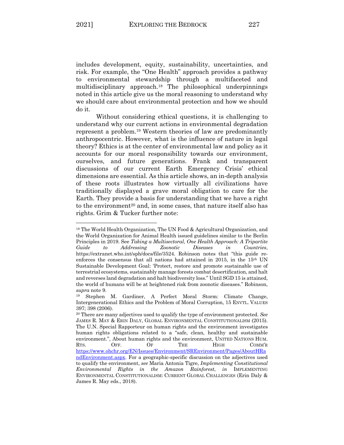includes development, equity, sustainability, uncertainties, and risk. For example, the "One Health" approach provides a pathway to environmental stewardship through a multifaceted and multidisciplinary approach.18 The philosophical underpinnings noted in this article give us the moral reasoning to understand why we should care about environmental protection and how we should do it.

Without considering ethical questions, it is challenging to understand why our current actions in environmental degradation represent a problem.19 Western theories of law are predominantly anthropocentric. However, what is the influence of nature in legal theory? Ethics is at the center of environmental law and policy as it accounts for our moral responsibility towards our environment, ourselves, and future generations. Frank and transparent discussions of our current Earth Emergency Crisis' ethical dimensions are essential. As this article shows, an in-depth analysis of these roots illustrates how virtually all civilizations have traditionally displayed a grave moral obligation to care for the Earth. They provide a basis for understanding that we have a right to the environment<sup>20</sup> and, in some cases, that nature itself also has rights. Grim & Tucker further note:

<sup>18</sup> The World Health Organization, The UN Food & Agricultural Organization, and the World Organization for Animal Health issued guidelines similar to the Berlin Principles in 2019. See *Taking a Multisectoral, One Health Approach: A Tripartite Guide to Addressing Zoonotic Diseases in Countries*, https://extranet.who.int/sph/docs/file/3524. Robinson notes that "this guide reenforces the consensus that all nations had attained in 2015, in the 15th UN Sustainable Development Goal: 'Protect, restore and promote sustainable use of terrestrial ecosystems, sustainably manage forests combat desertification, and halt and reverses land degradation and halt biodiversity loss." Until SGD 15 is attained, the world of humans will be at heightened risk from zoonotic diseases." Robinson, *supra* note 9. 19 Stephen M. Gardiner, A Perfect Moral Storm: Climate Change,

Intergenerational Ethics and the Problem of Moral Corruption, 15 ENVTL. VALUES 397; 398 (2006).

<sup>20</sup> There are many adjectives used to qualify the type of environment protected. *See* JAMES R. MAY & ERIN DALY, GLOBAL ENVIRONMENTAL CONSTITUTIONALISM (2015). The U.N. Special Rapporteur on human rights and the environment investigates human rights obligations related to a "safe, clean, healthy and sustainable environment.", About human rights and the environment, UNITED NATIONS HUM. RTS. OFF. OF THE HIGH COMM'R https://www.ohchr.org/EN/Issues/Environment/SREnvironment/Pages/AboutHRa ndEnvironment.aspx. For a geographic-specific discussion on the adjectives used to qualify the environment, *see* Maria Antonia Tigre, *Implementing Constitutional Environmental Rights in the Amazon Rainforest*, *in* IMPLEMENTING ENVIRONMENTAL CONSTITUTIONALISM: CURRENT GLOBAL CHALLENGES (Erin Daly & James R. May eds., 2018).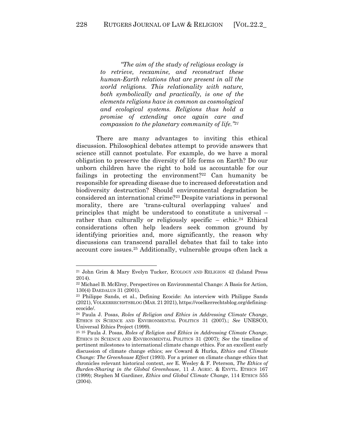*"The aim of the study of religious ecology is to retrieve, reexamine, and reconstruct these human-Earth relations that are present in all the world religions. This relationality with nature, both symbolically and practically, is one of the elements religions have in common as cosmological and ecological systems. Religions thus hold a promise of extending once again care and compassion to the planetary community of life."21*

There are many advantages to inviting this ethical discussion. Philosophical debates attempt to provide answers that science still cannot postulate. For example, do we have a moral obligation to preserve the diversity of life forms on Earth? Do our unborn children have the right to hold us accountable for our failings in protecting the environment?<sup>22</sup> Can humanity be responsible for spreading disease due to increased deforestation and biodiversity destruction? Should environmental degradation be considered an international crime?23 Despite variations in personal morality, there are 'trans-cultural overlapping values' and principles that might be understood to constitute a universal – rather than culturally or religiously specific – ethic.<sup>24</sup> Ethical considerations often help leaders seek common ground by identifying priorities and, more significantly, the reason why discussions can transcend parallel debates that fail to take into account core issues.25 Additionally, vulnerable groups often lack a

<sup>21</sup> John Grim & Mary Evelyn Tucker, ECOLOGY AND RELIGION 42 (Island Press 2014).

<sup>22</sup> Michael B. McElroy, Perspectives on Environmental Change: A Basis for Action, 130(4) DAEDALUS 31 (2001).

<sup>23</sup> Philippe Sands, et al., Defining Ecocide: An interview with Philippe Sands (2021), VOLKERRECHSTSBLOG (MAR. 21 2021), https://voelkerrechtsblog.org/definingecocide/. 24 Paula J. Posas, *Roles of Religion and Ethics in Addressing Climate Change*,

ETHICS IN SCIENCE AND ENVIRONMENTAL POLITICS 31 (2007).; *See* UNESCO, Universal Ethics Project (1999).

<sup>25</sup> <sup>25</sup> Paula J. Posas, *Roles of Religion and Ethics in Addressing Climate Change*, ETHICS IN SCIENCE AND ENVIRONMENTAL POLITICS 31 (2007); *See* the timeline of pertinent milestones to international climate change ethics. For an excellent early discussion of climate change ethics; *see* Coward & Hurka, *Ethics and Climate Change: The Greenhouse Effect* (1993). For a primer on climate change ethics that chronicles relevant historical context, *see* E. Wesley & F. Peterson, *The Ethics of Burden-Sharing in the Global Greenhouse*, 11 J. AGRIC. & ENVTL. ETHICS 167 (1999); Stephen M Gardiner, *Ethics and Global Climate Change*, 114 ETHICS 555 (2004).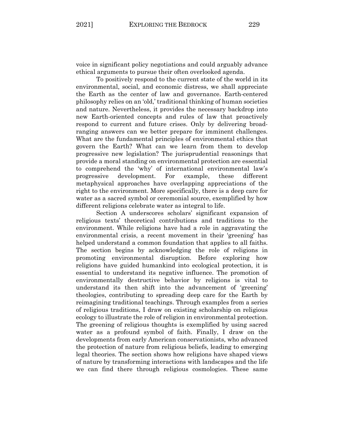voice in significant policy negotiations and could arguably advance ethical arguments to pursue their often overlooked agenda.

To positively respond to the current state of the world in its environmental, social, and economic distress, we shall appreciate the Earth as the center of law and governance. Earth-centered philosophy relies on an 'old,' traditional thinking of human societies and nature. Nevertheless, it provides the necessary backdrop into new Earth-oriented concepts and rules of law that proactively respond to current and future crises. Only by delivering broadranging answers can we better prepare for imminent challenges. What are the fundamental principles of environmental ethics that govern the Earth? What can we learn from them to develop progressive new legislation? The jurisprudential reasonings that provide a moral standing on environmental protection are essential to comprehend the 'why' of international environmental law's progressive development. For example, these different metaphysical approaches have overlapping appreciations of the right to the environment. More specifically, there is a deep care for water as a sacred symbol or ceremonial source, exemplified by how different religions celebrate water as integral to life.

Section A underscores scholars' significant expansion of religious texts' theoretical contributions and traditions to the environment. While religions have had a role in aggravating the environmental crisis, a recent movement in their 'greening' has helped understand a common foundation that applies to all faiths. The section begins by acknowledging the role of religions in promoting environmental disruption. Before exploring how religions have guided humankind into ecological protection, it is essential to understand its negative influence. The promotion of environmentally destructive behavior by religions is vital to understand its then shift into the advancement of 'greening' theologies, contributing to spreading deep care for the Earth by reimagining traditional teachings. Through examples from a series of religious traditions, I draw on existing scholarship on religious ecology to illustrate the role of religion in environmental protection. The greening of religious thoughts is exemplified by using sacred water as a profound symbol of faith. Finally, I draw on the developments from early American conservationists, who advanced the protection of nature from religious beliefs, leading to emerging legal theories. The section shows how religions have shaped views of nature by transforming interactions with landscapes and the life we can find there through religious cosmologies. These same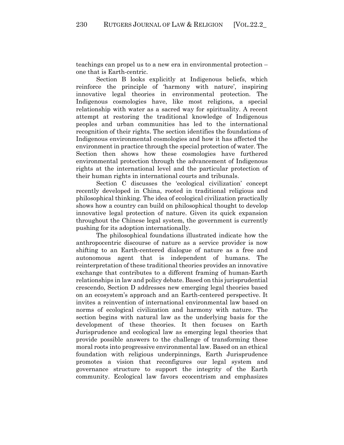teachings can propel us to a new era in environmental protection – one that is Earth-centric.

Section B looks explicitly at Indigenous beliefs, which reinforce the principle of 'harmony with nature', inspiring innovative legal theories in environmental protection. The Indigenous cosmologies have, like most religions, a special relationship with water as a sacred way for spirituality. A recent attempt at restoring the traditional knowledge of Indigenous peoples and urban communities has led to the international recognition of their rights. The section identifies the foundations of Indigenous environmental cosmologies and how it has affected the environment in practice through the special protection of water. The Section then shows how these cosmologies have furthered environmental protection through the advancement of Indigenous rights at the international level and the particular protection of their human rights in international courts and tribunals.

Section C discusses the 'ecological civilization' concept recently developed in China, rooted in traditional religious and philosophical thinking. The idea of ecological civilization practically shows how a country can build on philosophical thought to develop innovative legal protection of nature. Given its quick expansion throughout the Chinese legal system, the government is currently pushing for its adoption internationally.

The philosophical foundations illustrated indicate how the anthropocentric discourse of nature as a service provider is now shifting to an Earth-centered dialogue of nature as a free and autonomous agent that is independent of humans. The reinterpretation of these traditional theories provides an innovative exchange that contributes to a different framing of human-Earth relationships in law and policy debate. Based on this jurisprudential crescendo, Section D addresses new emerging legal theories based on an ecosystem's approach and an Earth-centered perspective. It invites a reinvention of international environmental law based on norms of ecological civilization and harmony with nature. The section begins with natural law as the underlying basis for the development of these theories. It then focuses on Earth Jurisprudence and ecological law as emerging legal theories that provide possible answers to the challenge of transforming these moral roots into progressive environmental law. Based on an ethical foundation with religious underpinnings, Earth Jurisprudence promotes a vision that reconfigures our legal system and governance structure to support the integrity of the Earth community. Ecological law favors ecocentrism and emphasizes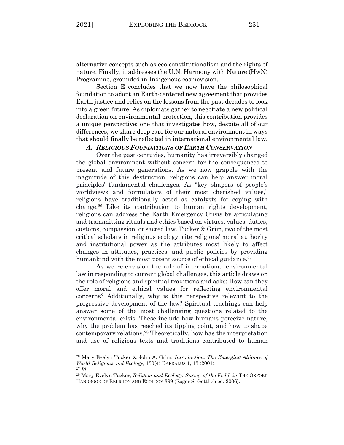alternative concepts such as eco-constitutionalism and the rights of nature. Finally, it addresses the U.N. Harmony with Nature (HwN) Programme, grounded in Indigenous cosmovision.

Section E concludes that we now have the philosophical foundation to adopt an Earth-centered new agreement that provides Earth justice and relies on the lessons from the past decades to look into a green future. As diplomats gather to negotiate a new political declaration on environmental protection, this contribution provides a unique perspective: one that investigates how, despite all of our differences, we share deep care for our natural environment in ways that should finally be reflected in international environmental law.

### *A. RELIGIOUS FOUNDATIONS OF EARTH CONSERVATION*

Over the past centuries, humanity has irreversibly changed the global environment without concern for the consequences to present and future generations. As we now grapple with the magnitude of this destruction, religions can help answer moral principles' fundamental challenges. As "key shapers of people's worldviews and formulators of their most cherished values," religions have traditionally acted as catalysts for coping with change.26 Like its contribution to human rights development, religions can address the Earth Emergency Crisis by articulating and transmitting rituals and ethics based on virtues, values, duties, customs, compassion, or sacred law. Tucker & Grim, two of the most critical scholars in religious ecology, cite religions' moral authority and institutional power as the attributes most likely to affect changes in attitudes, practices, and public policies by providing humankind with the most potent source of ethical guidance.<sup>27</sup>

As we re-envision the role of international environmental law in responding to current global challenges, this article draws on the role of religions and spiritual traditions and asks: How can they offer moral and ethical values for reflecting environmental concerns? Additionally, why is this perspective relevant to the progressive development of the law? Spiritual teachings can help answer some of the most challenging questions related to the environmental crisis. These include how humans perceive nature, why the problem has reached its tipping point, and how to shape contemporary relations.28 Theoretically, how has the interpretation and use of religious texts and traditions contributed to human

<sup>26</sup> Mary Evelyn Tucker & John A. Grim, *Introduction: The Emerging Alliance of World Religions and Ecology*, 130(4) DAEDALUS 1, 13 (2001).

<sup>27</sup> *Id*. 28 Mary Evelyn Tucker, *Religion and Ecology: Survey of the Field*, *in* THE OXFORD HANDBOOK OF RELIGION AND ECOLOGY 399 (Roger S. Gottlieb ed. 2006).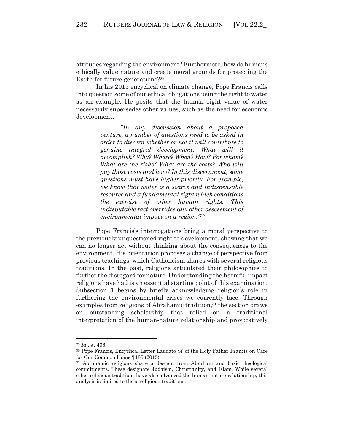attitudes regarding the environment? Furthermore, how do humans ethically value nature and create moral grounds for protecting the Earth for future generations?29

In his 2015 encyclical on climate change, Pope Francis calls into question some of our ethical obligations using the right to water as an example. He posits that the human right value of water necessarily supersedes other values, such as the need for economic development.

> *"In any discussion about a proposed venture, a number of questions need to be asked in order to discern whether or not it will contribute to genuine integral development. What will it accomplish? Why? Where? When? How? For whom? What are the risks? What are the costs? Who will pay those costs and how? In this discernment, some questions must have higher priority. For example, we know that water is a scarce and indispensable resource and a fundamental right which conditions the exercise of other human rights. This indisputable fact overrides any other assessment of environmental impact on a region."30*

Pope Francis's interrogations bring a moral perspective to the previously unquestioned right to development, showing that we can no longer act without thinking about the consequences to the environment. His orientation proposes a change of perspective from previous teachings, which Catholicism shares with several religious traditions. In the past, religions articulated their philosophies to further the disregard for nature. Understanding the harmful impact religions have had is an essential starting point of this examination. Subsection 1 begins by briefly acknowledging religion's role in furthering the environmental crises we currently face. Through examples from religions of Abrahamic tradition,<sup>31</sup> the section draws on outstanding scholarship that relied on a traditional interpretation of the human-nature relationship and provocatively

<sup>29</sup> *Id*., at 406.

<sup>30</sup> Pope Francis, Encyclical Letter Laudato Si' of the Holy Father Francis on Care for Our Common Home ¶185 (2015).

<sup>31</sup> Abrahamic religions share a descent from Abraham and basic theological commitments. These designate Judaism, Christianity, and Islam. While several other religious traditions have also advanced the human-nature relationship, this analysis is limited to these religious traditions.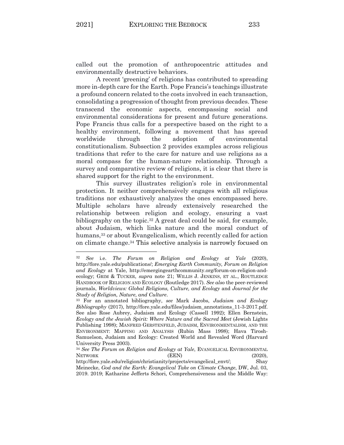called out the promotion of anthropocentric attitudes and environmentally destructive behaviors.

A recent 'greening' of religions has contributed to spreading more in-depth care for the Earth. Pope Francis's teachings illustrate a profound concern related to the costs involved in each transaction, consolidating a progression of thought from previous decades. These transcend the economic aspects, encompassing social and environmental considerations for present and future generations. Pope Francis thus calls for a perspective based on the right to a healthy environment, following a movement that has spread worldwide through the adoption of environmental constitutionalism. Subsection 2 provides examples across religious traditions that refer to the care for nature and use religions as a moral compass for the human-nature relationship. Through a survey and comparative review of religions, it is clear that there is shared support for the right to the environment.

This survey illustrates religion's role in environmental protection. It neither comprehensively engages with all religious traditions nor exhaustively analyzes the ones encompassed here. Multiple scholars have already extensively researched the relationship between religion and ecology, ensuring a vast bibliography on the topic.32 A great deal could be said, for example, about Judaism, which links nature and the moral conduct of humans,<sup>33</sup> or about Evangelicalism, which recently called for action on climate change.34 This selective analysis is narrowly focused on

<sup>32</sup> *See* i.e. *The Forum on Religion and Ecology at Yale* (2020), http://fore.yale.edu/publications/; *Emerging Earth Community, Forum on Religion and Ecology* at Yale, http://emergingearthcommunity.org/forum-on-religion-andecology; GRIM & TUCKER, *supra* note 21; WILLIS J. JENKINS, ET AL., ROUTLEDGE HANDBOOK OF RELIGION AND ECOLOGY (Routledge 2017). *See also* the peer-reviewed journals, *Worldviews: Global Religions, Culture, and Ecology* and *Journal for the Study of Religion, Nature, and Culture*.

<sup>33</sup> For an annotated bibliography, *see* Mark Jacobs, *Judaism and Ecology Bibliography* (2017), http://fore.yale.edu/files/judaism\_annotations\_11-3-2017.pdf. See also Rose Aubrey, Judaism and Ecology (Cassell 1992); Ellen Bernstein, *Ecology and the Jewish Spirit: Where Nature and the Sacred Meet* (Jewish Lights Publishing 1998); MANFRED GERSTENFELD, JUDAISM, ENVIRONMENTALISM, AND THE ENVIRONMENT: MAPPING AND ANALYSIS (Rubin Mass 1998); Hava Tirosh-Samuelson, Judaism and Ecology: Created World and Revealed Word (Harvard University Press 2003).

<sup>34</sup> *See The Forum on Religion and Ecology at Yale*, EVANGELICAL ENVIRONMENTAL NETWORK (EEN) (2020),

http://fore.yale.edu/religion/christianity/projects/evangelical\_envt/; Shay Meinecke, *God and the Earth: Evangelical Take on Climate Change*, DW, Jul. 03, 2019. 2019; Katharine Jefferts Schori, Comprehensiveness and the Middle Way: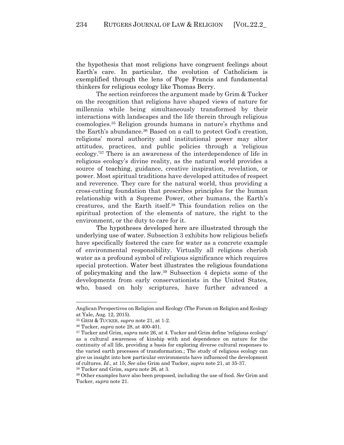the hypothesis that most religions have congruent feelings about Earth's care. In particular, the evolution of Catholicism is exemplified through the lens of Pope Francis and fundamental thinkers for religious ecology like Thomas Berry.

The section reinforces the argument made by Grim & Tucker on the recognition that religions have shaped views of nature for millennia while being simultaneously transformed by their interactions with landscapes and the life therein through religious cosmologies.35 Religion grounds humans in nature's rhythms and the Earth's abundance.36 Based on a call to protect God's creation, religions' moral authority and institutional power may alter attitudes, practices, and public policies through a 'religious ecology.'37 There is an awareness of the interdependence of life in religious ecology's divine reality, as the natural world provides a source of teaching, guidance, creative inspiration, revelation, or power. Most spiritual traditions have developed attitudes of respect and reverence. They care for the natural world, thus providing a cross-cutting foundation that prescribes principles for the human relationship with a Supreme Power, other humans, the Earth's creatures, and the Earth itself.38 This foundation relies on the spiritual protection of the elements of nature, the right to the environment, or the duty to care for it.

The hypotheses developed here are illustrated through the underlying use of water. Subsection 3 exhibits how religious beliefs have specifically fostered the care for water as a concrete example of environmental responsibility. Virtually all religions cherish water as a profound symbol of religious significance which requires special protection. Water best illustrates the religious foundations of policymaking and the law.39 Subsection 4 depicts some of the developments from early conservationists in the United States, who, based on holy scriptures, have further advanced a

<sup>38</sup> Tucker and Grim, *supra* note 26, at 3.

Anglican Perspectives on Religion and Ecology (The Forum on Religion and Ecology at Yale, Aug. 12, 2015).

<sup>35</sup> GRIM & TUCKER, *supra* note 21, at 1-2.

<sup>36</sup> Tucker, *supra* note 28, at 400-401.

<sup>37</sup> Tucker and Grim, *supra* note 26, at 4. Tucker and Grim define 'religious ecology' as a cultural awareness of kinship with and dependence on nature for the continuity of all life, providing a basis for exploring diverse cultural responses to the varied earth processes of transformation.; The study of religious ecology can give us insight into how particular environments have influenced the development of cultures. *Id*., at 15; *See also* Grim and Tucker, *supra* note 21, at 35-37.

<sup>39</sup> Other examples have also been proposed, including the use of food. *See* Grim and Tucker, *supra* note 21.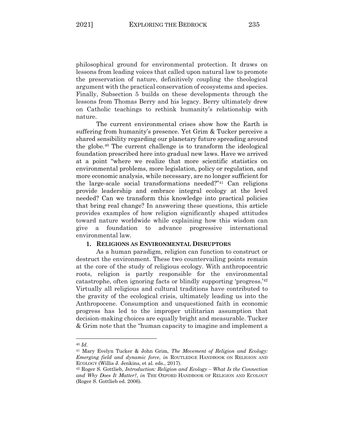philosophical ground for environmental protection. It draws on lessons from leading voices that called upon natural law to promote the preservation of nature, definitively coupling the theological argument with the practical conservation of ecosystems and species. Finally, Subsection 5 builds on these developments through the lessons from Thomas Berry and his legacy. Berry ultimately drew on Catholic teachings to rethink humanity's relationship with nature.

The current environmental crises show how the Earth is suffering from humanity's presence. Yet Grim & Tucker perceive a shared sensibility regarding our planetary future spreading around the globe.40 The current challenge is to transform the ideological foundation prescribed here into gradual new laws. Have we arrived at a point "where we realize that more scientific statistics on environmental problems, more legislation, policy or regulation, and more economic analysis, while necessary, are no longer sufficient for the large-scale social transformations needed?"41 Can religions provide leadership and embrace integral ecology at the level needed? Can we transform this knowledge into practical policies that bring real change? In answering these questions, this article provides examples of how religion significantly shaped attitudes toward nature worldwide while explaining how this wisdom can give a foundation to advance progressive international environmental law.

## **1. RELIGIONS AS ENVIRONMENTAL DISRUPTORS**

As a human paradigm, religion can function to construct or destruct the environment. These two countervailing points remain at the core of the study of religious ecology. With anthropocentric roots, religion is partly responsible for the environmental catastrophe, often ignoring facts or blindly supporting 'progress.'42 Virtually all religious and cultural traditions have contributed to the gravity of the ecological crisis, ultimately leading us into the Anthropocene. Consumption and unquestioned faith in economic progress has led to the improper utilitarian assumption that decision-making choices are equally bright and measurable. Tucker & Grim note that the "human capacity to imagine and implement a

<sup>40</sup> *Id*.

<sup>41</sup> Mary Evelyn Tucker & John Grim, *The Movement of Religion and Ecology: Emerging field and dynamic force*, *in* ROUTLEDGE HANDBOOK ON RELIGION AND ECOLOGY (Willis J. Jenkins, et al. eds., 2017).

<sup>42</sup> Roger S. Gottlieb, *Introduction: Religion and Ecology – What Is the Connection and Why Does It Matter?*, *in* THE OXFORD HANDBOOK OF RELIGION AND ECOLOGY (Roger S. Gottlieb ed. 2006).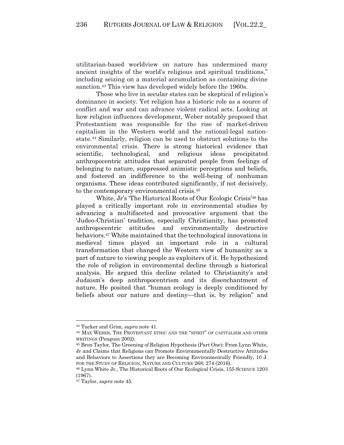utilitarian-based worldview on nature has undermined many ancient insights of the world's religious and spiritual traditions," including seizing on a material accumulation as containing divine sanction.<sup>43</sup> This view has developed widely before the 1960s.

Those who live in secular states can be skeptical of religion's dominance in society. Yet religion has a historic role as a source of conflict and war and can advance violent radical acts. Looking at how religion influences development, Weber notably proposed that Protestantism was responsible for the rise of market-driven capitalism in the Western world and the rational-legal nationstate.44 Similarly, religion can be used to obstruct solutions to the environmental crisis. There is strong historical evidence that scientific, technological, and religious ideas precipitated anthropocentric attitudes that separated people from feelings of belonging to nature, suppressed animistic perceptions and beliefs, and fostered an indifference to the well-being of nonhuman organisms. These ideas contributed significantly, if not decisively, to the contemporary environmental crisis.45

White, Jr's 'The Historical Roots of Our Ecologic Crisis'46 has played a critically important role in environmental studies by advancing a multifaceted and provocative argument that the 'Judeo-Christian' tradition, especially Christianity, has promoted anthropocentric attitudes and environmentally destructive behaviors.47 White maintained that the technological innovations in medieval times played an important role in a cultural transformation that changed the Western view of humanity as a part of nature to viewing people as exploiters of it. He hypothesized the role of religion in environmental decline through a historical analysis. He argued this decline related to Christianity's and Judaism's deep anthropocentrism and its disenchantment of nature. He posited that "human ecology is deeply conditioned by beliefs about our nature and destiny—that is, by religion" and

<sup>&</sup>lt;sup>43</sup> Tucker and Grim, *supra* note 41.<br><sup>44</sup> MAX WEBER, THE PROTESTANT ETHIC AND THE "SPIRIT" OF CAPITALISM AND OTHER WRITINGS (Penguin 2002).

<sup>45</sup> Bron Taylor, The Greening of Religion Hypothesis (Part One): From Lynn White, Jr and Claims that Religions can Promote Environmentally Destructive Attitudes and Behaviors to Assertions they are Becoming Environmentally Friendly, 10 J. FOR THE STUDY OF RELIGION, NATURE AND CULTURE 268; 274 (2016).

<sup>46</sup> Lynn White Jr., The Historical Roots of Our Ecological Crisis, 155 SCIENCE 1203 (1967).

<sup>47</sup> Taylor, *supra* note 45.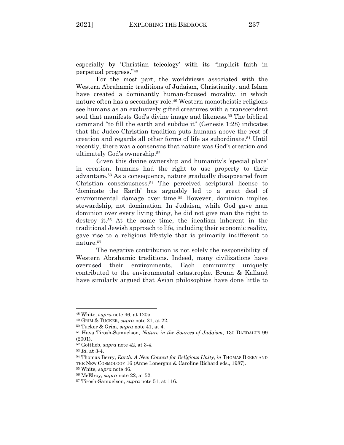especially by 'Christian teleology' with its "implicit faith in perpetual progress."48

For the most part, the worldviews associated with the Western Abrahamic traditions of Judaism, Christianity, and Islam have created a dominantly human-focused morality, in which nature often has a secondary role.49 Western monotheistic religions see humans as an exclusively gifted creatures with a transcendent soul that manifests God's divine image and likeness.<sup>50</sup> The biblical command "to fill the earth and subdue it" (Genesis 1:28) indicates that the Judeo-Christian tradition puts humans above the rest of creation and regards all other forms of life as subordinate.51 Until recently, there was a consensus that nature was God's creation and ultimately God's ownership.52

Given this divine ownership and humanity's 'special place' in creation, humans had the right to use property to their advantage.53 As a consequence, nature gradually disappeared from Christian consciousness.54 The perceived scriptural license to 'dominate the Earth' has arguably led to a great deal of environmental damage over time.<sup>55</sup> However, dominion implies stewardship, not domination. In Judaism, while God gave man dominion over every living thing, he did not give man the right to destroy it.56 At the same time, the idealism inherent in the traditional Jewish approach to life, including their economic reality, gave rise to a religious lifestyle that is primarily indifferent to nature.57

The negative contribution is not solely the responsibility of Western Abrahamic traditions. Indeed, many civilizations have overused their environments. Each community uniquely contributed to the environmental catastrophe. Brunn & Kalland have similarly argued that Asian philosophies have done little to

<sup>48</sup> White, *supra* note 46, at 1205.

<sup>49</sup> GRIM & TUCKER, *supra* note 21, at 22.

<sup>50</sup> Tucker & Grim, *supra* note 41, at 4. 51 Hava Tirosh-Samuelson, *Nature in the Sources of Judaism*, 130 DAEDALUS <sup>99</sup> (2001).

<sup>52</sup> Gottlieb, *supra* note 42, at 3-4.

<sup>53</sup> *Id*. at 3-4.

<sup>54</sup> Thomas Berry, *Earth: A New Context for Religious Unity*, *in* THOMAS BERRY AND THE NEW COSMOLOGY 16 (Anne Lonergan & Caroline Richard eds., 1987).

<sup>55</sup> White, *supra* note 46. 56 McElroy, *supra* note 22, at 52. 57 Tirosh-Samuelson, *supra* note 51, at 116.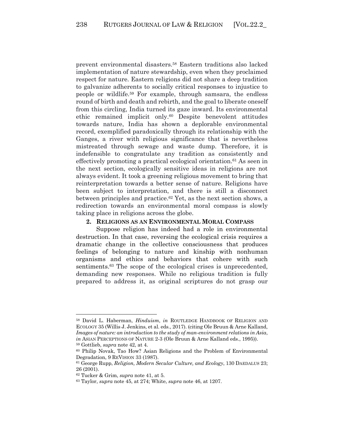prevent environmental disasters.58 Eastern traditions also lacked implementation of nature stewardship, even when they proclaimed respect for nature. Eastern religions did not share a deep tradition to galvanize adherents to socially critical responses to injustice to people or wildlife. <sup>59</sup> For example, through samsara, the endless round of birth and death and rebirth, and the goal to liberate oneself from this circling, India turned its gaze inward. Its environmental ethic remained implicit only.60 Despite benevolent attitudes towards nature, India has shown a deplorable environmental record, exemplified paradoxically through its relationship with the Ganges, a river with religious significance that is nevertheless mistreated through sewage and waste dump. Therefore, it is indefensible to congratulate any tradition as consistently and effectively promoting a practical ecological orientation.61 As seen in the next section, ecologically sensitive ideas in religions are not always evident. It took a greening religious movement to bring that reinterpretation towards a better sense of nature. Religions have been subject to interpretation, and there is still a disconnect between principles and practice.62 Yet, as the next section shows, a redirection towards an environmental moral compass is slowly taking place in religions across the globe.

#### **2. RELIGIONS AS AN ENVIRONMENTAL MORAL COMPASS**

Suppose religion has indeed had a role in environmental destruction. In that case, reversing the ecological crisis requires a dramatic change in the collective consciousness that produces feelings of belonging to nature and kinship with nonhuman organisms and ethics and behaviors that cohere with such sentiments.<sup>63</sup> The scope of the ecological crises is unprecedented, demanding new responses. While no religious tradition is fully prepared to address it, as original scriptures do not grasp our

<sup>58</sup> David L. Haberman, *Hinduism*, *in* ROUTLEDGE HANDBOOK OF RELIGION AND ECOLOGY 35 (Willis J. Jenkins, et al. eds., 2017). (citing Ole Bruun & Arne Kalland, *Images of nature: an introduction to the study of man-environment relations in Asia*, *in* ASIAN PERCEPTIONS OF NATURE 2-3 (Ole Bruun & Arne Kalland eds., 1995)).

<sup>&</sup>lt;sup>59</sup> Gottlieb, *supra* note 42, at 4.<br><sup>60</sup> Philip Novak, Tao How? Asian Religions and the Problem of Environmental Degradation, 9 REVISION 33 (1987).

<sup>61</sup> George Rupp, *Religion, Modern Secular Culture, and Ecology*, 130 DAEDALUS 23; 26 (2001).

<sup>62</sup> Tucker & Grim, *supra* note 41, at 5.

<sup>63</sup> Taylor, *supra* note 45, at 274; White, *supra* note 46, at 1207.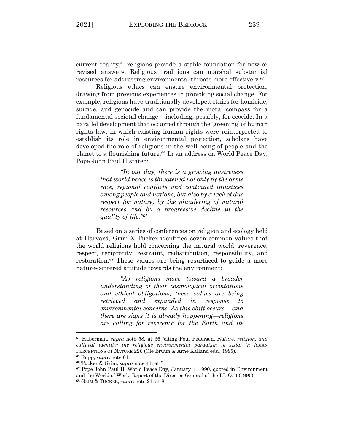current reality,<sup>64</sup> religions provide a stable foundation for new or revised answers. Religious traditions can marshal substantial resources for addressing environmental threats more effectively.65

Religious ethics can ensure environmental protection, drawing from previous experiences in provoking social change. For example, religions have traditionally developed ethics for homicide, suicide, and genocide and can provide the moral compass for a fundamental societal change – including, possibly, for ecocide. In a parallel development that occurred through the 'greening' of human rights law, in which existing human rights were reinterpreted to establish its role in environmental protection, scholars have developed the role of religions in the well-being of people and the planet to a flourishing future.66 In an address on World Peace Day, Pope John Paul II stated:

> *"In our day, there is a growing awareness that world peace is threatened not only by the arms race, regional conflicts and continued injustices among people and nations, but also by a lack of due respect for nature, by the plundering of natural resources and by a progressive decline in the quality-of-life."67*

Based on a series of conferences on religion and ecology held at Harvard, Grim & Tucker identified seven common values that the world religions hold concerning the natural world: reverence, respect, reciprocity, restraint, redistribution, responsibility, and restoration.68 These values are being resurfaced to guide a more nature-centered attitude towards the environment:

> *"As religions move toward a broader understanding of their cosmological orientations and ethical obligations, these values are being retrieved and expanded in response to environmental concerns. As this shift occurs— and there are signs it is already happening—religions are calling for reverence for the Earth and its*

<sup>64</sup> Haberman, *supra* note 58, at 36 (citing Poul Pedersen, *Nature, religion, and cultural identity: the religious environmental paradigm in Asia*, *in* ASIAN PERCEPTIONS OF NATURE 226 (Ole Bruun & Arne Kalland eds., 1995).

<sup>65</sup> Rupp, *supra* note 61.

<sup>&</sup>lt;sup>66</sup> Tucker & Grim, *supra* note 41, at 5.<br><sup>67</sup> Pope John Paul II, World Peace Day, January 1, 1990, quoted in Environment and the World of Work, Report of the Director-General of the I.L.O. 4 (1990). 68 GRIM & TUCKER, *supra* note 21, at 8.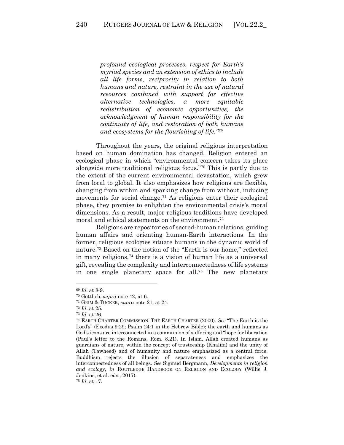*profound ecological processes, respect for Earth's myriad species and an extension of ethics to include all life forms, reciprocity in relation to both humans and nature, restraint in the use of natural resources combined with support for effective alternative technologies, a more equitable redistribution of economic opportunities, the acknowledgment of human responsibility for the continuity of life, and restoration of both humans and ecosystems for the flourishing of life."69*

Throughout the years, the original religious interpretation based on human domination has changed. Religion entered an ecological phase in which "environmental concern takes its place alongside more traditional religious focus."70 This is partly due to the extent of the current environmental devastation, which grew from local to global. It also emphasizes how religions are flexible, changing from within and sparking change from without, inducing movements for social change.71 As religions enter their ecological phase, they promise to enlighten the environmental crisis's moral dimensions. As a result, major religious traditions have developed moral and ethical statements on the environment.72

Religions are repositories of sacred-human relations, guiding human affairs and orienting human-Earth interactions. In the former, religious ecologies situate humans in the dynamic world of nature.73 Based on the notion of the "Earth is our home," reflected in many religions,74 there is a vision of human life as a universal gift, revealing the complexity and interconnectedness of life systems in one single planetary space for all.75 The new planetary

<sup>69</sup> *Id*. at 8-9.

<sup>70</sup> Gottlieb, *supra* note 42, at 6. 71 GRIM & TUCKER, *supra* note 21, at 24.

<sup>72</sup> *Id*. at 25.

<sup>73</sup> *Id*. at 26.

<sup>74</sup> EARTH CHARTER COMMISSION, THE EARTH CHARTER (2000). *See* "The Earth is the Lord's" (Exodus 9:29; Psalm 24:1 in the Hebrew Bible); the earth and humans as God's icons are interconnected in a communion of suffering and "hope for liberation (Paul's letter to the Romans, Rom. 8.21). In Islam, Allah created humans as guardians of nature, within the concept of trusteeship (Khalifa) and the unity of Allah (Tawheed) and of humanity and nature emphasized as a central force. Buddhism rejects the illusion of separateness and emphasizes the interconnectedness of all beings. *See* Sigmud Bergmann, *Developments in religion and ecology*, *in* ROUTLEDGE HANDBOOK ON RELIGION AND ECOLOGY (Willis J. Jenkins, et al. eds., 2017).

<sup>75</sup> *Id*. at 17.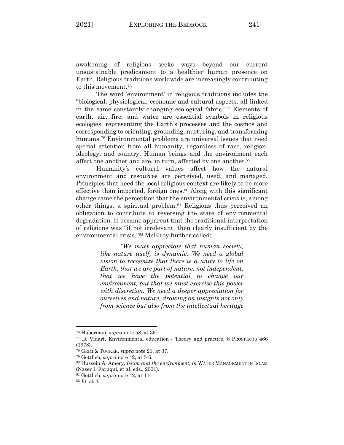awakening of religions seeks ways beyond our current unsustainable predicament to a healthier human presence on Earth. Religious traditions worldwide are increasingly contributing to this movement.76

The word 'environment' in religious traditions includes the "biological, physiological, economic and cultural aspects, all linked in the same constantly changing ecological fabric."77 Elements of earth, air, fire, and water are essential symbols in religious ecologies, representing the Earth's processes and the cosmos and corresponding to orienting, grounding, nurturing, and transforming humans.78 Environmental problems are universal issues that need special attention from all humanity, regardless of race, religion, ideology, and country. Human beings and the environment each affect one another and are, in turn, affected by one another.79

Humanity's cultural values affect how the natural environment and resources are perceived, used, and managed. Principles that heed the local religious context are likely to be more effective than imported, foreign ones.80 Along with this significant change came the perception that the environmental crisis is, among other things, a spiritual problem.81 Religions thus perceived an obligation to contribute to reversing the state of environmental degradation. It became apparent that the traditional interpretation of religions was "if not irrelevant, then clearly insufficient by the environmental crisis."82 McElroy further called:

> *"We must appreciate that human society, like nature itself, is dynamic. We need a global vision to recognize that there is a unity to life on Earth, that we are part of nature, not independent, that we have the potential to change our environment, but that we must exercise this power with discretion. We need a deeper appreciation for ourselves and nature, drawing on insights not only from science but also from the intellectual heritage*

<sup>&</sup>lt;sup>76</sup> Haberman, *supra* note 58, at 35.<br><sup>77</sup> D. Vidart, Environmental education - Theory and practice, 8 PROSPECTS 466 (1978).

<sup>78</sup> GRIM & TUCKER, *supra* note 21, at 37.

<sup>79</sup> Gottlieb, *supra* note 42, at 5-6.

<sup>80</sup> Hussein A. Amery, *Islam and the environment*, *in* WATER MANAGEMENT IN ISLAM (Naser I. Faruqui, et al. eds., 2001).

<sup>81</sup> Gottlieb, *supra* note 42, at 11.

<sup>82</sup> *Id*. at 4.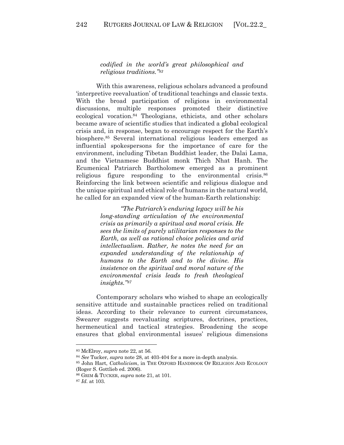*codified in the world's great philosophical and religious traditions."83*

With this awareness, religious scholars advanced a profound 'interpretive reevaluation' of traditional teachings and classic texts. With the broad participation of religions in environmental discussions, multiple responses promoted their distinctive ecological vocation.84 Theologians, ethicists, and other scholars became aware of scientific studies that indicated a global ecological crisis and, in response, began to encourage respect for the Earth's biosphere.85 Several international religious leaders emerged as influential spokespersons for the importance of care for the environment, including Tibetan Buddhist leader, the Dalai Lama, and the Vietnamese Buddhist monk Thich Nhat Hanh. The Ecumenical Patriarch Bartholomew emerged as a prominent religious figure responding to the environmental crisis.<sup>86</sup> Reinforcing the link between scientific and religious dialogue and the unique spiritual and ethical role of humans in the natural world, he called for an expanded view of the human-Earth relationship:

> *"The Patriarch's enduring legacy will be his long-standing articulation of the environmental crisis as primarily a spiritual and moral crisis. He sees the limits of purely utilitarian responses to the Earth, as well as rational choice policies and arid intellectualism. Rather, he notes the need for an expanded understanding of the relationship of humans to the Earth and to the divine. His insistence on the spiritual and moral nature of the environmental crisis leads to fresh theological insights."87*

Contemporary scholars who wished to shape an ecologically sensitive attitude and sustainable practices relied on traditional ideas. According to their relevance to current circumstances, Swearer suggests reevaluating scriptures, doctrines, practices, hermeneutical and tactical strategies. Broadening the scope ensures that global environmental issues' religious dimensions

<sup>83</sup> McElroy, *supra* note 22, at 56.

<sup>84</sup> *See* Tucker, *supra* note 28, at 403-404 for a more in-depth analysis. 85 John Hart, *Catholicism*, in THE OXFORD HANDBOOK OF RELIGION AND ECOLOGY (Roger S. Gottlieb ed. 2006).

<sup>86</sup> GRIM & TUCKER, *supra* note 21, at 101.

<sup>87</sup> *Id*. at 103.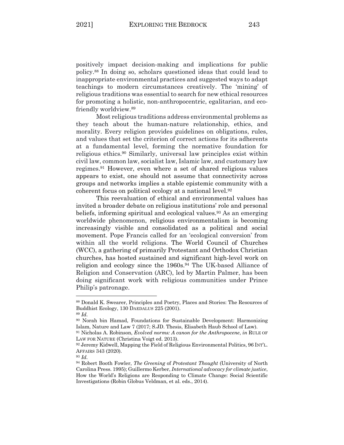positively impact decision-making and implications for public policy.88 In doing so, scholars questioned ideas that could lead to inappropriate environmental practices and suggested ways to adapt teachings to modern circumstances creatively. The 'mining' of religious traditions was essential to search for new ethical resources for promoting a holistic, non-anthropocentric, egalitarian, and ecofriendly worldview.89

Most religious traditions address environmental problems as they teach about the human-nature relationship, ethics, and morality. Every religion provides guidelines on obligations, rules, and values that set the criterion of correct actions for its adherents at a fundamental level, forming the normative foundation for religious ethics.90 Similarly, universal law principles exist within civil law, common law, socialist law, Islamic law, and customary law regimes.91 However, even where a set of shared religious values appears to exist, one should not assume that connectivity across groups and networks implies a stable epistemic community with a coherent focus on political ecology at a national level.92

This reevaluation of ethical and environmental values has invited a broader debate on religious institutions' role and personal beliefs, informing spiritual and ecological values.93 As an emerging worldwide phenomenon, religious environmentalism is becoming increasingly visible and consolidated as a political and social movement. Pope Francis called for an 'ecological conversion' from within all the world religions. The World Council of Churches (WCC), a gathering of primarily Protestant and Orthodox Christian churches, has hosted sustained and significant high-level work on religion and ecology since the 1960s.94 The UK-based Alliance of Religion and Conservation (ARC), led by Martin Palmer, has been doing significant work with religious communities under Prince Philip's patronage.

<sup>88</sup> Donald K. Swearer, Principles and Poetry, Places and Stories: The Resources of Buddhist Ecology, 130 DAEDALUS <sup>225</sup> (2001). 89 *Id*.

<sup>90</sup> Norah bin Hamad, Foundations for Sustainable Development: Harmonizing Islam, Nature and Law 7 (2017; S.JD. Thesis, Elisabeth Haub School of Law).

<sup>91</sup> Nicholas A. Robinson, *Evolved norms: A canon for the Anthropocene*, *in* RULE OF LAW FOR NATURE (Christina Voigt ed. 2013).

<sup>92</sup> Jeremy Kidwell, Mapping the Field of Religious Environmental Politics, 96 INT'L. AFFAIRS 343 (2020).

<sup>93</sup> *Id*. 94 Robert Booth Fowler, *The Greening* of *Protestant Thought* (University of North Carolina Press. 1995); Guillermo Kerber, *International advocacy for climate justice*, How the World's Religions are Responding to Climate Change: Social Scientific Investigations (Robin Globus Veldman, et al. eds., 2014).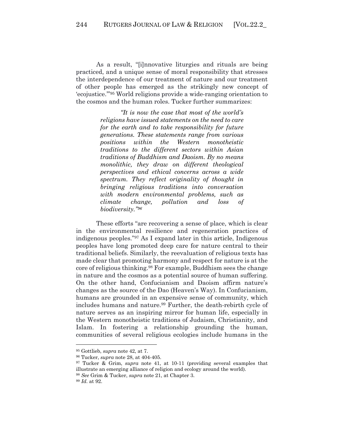As a result, "[i]nnovative liturgies and rituals are being practiced, and a unique sense of moral responsibility that stresses the interdependence of our treatment of nature and our treatment of other people has emerged as the strikingly new concept of 'ecojustice.'"95 World religions provide a wide-ranging orientation to the cosmos and the human roles. Tucker further summarizes:

> *"It is now the case that most of the world's religions have issued statements on the need to care for the earth and to take responsibility for future generations. These statements range from various positions within the Western monotheistic traditions to the different sectors within Asian traditions of Buddhism and Daoism. By no means monolithic, they draw on different theological perspectives and ethical concerns across a wide spectrum. They reflect originality of thought in bringing religious traditions into conversation with modern environmental problems, such as climate change, pollution and loss of biodiversity."96*

These efforts "are recovering a sense of place, which is clear in the environmental resilience and regeneration practices of indigenous peoples."97 As I expand later in this article, Indigenous peoples have long promoted deep care for nature central to their traditional beliefs. Similarly, the reevaluation of religious texts has made clear that promoting harmony and respect for nature is at the core of religious thinking.98 For example, Buddhism sees the change in nature and the cosmos as a potential source of human suffering. On the other hand, Confucianism and Daoism affirm nature's changes as the source of the Dao (Heaven's Way). In Confucianism, humans are grounded in an expensive sense of community, which includes humans and nature.<sup>99</sup> Further, the death-rebirth cycle of nature serves as an inspiring mirror for human life, especially in the Western monotheistic traditions of Judaism, Christianity, and Islam. In fostering a relationship grounding the human, communities of several religious ecologies include humans in the

<sup>95</sup> Gottlieb, *supra* note 42, at 7.

<sup>96</sup> Tucker, *supra* note 28, at 404-405. 97 Tucker & Grim, *supra* note 41, at 10-11 (providing several examples that illustrate an emerging alliance of religion and ecology around the world).

<sup>98</sup> *See* Grim & Tucker, *supra* note 21, at Chapter 3.

<sup>99</sup> *Id*. at 92.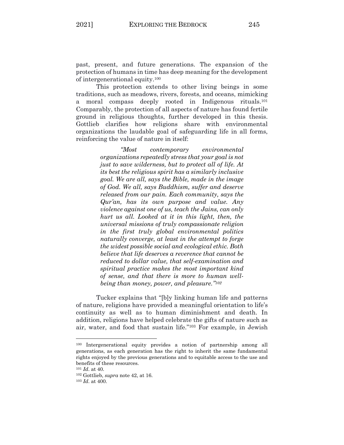past, present, and future generations. The expansion of the protection of humans in time has deep meaning for the development of intergenerational equity.100

This protection extends to other living beings in some traditions, such as meadows, rivers, forests, and oceans, mimicking moral compass deeply rooted in Indigenous rituals.<sup>101</sup> Comparably, the protection of all aspects of nature has found fertile ground in religious thoughts, further developed in this thesis. Gottlieb clarifies how religions share with environmental organizations the laudable goal of safeguarding life in all forms, reinforcing the value of nature in itself:

> *"Most contemporary environmental organizations repeatedly stress that your goal is not just to save wilderness, but to protect all of life. At its best the religious spirit has a similarly inclusive goal. We are all, says the Bible, made in the image of God. We all, says Buddhism, suffer and deserve released from our pain. Each community, says the Qur'an, has its own purpose and value. Any violence against one of us, teach the Jains, can only hurt us all. Looked at it in this light, then, the universal missions of truly compassionate religion in the first truly global environmental politics naturally converge, at least in the attempt to forge the widest possible social and ecological ethic. Both believe that life deserves a reverence that cannot be reduced to dollar value, that self-examination and spiritual practice makes the most important kind of sense, and that there is more to human wellbeing than money, power, and pleasure."102*

Tucker explains that "[b]y linking human life and patterns of nature, religions have provided a meaningful orientation to life's continuity as well as to human diminishment and death. In addition, religions have helped celebrate the gifts of nature such as air, water, and food that sustain life."103 For example, in Jewish

<sup>100</sup> Intergenerational equity provides a notion of partnership among all generations, as each generation has the right to inherit the same fundamental rights enjoyed by the previous generations and to equitable access to the use and benefits of these resources. 101 *Id*. at 40.

<sup>102</sup> Gottlieb, *supra* note 42, at 16. 103 *Id*. at 400.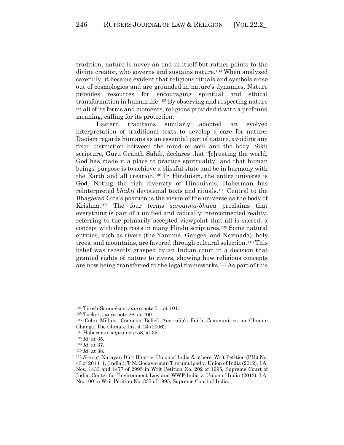tradition, nature is never an end in itself but rather points to the divine creator, who governs and sustains nature.104 When analyzed carefully, it became evident that religious rituals and symbols arise out of cosmologies and are grounded in nature's dynamics. Nature provides resources for encouraging spiritual and ethical transformation in human life.105 By observing and respecting nature in all of its forms and moments, religions provided it with a profound meaning, calling for its protection.

Eastern traditions similarly adopted an evolved interpretation of traditional texts to develop a care for nature. Daoism regards humans as an essential part of nature, avoiding any fixed distinction between the mind or soul and the body. Sikh scripture, Guru Granth Sahib, declares that "[c]reating the world, God has made it a place to practice spirituality" and that human beings' purpose is to achieve a blissful state and be in harmony with the Earth and all creation.106 In Hinduism, the entire universe is God. Noting the rich diversity of Hinduisms, Haberman has reinterpreted *bhakti* devotional texts and rituals.107 Central to the Bhagavad Gita's position is the vision of the universe as the body of Krishna.108 The four terms *sarvatma-bhava* proclaims that everything is part of a unified and radically interconnected reality, referring to the primarily accepted viewpoint that all is sacred, a concept with deep roots in many Hindu scriptures.109 Some natural entities, such as rivers (the Yamuna, Ganges, and Narmada), holy trees, and mountains, are favored through cultural selection.110 This belief was recently grasped by an Indian court in a decision that granted rights of nature to rivers, showing how religious concepts are now being transferred to the legal frameworks.111 As part of this

<sup>&</sup>lt;sup>104</sup> Tirosh-Samuelson, *supra* note 51, at 101.<br><sup>105</sup> Tucker, *supra* note 28, at 400.<br><sup>106</sup> Colin Millais, Common Belief: Australia's Faith Communities on Climate Change, The Climate Ins. 4, 24 (2006).

<sup>107</sup> Haberman, *supra* note 58, at 35.

<sup>108</sup> *Id*. at 35.

<sup>109</sup> *Id*. at 37.

<sup>110</sup> *Id*. at 38. 111 *See e.g.* Narayan Dutt Bhatt v. Union of India & others, Writ Petition (PIL) No. 43 of 2014, 1, (India.); T.N. Godavarman Thirumulpad v. Union of India (2012). I.A. Nos. 1433 and 1477 of 2995 in Writ Petition No. 202 of 1995, Supreme Court of India. Center for Environment Law and WWF-India v. Union of India (2013). I.A. No. 100 in Writ Petition No. 337 of 1995, Supreme Court of India.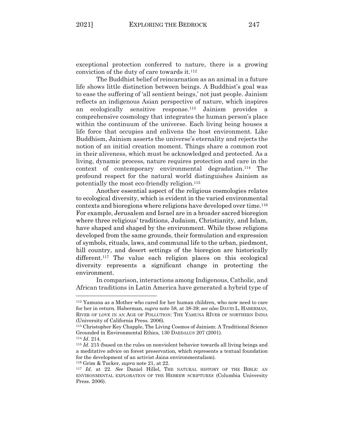exceptional protection conferred to nature, there is a growing conviction of the duty of care towards it.112

The Buddhist belief of reincarnation as an animal in a future life shows little distinction between beings. A Buddhist's goal was to ease the suffering of 'all sentient beings,' not just people. Jainism reflects an indigenous Asian perspective of nature, which inspires an ecologically sensitive response.113 Jainism provides a comprehensive cosmology that integrates the human person's place within the continuum of the universe. Each living being houses a life force that occupies and enlivens the host environment. Like Buddhism, Jainism asserts the universe's eternality and rejects the notion of an initial creation moment. Things share a common root in their aliveness, which must be acknowledged and protected. As a living, dynamic process, nature requires protection and care in the context of contemporary environmental degradation.114 The profound respect for the natural world distinguishes Jainism as potentially the most eco-friendly religion.115

Another essential aspect of the religious cosmologies relates to ecological diversity, which is evident in the varied environmental contexts and bioregions where religions have developed over time.116 For example, Jerusalem and Israel are in a broader sacred bioregion where three religious' traditions, Judaism, Christianity, and Islam, have shaped and shaped by the environment. While these religions developed from the same grounds, their formulation and expression of symbols, rituals, laws, and communal life to the urban, piedmont, hill country, and desert settings of the bioregion are historically different.<sup>117</sup> The value each religion places on this ecological diversity represents a significant change in protecting the environment.

In comparison, interactions among Indigenous, Catholic, and African traditions in Latin America have generated a hybrid type of

<sup>116</sup> Grim & Tucker, *supra* note 21, at 22.

<sup>112</sup> Yamuna as a Mother who cared for her human children, who now need to care for her in return. Haberman, *supra* note 58, at 38-39; *see also* DAVID L. HABERMAN, RIVER OF LOVE IN AN AGE OF POLLUTION: THE YAMUNA RIVER OF NORTHERN INDIA (University of California Press. 2006).

<sup>113</sup> Christopher Key Chapple, The Living Cosmos of Jainism: A Traditional Science Grounded in Environmental Ethics, 130 DAEDALUS 207 (2001).

<sup>114</sup> *Id*. 214. 115 *Id*. 215 (based on the rules on nonviolent behavior towards all living beings and a meditative advice on forest preservation, which represents a textual foundation for the development of an activist Jaina environmentalism).

<sup>117</sup> *Id*. at 22. *See* Daniel Hillel, THE NATURAL HISTORY OF THE BIBLE: AN ENVIRONMENTAL EXPLORATION OF THE HEBREW SCRIPTURES (Columbia University Press. 2006).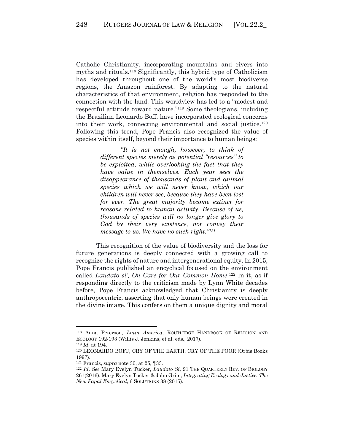Catholic Christianity, incorporating mountains and rivers into myths and rituals.118 Significantly, this hybrid type of Catholicism has developed throughout one of the world's most biodiverse regions, the Amazon rainforest. By adapting to the natural characteristics of that environment, religion has responded to the connection with the land. This worldview has led to a "modest and respectful attitude toward nature."119 Some theologians, including the Brazilian Leonardo Boff, have incorporated ecological concerns into their work, connecting environmental and social justice.120 Following this trend, Pope Francis also recognized the value of species within itself, beyond their importance to human beings:

> *"It is not enough, however, to think of different species merely as potential "resources" to be exploited, while overlooking the fact that they have value in themselves. Each year sees the disappearance of thousands of plant and animal species which we will never know, which our children will never see, because they have been lost for ever. The great majority become extinct for reasons related to human activity. Because of us, thousands of species will no longer give glory to God by their very existence, nor convey their message to us. We have no such right."121*

This recognition of the value of biodiversity and the loss for future generations is deeply connected with a growing call to recognize the rights of nature and intergenerational equity. In 2015, Pope Francis published an encyclical focused on the environment called *Laudato si', On Care for Our Common Home*. <sup>122</sup> In it, as if responding directly to the criticism made by Lynn White decades before, Pope Francis acknowledged that Christianity is deeply anthropocentric, asserting that only human beings were created in the divine image. This confers on them a unique dignity and moral

<sup>118</sup> Anna Peterson, *Latin America*, ROUTLEDGE HANDBOOK OF RELIGION AND ECOLOGY 192-193 (Willis J. Jenkins, et al. eds., 2017).

<sup>&</sup>lt;sup>119</sup> *Id.* at 194.<br><sup>120</sup> LEONARDO BOFF, CRY OF THE EARTH, CRY OF THE POOR (Orbis Books 1997).

<sup>121</sup> Francis, *supra* note 30, at 25, ¶33. 122 *Id*. *See* Mary Evelyn Tucker, *Laudato Si*, 91 THE QUARTERLY REV. OF BIOLOGY 261(2016); Mary Evelyn Tucker & John Grim, *Integrating Ecology and Justice: The New Papal Encyclical*, 6 SOLUTIONS 38 (2015).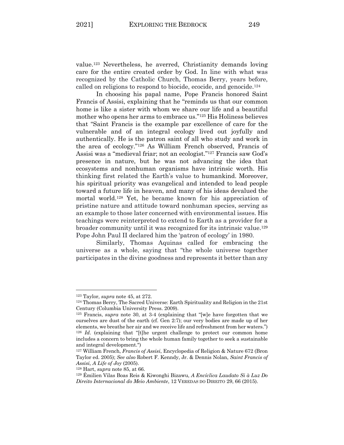value.123 Nevertheless, he averred, Christianity demands loving care for the entire created order by God. In line with what was recognized by the Catholic Church, Thomas Berry, years before, called on religions to respond to biocide, ecocide, and genocide.124

In choosing his papal name, Pope Francis honored Saint Francis of Assisi, explaining that he "reminds us that our common home is like a sister with whom we share our life and a beautiful mother who opens her arms to embrace us."125 His Holiness believes that "Saint Francis is the example par excellence of care for the vulnerable and of an integral ecology lived out joyfully and authentically. He is the patron saint of all who study and work in the area of ecology."126 As William French observed, Francis of Assisi was a "medieval friar; not an ecologist."127 Francis saw God's presence in nature, but he was not advancing the idea that ecosystems and nonhuman organisms have intrinsic worth. His thinking first related the Earth's value to humankind. Moreover, his spiritual priority was evangelical and intended to lead people toward a future life in heaven, and many of his ideas devalued the mortal world.128 Yet, he became known for his appreciation of pristine nature and attitude toward nonhuman species, serving as an example to those later concerned with environmental issues. His teachings were reinterpreted to extend to Earth as a provider for a broader community until it was recognized for its intrinsic value.129 Pope John Paul II declared him the 'patron of ecology' in 1980.

Similarly, Thomas Aquinas called for embracing the universe as a whole, saying that "the whole universe together participates in the divine goodness and represents it better than any

<sup>&</sup>lt;sup>123</sup> Taylor, *supra* note 45, at 272.<br><sup>124</sup> Thomas Berry, The Sacred Universe: Earth Spirituality and Religion in the 21st Century (Columbia University Press. 2009).

<sup>125</sup> Francis, *supra* note 30, at 3-4 (explaining that "[w]e have forgotten that we ourselves are dust of the earth (cf. Gen 2:7); our very bodies are made up of her elements, we breathe her air and we receive life and refreshment from her waters.") 126 *Id*. (explaining that "[t]he urgent challenge to protect our common home includes a concern to bring the whole human family together to seek a sustainable and integral development.") 127 William French, *Francis of Assisi*, Encyclopedia of Religion & Nature 672 (Bron

Taylor ed. 2005); *See also* Robert F. Kenndy, Jr. & Dennis Nolan, *Saint Francis of Assisi, A Life of Joy* (2005). 128 Hart, *supra* note 85, at 66.

<sup>129</sup> Émilien Vilas Boas Reis & Kiwonghi Bizawu, *A Encíclica Laudato Si à Luz Do Direito Internacional do Meio Ambiente*, 12 VEREDAS DO DIREITO 29, 66 (2015).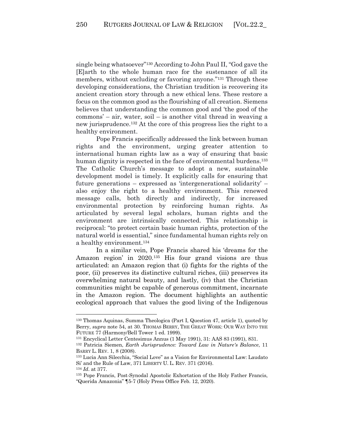single being whatsoever"130 According to John Paul II, "God gave the [E]arth to the whole human race for the sustenance of all its members, without excluding or favoring anyone."131 Through these developing considerations, the Christian tradition is recovering its ancient creation story through a new ethical lens. These restore a focus on the common good as the flourishing of all creation. Siemens believes that understanding the common good and 'the good of the commons' – air, water, soil – is another vital thread in weaving a new jurisprudence.132 At the core of this progress lies the right to a healthy environment.

Pope Francis specifically addressed the link between human rights and the environment, urging greater attention to international human rights law as a way of ensuring that basic human dignity is respected in the face of environmental burdens.<sup>133</sup> The Catholic Church's message to adopt a new, sustainable development model is timely. It explicitly calls for ensuring that future generations – expressed as 'intergenerational solidarity' – also enjoy the right to a healthy environment. This renewed message calls, both directly and indirectly, for increased environmental protection by reinforcing human rights. As articulated by several legal scholars, human rights and the environment are intrinsically connected. This relationship is reciprocal: "to protect certain basic human rights, protection of the natural world is essential," since fundamental human rights rely on a healthy environment.134

In a similar vein, Pope Francis shared his 'dreams for the Amazon region' in 2020.135 His four grand visions are thus articulated: an Amazon region that (i) fights for the rights of the poor, (ii) preserves its distinctive cultural riches, (iii) preserves its overwhelming natural beauty, and lastly, (iv) that the Christian communities might be capable of generous commitment, incarnate in the Amazon region. The document highlights an authentic ecological approach that values the good living of the Indigenous

<sup>130</sup> Thomas Aquinas, Summa Theologica (Part I, Question 47, article 1), quoted by Berry, *supra* note 54, at 30. THOMAS BERRY, THE GREAT WORK: OUR WAY INTO THE FUTURE 77 (Harmony/Bell Tower 1 ed. 1999).

<sup>131</sup> Encyclical Letter Centesimus Annus (1 May 1991), 31: AAS 83 (1991), 831.

<sup>132</sup> Patricia Siemen, *Earth Jurisprudence: Toward Law in Nature's Balance*, 11 BARRY L. REV. 1, 8 (2008).

<sup>133</sup> Lucia Ann Silecchia, "Social Love" as a Vision for Environmental Law: Laudato Si' and the Rule of Law, 371 LIBERTY U. L. REV. 371 (2016).

<sup>&</sup>lt;sup>134</sup> *Id.* at 377.<br><sup>135</sup> Pope Francis, Post-Synodal Apostolic Exhortation of the Holy Father Francis, "Querida Amazonia" ¶5-7 (Holy Press Office Feb. 12, 2020).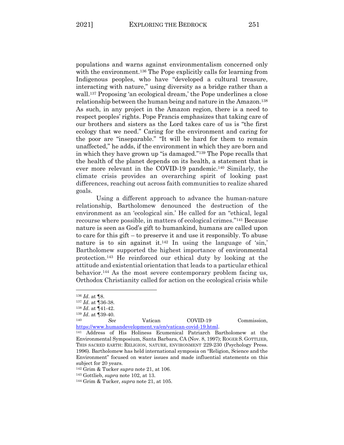populations and warns against environmentalism concerned only with the environment.<sup>136</sup> The Pope explicitly calls for learning from Indigenous peoples, who have "developed a cultural treasure, interacting with nature," using diversity as a bridge rather than a wall.137 Proposing 'an ecological dream,' the Pope underlines a close relationship between the human being and nature in the Amazon.138 As such, in any project in the Amazon region, there is a need to respect peoples' rights. Pope Francis emphasizes that taking care of our brothers and sisters as the Lord takes care of us is "the first ecology that we need." Caring for the environment and caring for the poor are "inseparable." "It will be hard for them to remain unaffected," he adds, if the environment in which they are born and in which they have grown up "is damaged."139 The Pope recalls that the health of the planet depends on its health, a statement that is ever more relevant in the COVID-19 pandemic.140 Similarly, the climate crisis provides an overarching spirit of looking past differences, reaching out across faith communities to realize shared goals.

Using a different approach to advance the human-nature relationship, Bartholomew denounced the destruction of the environment as an 'ecological sin.' He called for an "ethical, legal recourse where possible, in matters of ecological crimes."141 Because nature is seen as God's gift to humankind, humans are called upon to care for this gift – to preserve it and use it responsibly. To abuse nature is to sin against it.<sup>142</sup> In using the language of 'sin,' Bartholomew supported the highest importance of environmental protection.143 He reinforced our ethical duty by looking at the attitude and existential orientation that leads to a particular ethical behavior.144 As the most severe contemporary problem facing us, Orthodox Christianity called for action on the ecological crisis while

<sup>136</sup> *Id*. at ¶8.

<sup>137</sup> *Id*. at ¶36-38.

<sup>138</sup> *Id*. at ¶41-42.

<sup>139</sup> *Id*. at ¶39-40.

<sup>140</sup> *See* Vatican COVID-19 Commission, https://www.humandevelopment.va/en/vatican-covid-19.html. 141 Address of His Holiness Ecumenical Patriarch Bartholomew at the

Environmental Symposium, Santa Barbara, CA (Nov. 8, 1997); ROGER S. GOTTLIEB, THIS SACRED EARTH: RELIGION, NATURE, ENVIRONMENT 229-230 (Psychology Press. 1996). Bartholomew has held international symposia on "Religion, Science and the Environment" focused on water issues and made influential statements on this subject for 20 years.

<sup>142</sup> Grim & Tucker *supra* note 21, at 106.

<sup>143</sup> Gottlieb, *supra* note 102, at 13.

<sup>144</sup> Grim & Tucker, *supra* note 21, at 105.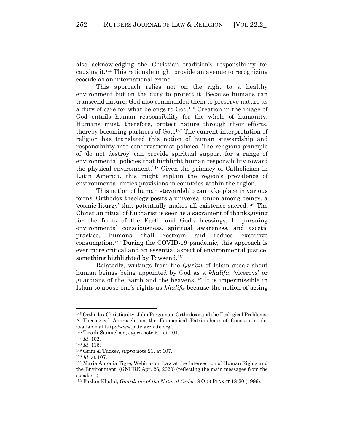also acknowledging the Christian tradition's responsibility for causing it.145 This rationale might provide an avenue to recognizing ecocide as an international crime.

This approach relies not on the right to a healthy environment but on the duty to protect it. Because humans can transcend nature, God also commanded them to preserve nature as a duty of care for what belongs to God.146 Creation in the image of God entails human responsibility for the whole of humanity. Humans must, therefore, protect nature through their efforts, thereby becoming partners of God.147 The current interpretation of religion has translated this notion of human stewardship and responsibility into conservationist policies. The religious principle of 'do not destroy' can provide spiritual support for a range of environmental policies that highlight human responsibility toward the physical environment.148 Given the primacy of Catholicism in Latin America, this might explain the region's prevalence of environmental duties provisions in countries within the region.

This notion of human stewardship can take place in various forms. Orthodox theology posits a universal union among beings, a 'cosmic liturgy' that potentially makes all existence sacred.149 The Christian ritual of Eucharist is seen as a sacrament of thanksgiving for the fruits of the Earth and God's blessings. In pursuing environmental consciousness, spiritual awareness, and ascetic practice, humans shall restrain and reduce excessive consumption.150 During the COVID-19 pandemic, this approach is ever more critical and an essential aspect of environmental justice, something highlighted by Towsend.151

Relatedly, writings from the *Qur'an* of Islam speak about human beings being appointed by God as a *khalifa*, 'viceroys' or guardians of the Earth and the heavens.152 It is impermissible in Islam to abuse one's rights as *khalifa* because the notion of acting

<sup>145</sup> Orthodox Christianity: John Pergamon, Orthodoxy and the Ecological Problems: A Theological Approach, on the Ecumenical Patriarchate of Constantinople, available at http://www.patriarchate.org/.

<sup>146</sup> Tirosh-Samuelson, *supra* note 51, at 101.

<sup>147</sup> *Id*. 102.

<sup>148</sup> *Id*. 116. 149 Grim & Tucker, *supra* note 21, at 107.

<sup>150</sup> *Id*. at 107.

<sup>151</sup> Maria Antonia Tigre, Webinar on Law at the Intersection of Human Rights and the Environment (GNHRE Apr. 26, 2020) (reflecting the main messages from the speakers).

<sup>152</sup> Fazlun Khalid, *Guardians of the Natural Order*, 8 OUR PLANET 18-20 (1996).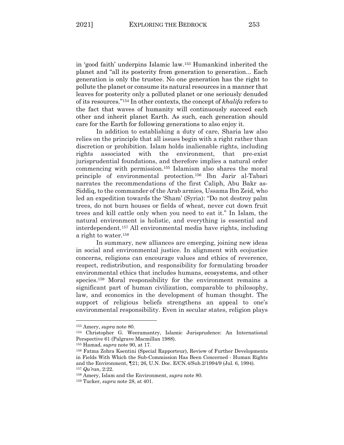in 'good faith' underpins Islamic law. <sup>153</sup> Humankind inherited the planet and "all its posterity from generation to generation... Each generation is only the trustee. No one generation has the right to pollute the planet or consume its natural resources in a manner that leaves for posterity only a polluted planet or one seriously denuded of its resources."154 In other contexts, the concept of *khalifa* refers to the fact that waves of humanity will continuously succeed each other and inherit planet Earth. As such, each generation should care for the Earth for following generations to also enjoy it.

In addition to establishing a duty of care, Sharia law also relies on the principle that all issues begin with a right rather than discretion or prohibition. Islam holds inalienable rights, including rights associated with the environment, that pre-exist jurisprudential foundations, and therefore implies a natural order commencing with permission.155 Islamism also shares the moral principle of environmental protection.156 Ibn Jarir al-Tabari narrates the recommendations of the first Caliph, Abu Bakr as-Siddiq, to the commander of the Arab armies, Ussama Ibn Zeid, who led an expedition towards the 'Sham' (Syria): "Do not destroy palm trees, do not burn houses or fields of wheat, never cut down fruit trees and kill cattle only when you need to eat it." In Islam, the natural environment is holistic, and everything is essential and interdependent.157 All environmental media have rights, including a right to water.158

In summary, new alliances are emerging, joining new ideas in social and environmental justice. In alignment with ecojustice concerns, religions can encourage values and ethics of reverence, respect, redistribution, and responsibility for formulating broader environmental ethics that includes humans, ecosystems, and other species.159 Moral responsibility for the environment remains a significant part of human civilization, comparable to philosophy, law, and economics in the development of human thought. The support of religious beliefs strengthens an appeal to one's environmental responsibility. Even in secular states, religion plays

<sup>&</sup>lt;sup>153</sup> Amery, *supra* note 80.<br><sup>154</sup> Christopher G. Weeramantry, Islamic Jurisprudence: An International Perspective 61 (Palgrave Macmillan 1988).

<sup>155</sup> Hamad, *supra* note 90, at 17.

<sup>156</sup> Fatma Zohra Ksentini (Special Rapporteur), Review of Further Developments in Fields With Which the Sub-Commission Has Been Concerned - Human Rights and the Environment, ¶21; 26, U.N. Doc. E/CN.4/Sub.2/1994/9 (Jul. 6, 1994). <sup>157</sup> *Qu'ran*, 2:22.

<sup>158</sup> Amery, Islam and the Environment, *supra* note 80.

<sup>159</sup> Tucker, *supra* note 28, at 401.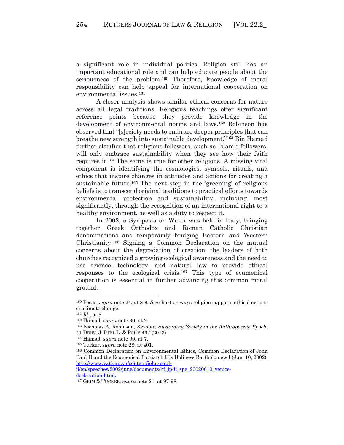a significant role in individual politics. Religion still has an important educational role and can help educate people about the seriousness of the problem.160 Therefore, knowledge of moral responsibility can help appeal for international cooperation on environmental issues. 161

A closer analysis shows similar ethical concerns for nature across all legal traditions. Religious teachings offer significant reference points because they provide knowledge in the development of environmental norms and laws.162 Robinson has observed that "[s]ociety needs to embrace deeper principles that can breathe new strength into sustainable development."163 Bin Hamad further clarifies that religious followers, such as Islam's followers, will only embrace sustainability when they see how their faith requires it.164 The same is true for other religions. A missing vital component is identifying the cosmologies, symbols, rituals, and ethics that inspire changes in attitudes and actions for creating a sustainable future.165 The next step in the 'greening' of religious beliefs is to transcend original traditions to practical efforts towards environmental protection and sustainability, including, most significantly, through the recognition of an international right to a healthy environment, as well as a duty to respect it.

In 2002, a Symposia on Water was held in Italy, bringing together Greek Orthodox and Roman Catholic Christian denominations and temporarily bridging Eastern and Western Christianity.166 Signing a Common Declaration on the mutual concerns about the degradation of creation, the leaders of both churches recognized a growing ecological awareness and the need to use science, technology, and natural law to provide ethical responses to the ecological crisis.167 This type of ecumenical cooperation is essential in further advancing this common moral ground.

<sup>160</sup> Posas, *supra* note 24, at 8-9. *See* chart on ways religion supports ethical actions on climate change.

<sup>161</sup> *Id*., at 8. 162 Hamad, *supra* note 90, at 2. 163 Nicholas A. Robinson, *Keynote: Sustaining Society in the Anthropocene Epoch*, 41 DENV. J. INT'L L. & POL'Y 467 (2013).

<sup>164</sup> Hamad, *supra* note 90, at 7. 165 Tucker, *supra* note 28, at 401. 166 Common Declaration on Environmental Ethics, Common Declaration of John Paul II and the Ecumenical Patriarch His Holiness Bartholomew I (Jun. 10, 2002), http://www.vatican.va/content/john-paul-

ii/en/speeches/2002/june/documents/hf\_jp-ii\_spe\_20020610\_venicedeclaration.html. 167 GRIM & TUCKER, *supra* note 21, at 97-98.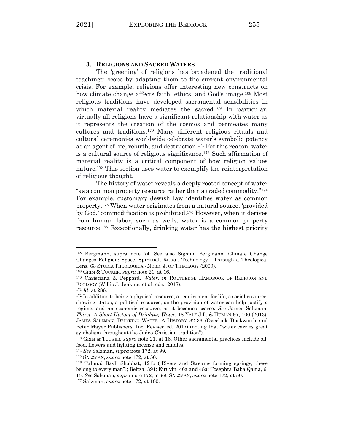## **3. RELIGIONS AND SACRED WATERS**

The 'greening' of religions has broadened the traditional teachings' scope by adapting them to the current environmental crisis. For example, religions offer interesting new constructs on how climate change affects faith, ethics, and God's image.<sup>168</sup> Most religious traditions have developed sacramental sensibilities in which material reality mediates the sacred.<sup>169</sup> In particular, virtually all religions have a significant relationship with water as it represents the creation of the cosmos and permeates many cultures and traditions.170 Many different religious rituals and cultural ceremonies worldwide celebrate water's symbolic potency as an agent of life, rebirth, and destruction.171 For this reason, water is a cultural source of religious significance.172 Such affirmation of material reality is a critical component of how religion values nature.173 This section uses water to exemplify the reinterpretation of religious thought.

The history of water reveals a deeply rooted concept of water "as a common property resource rather than a traded commodity."174 For example, customary Jewish law identifies water as common property.175 When water originates from a natural source, 'provided by God,' commodification is prohibited.176 However, when it derives from human labor, such as wells, water is a common property resource.177 Exceptionally, drinking water has the highest priority

<sup>168</sup> Bergmann, supra note 74. See also Sigmud Bergmann, Climate Change Changes Religion: Space, Spiritual, Ritual, Technology - Through a Theological Lens, 63 STUDIA THEOLOGICA - NORD. J. OF THEOLOGY (2009).

<sup>169</sup> GRIM & TUCKER, *supra* note 21, at 16.

<sup>170</sup> Christiana Z. Peppard, *Water*, *in* ROUTLEDGE HANDBOOK OF RELIGION AND ECOLOGY (Willis J. Jenkins, et al. eds., 2017).

<sup>&</sup>lt;sup>171</sup> *Id.* at 286. 172 In addition to being a physical resource, a requirement for life, a social resource, showing status, a political resource, as the provision of water can help justify a regime, and an economic resource, as it becomes scarce. *See* James Salzman, *Thirst: A Short History of Drinking Water*, 18 YALE J.L. & HUMAN 97; 100 (2013); JAMES SALZMAN, DRINKING WATER: A HISTORY 32-33 (Overlook Duckworth and Peter Mayer Publishers, Inc. Revised ed. 2017) (noting that "water carries great symbolism throughout the Judeo-Christian tradition").

<sup>173</sup> GRIM & TUCKER, *supra* note 21, at 16. Other sacramental practices include oil, food, flowers and lighting incense and candles.

<sup>&</sup>lt;sup>174</sup> *See* Salzman, *supra* note 172, at 99.<br><sup>175</sup> SALZMAN, *supra* note 172, at 50.<br><sup>176</sup> Talmud Bavli Shabbat, 121b ("Rivers and Streams forming springs, these belong to every man"); Beitza, 391; Eiruvin, 46a and 48a; Tosephta Baba Qama, 6, 15. *See* Salzman, *supra* note 172, at 99; SALZMAN, *supra* note 172, at 50.

<sup>177</sup> Salzman, *supra* note 172, at 100.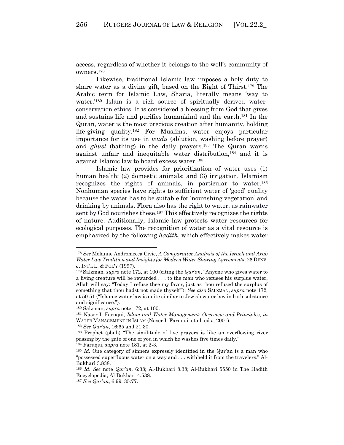access, regardless of whether it belongs to the well's community of owners.178

Likewise, traditional Islamic law imposes a holy duty to share water as a divine gift, based on the Right of Thirst.179 The Arabic term for Islamic Law, Sharia, literally means 'way to water.'<sup>180</sup> Islam is a rich source of spiritually derived waterconservation ethics. It is considered a blessing from God that gives and sustains life and purifies humankind and the earth.181 In the Quran, water is the most precious creation after humanity, holding life-giving quality.182 For Muslims, water enjoys particular importance for its use in *wudu* (ablution, washing before prayer) and *ghusl* (bathing) in the daily prayers.183 The Quran warns against unfair and inequitable water distribution,184 and it is against Islamic law to hoard excess water.185

Islamic law provides for prioritization of water uses (1) human health; (2) domestic animals; and (3) irrigation. Islamism recognizes the rights of animals, in particular to water.186 Nonhuman species have rights to sufficient water of 'good' quality because the water has to be suitable for 'nourishing vegetation' and drinking by animals. Flora also has the right to water, as rainwater sent by God nourishes these.187 This effectively recognizes the rights of nature. Additionally, Islamic law protects water resources for ecological purposes. The recognition of water as a vital resource is emphasized by the following *hadith*, which effectively makes water

<sup>178</sup> *See* Melanne Andromecca Civic, *A Comparative Analysis of the Israeli and Arab Water Law Tradition and Insights for Modern Water Sharing Agreements*, 26 DENV. J. INT'L L. & POL'Y (1997).

<sup>179</sup> Salzman, *supra* note 172, at 100 (citing the *Qur'an*, "Anyone who gives water to a living creature will be rewarded . . . to the man who refuses his surplus water, Allah will say: "Today I refuse thee my favor, just as thou refused the surplus of something that thou hadst not made thyself'"); *See also* SALZMAN, *supra* note 172, at 50-51 ("Islamic water law is quite similar to Jewish water law in both substance and significance.").

<sup>&</sup>lt;sup>180</sup> Salzman, *supra* note 172, at 100.<br><sup>181</sup> Naser I. Faruqui, *Islam and Water Management: Overview and Principles*, *in* WATER MANAGEMENT IN ISLAM (Naser I. Faruqui, et al. eds., 2001).

<sup>182</sup> *See Qur'an*, 16:65 and 21:30.

<sup>183</sup> Prophet (pbuh) "The similitude of five prayers is like an overflowing river passing by the gate of one of you in which he washes five times daily."

<sup>&</sup>lt;sup>184</sup> Faruqui, *supra* note 181, at 2-3.<br><sup>185</sup> *Id*. One category of sinners expressly identified in the Qur'an is a man who "possessed superfluous water on a way and . . . withheld it from the travelers." Al-Bukhari 3.838.

<sup>186</sup> *Id*. *See* note *Qur'an*, 6:38; Al-Bukhari 8.38; Al-Bukhari 5550 in The Hadith Encyclopedia; Al Bukhari 4.538.

<sup>187</sup> *See Qur'an*, 6:99; 35:77.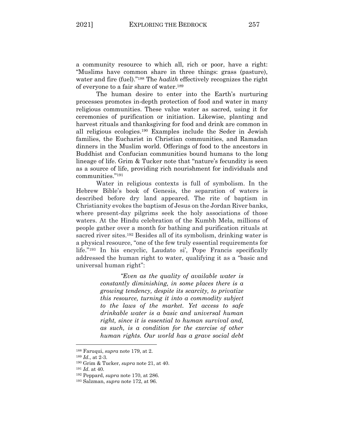a community resource to which all, rich or poor, have a right: "Muslims have common share in three things: grass (pasture), water and fire (fuel)."188 The *hadith* effectively recognizes the right of everyone to a fair share of water.189

The human desire to enter into the Earth's nurturing processes promotes in-depth protection of food and water in many religious communities. These value water as sacred, using it for ceremonies of purification or initiation. Likewise, planting and harvest rituals and thanksgiving for food and drink are common in all religious ecologies.190 Examples include the Seder in Jewish families, the Eucharist in Christian communities, and Ramadan dinners in the Muslim world. Offerings of food to the ancestors in Buddhist and Confucian communities bound humans to the long lineage of life. Grim & Tucker note that "nature's fecundity is seen as a source of life, providing rich nourishment for individuals and communities."191

Water in religious contexts is full of symbolism. In the Hebrew Bible's book of Genesis, the separation of waters is described before dry land appeared. The rite of baptism in Christianity evokes the baptism of Jesus on the Jordan River banks, where present-day pilgrims seek the holy associations of those waters. At the Hindu celebration of the Kumbh Mela, millions of people gather over a month for bathing and purification rituals at sacred river sites.192 Besides all of its symbolism, drinking water is a physical resource, "one of the few truly essential requirements for life."193 In his encyclic, Laudato si', Pope Francis specifically addressed the human right to water, qualifying it as a "basic and universal human right":

> *"Even as the quality of available water is constantly diminishing, in some places there is a growing tendency, despite its scarcity, to privatize this resource, turning it into a commodity subject to the laws of the market. Yet access to safe drinkable water is a basic and universal human right, since it is essential to human survival and, as such, is a condition for the exercise of other human rights. Our world has a grave social debt*

<sup>188</sup> Faruqui, *supra* note 179, at 2.

<sup>189</sup> *Id*., at 2-3.

<sup>190</sup> Grim & Tucker, *supra* note 21, at 40.

<sup>191</sup> *Id*. at 40.

<sup>192</sup> Peppard, *supra* note 170, at 286.

<sup>193</sup> Salzman, *supra* note 172, at 96.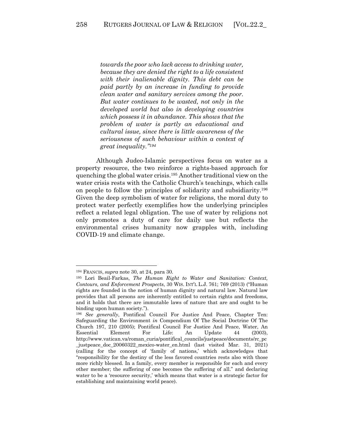*towards the poor who lack access to drinking water, because they are denied the right to a life consistent with their inalienable dignity. This debt can be paid partly by an increase in funding to provide clean water and sanitary services among the poor. But water continues to be wasted, not only in the developed world but also in developing countries which possess it in abundance. This shows that the problem of water is partly an educational and cultural issue, since there is little awareness of the seriousness of such behaviour within a context of great inequality."194*

Although Judeo-Islamic perspectives focus on water as a property resource, the two reinforce a rights-based approach for quenching the global water crisis.195 Another traditional view on the water crisis rests with the Catholic Church's teachings, which calls on people to follow the principles of solidarity and subsidiarity.196 Given the deep symbolism of water for religions, the moral duty to protect water perfectly exemplifies how the underlying principles reflect a related legal obligation. The use of water by religions not only promotes a duty of care for daily use but reflects the environmental crises humanity now grapples with, including COVID-19 and climate change.

<sup>&</sup>lt;sup>194</sup> FRANCIS, *supra* note 30, at 24, para 30.<br><sup>195</sup> Lori Beail-Farkas, *The Human Right to Water and Sanitation: Context*, *Contours, and Enforcement Prospects*, 30 WIS. INT'L L.J. 761; 769 (2013) ("Human rights are founded in the notion of human dignity and natural law. Natural law provides that all persons are inherently entitled to certain rights and freedoms, and it holds that there are immutable laws of nature that are and ought to be binding upon human society."). 196 *See generally*, Pontifical Council For Justice And Peace, Chapter Ten:

Safeguarding the Environment *in* Compendium Of The Social Doctrine Of The Church 197, 210 (2005); Pontifical Council For Justice And Peace, Water, An Essential Element For Life: An Update 44 (2003), http://www.vatican.va/roman\_curia/pontifical\_councils/justpeace/documents/rc\_pc \_justpeace\_doc\_20060322\_mexico-water\_en.html (last visited Mar. 31, 2021) (calling for the concept of 'family of nations,' which acknowledges that "responsibility for the destiny of the less favored countries rests also with those more richly blessed. In a family, every member is responsible for each and every other member; the suffering of one becomes the suffering of all." and declaring water to be a 'resource security,' which means that water is a strategic factor for establishing and maintaining world peace).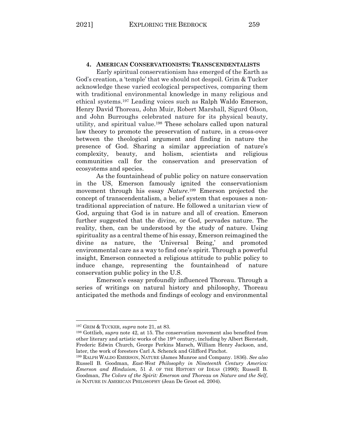# **4. AMERICAN CONSERVATIONISTS: TRANSCENDENTALISTS**

Early spiritual conservationism has emerged of the Earth as God's creation, a 'temple' that we should not despoil. Grim & Tucker acknowledge these varied ecological perspectives, comparing them with traditional environmental knowledge in many religious and ethical systems.197 Leading voices such as Ralph Waldo Emerson, Henry David Thoreau, John Muir, Robert Marshall, Sigurd Olson, and John Burroughs celebrated nature for its physical beauty, utility, and spiritual value.198 These scholars called upon natural law theory to promote the preservation of nature, in a cross-over between the theological argument and finding in nature the presence of God. Sharing a similar appreciation of nature's complexity, beauty, and holism, scientists and religious communities call for the conservation and preservation of ecosystems and species.

As the fountainhead of public policy on nature conservation in the US, Emerson famously ignited the conservationism movement through his essay *Nature*. <sup>199</sup> Emerson projected the concept of transcendentalism, a belief system that espouses a nontraditional appreciation of nature. He followed a unitarian view of God, arguing that God is in nature and all of creation. Emerson further suggested that the divine, or God, pervades nature. The reality, then, can be understood by the study of nature. Using spirituality as a central theme of his essay, Emerson reimagined the divine as nature, the 'Universal Being,' and promoted environmental care as a way to find one's spirit. Through a powerful insight, Emerson connected a religious attitude to public policy to induce change, representing the fountainhead of nature conservation public policy in the U.S.

Emerson's essay profoundly influenced Thoreau. Through a series of writings on natural history and philosophy, Thoreau anticipated the methods and findings of ecology and environmental

<sup>197</sup> GRIM & TUCKER, *supra* note 21, at 83.

<sup>198</sup> Gottlieb, *supra* note 42, at 15. The conservation movement also benefited from other literary and artistic works of the 19th century, including by Albert Bierstadt, Frederic Edwin Church, George Perkins Marsch, William Henry Jackson, and, later, the work of foresters Carl A. Schenck and Glifford Pinchot.

<sup>199</sup> RALPH WALDO EMERSON, NATURE (James Munroe and Company. 1836). *See also* Russell B. Goodman, *East-West Philosophy in Nineteenth Century America: Emerson and Hinduism*, 51 J. OF THE HISTORY OF IDEAS (1990); Russell B. Goodman, *The Colors of the Spirit: Emerson and Thoreau on Nature and the Self*, *in* NATURE IN AMERICAN PHILOSOPHY (Jean De Groot ed. 2004).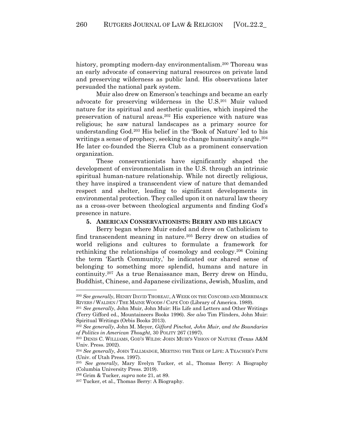history, prompting modern-day environmentalism.<sup>200</sup> Thoreau was an early advocate of conserving natural resources on private land and preserving wilderness as public land. His observations later persuaded the national park system.

Muir also drew on Emerson's teachings and became an early advocate for preserving wilderness in the U.S.201 Muir valued nature for its spiritual and aesthetic qualities, which inspired the preservation of natural areas.202 His experience with nature was religious; he saw natural landscapes as a primary source for understanding God.203 His belief in the 'Book of Nature' led to his writings a sense of prophecy, seeking to change humanity's angle.<sup>204</sup> He later co-founded the Sierra Club as a prominent conservation organization.

These conservationists have significantly shaped the development of environmentalism in the U.S. through an intrinsic spiritual human-nature relationship. While not directly religious, they have inspired a transcendent view of nature that demanded respect and shelter, leading to significant developments in environmental protection. They called upon it on natural law theory as a cross-over between theological arguments and finding God's presence in nature.

#### **5. AMERICAN CONSERVATIONISTS: BERRY AND HIS LEGACY**

Berry began where Muir ended and drew on Catholicism to find transcendent meaning in nature. <sup>205</sup> Berry drew on studies of world religions and cultures to formulate a framework for rethinking the relationships of cosmology and ecology.206 Coining the term 'Earth Community,' he indicated our shared sense of belonging to something more splendid, humans and nature in continuity.207 As a true Renaissance man, Berry drew on Hindu, Buddhist, Chinese, and Japanese civilizations, Jewish, Muslim, and

<sup>200</sup> *See generally*, HENRY DAVID THOREAU, A WEEK ON THE CONCORD AND MERRIMACK RIVERS / WALDEN / THE MAINE WOODS / CAPE COD (Library of America. 1989).

<sup>201</sup> *See generally*, John Muir, John Muir: His Life and Letters and Other Writings (Terry Gifford ed., Mountaineers Books 1996). *See also* Tim Flinders, John Muir: Spiritual Writings (Orbis Books 2013).

<sup>202</sup> *See generally*, John M. Meyer, *Gifford Pinchot, John Muir, and the Boundaries of Politics in American Thought*, 30 POLITY 267 (1997).

<sup>203</sup> DENIS C. WILLIAMS, GOD'S WILDS: JOHN MUIR'S VISION OF NATURE (Texas A&M Univ. Press. 2002).

<sup>204</sup> *See generally*, JOHN TALLMADGE, MEETING THE TREE OF LIFE: A TEACHER'S PATH (Univ. of Utah Press. 1997).

<sup>205</sup> *See generally*, Mary Evelyn Tucker, et al., Thomas Berry: A Biography (Columbia University Press. 2019).

<sup>206</sup> Grim & Tucker, *supra* note 21, at 89.

<sup>207</sup> Tucker, et al., Thomas Berry: A Biography.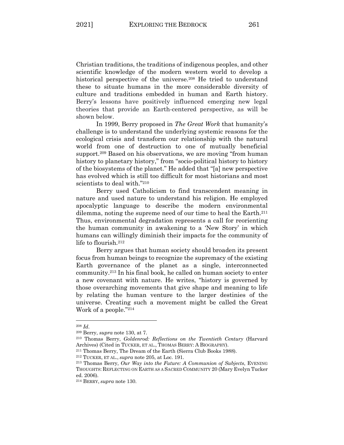Christian traditions, the traditions of indigenous peoples, and other scientific knowledge of the modern western world to develop a historical perspective of the universe.<sup>208</sup> He tried to understand these to situate humans in the more considerable diversity of culture and traditions embedded in human and Earth history. Berry's lessons have positively influenced emerging new legal theories that provide an Earth-centered perspective, as will be shown below.

In 1999, Berry proposed in *The Great Work* that humanity's challenge is to understand the underlying systemic reasons for the ecological crisis and transform our relationship with the natural world from one of destruction to one of mutually beneficial support.<sup>209</sup> Based on his observations, we are moving "from human history to planetary history," from "socio-political history to history of the biosystems of the planet." He added that "[a] new perspective has evolved which is still too difficult for most historians and most scientists to deal with."210

Berry used Catholicism to find transcendent meaning in nature and used nature to understand his religion. He employed apocalyptic language to describe the modern environmental dilemma, noting the supreme need of our time to heal the Earth.211 Thus, environmental degradation represents a call for reorienting the human community in awakening to a 'New Story' in which humans can willingly diminish their impacts for the community of life to flourish.212

Berry argues that human society should broaden its present focus from human beings to recognize the supremacy of the existing Earth governance of the planet as a single, interconnected community.213 In his final book, he called on human society to enter a new covenant with nature. He writes, "history is governed by those overarching movements that give shape and meaning to life by relating the human venture to the larger destinies of the universe. Creating such a movement might be called the Great Work of a people."214

<sup>208</sup> *Id*. 209 Berry, *supra* note 130, at 7. 210 Thomas Berry, *Goldenrod: Reflections on the Twentieth Century* (Harvard Archives) (Cited in TUCKER, ET AL., THOMAS BERRY: A BIOGRAPHY).

<sup>211</sup> Thomas Berry, The Dream of the Earth (Sierra Club Books 1988).

<sup>212</sup> TUCKER, ET AL., *supra* note 205, at Loc. 191.

<sup>213</sup> Thomas Berry, *Our Way into the Future: A Communion of Subjects*, EVENING THOUGHTS: REFLECTING ON EARTH AS A SACRED COMMUNITY 20 (Mary Evelyn Tucker ed. 2006).

<sup>214</sup> BERRY, *supra* note 130.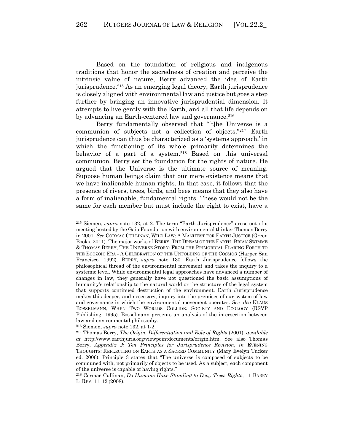Based on the foundation of religious and indigenous traditions that honor the sacredness of creation and perceive the intrinsic value of nature, Berry advanced the idea of Earth jurisprudence.215 As an emerging legal theory, Earth jurisprudence is closely aligned with environmental law and justice but goes a step further by bringing an innovative jurisprudential dimension. It attempts to live gently with the Earth, and all that life depends on by advancing an Earth-centered law and governance.<sup>216</sup>

Berry fundamentally observed that "[t]he Universe is a communion of subjects not a collection of objects."217 Earth jurisprudence can thus be characterized as a 'systems approach,' in which the functioning of its whole primarily determines the behavior of a part of a system.218 Based on this universal communion, Berry set the foundation for the rights of nature. He argued that the Universe is the ultimate source of meaning. Suppose human beings claim that our mere existence means that we have inalienable human rights. In that case, it follows that the presence of rivers, trees, birds, and bees means that they also have a form of inalienable, fundamental rights. These would not be the same for each member but must include the right to exist, have a

<sup>216</sup> Siemen, *supra* note 132, at 1-2.

<sup>215</sup> Siemen, *supra* note 132, at 2. The term "Earth Jurisprudence" arose out of a meeting hosted by the Gaia Foundation with environmental thinker Thomas Berry in 2001. *See* CORMAC CULLINAN, WILD LAW: A MANIFEST FOR EARTH JUSTICE (Green Books. 2011). The major works of BERRY, THE DREAM OF THE EARTH. BRIAN SWIMME & THOMAS BERRY, THE UNIVERSE STORY: FROM THE PRIMORDIAL FLARING FORTH TO THE ECOZOIC ERA - A CELEBRATION OF THE UNFOLDING OF THE COSMOS (Harper San Francisco. 1992). BERRY, *supra* note 130. Earth Jurisprudence follows the philosophical thread of the environmental movement and takes the inquiry to a systemic level. While environmental legal approaches have advanced a number of changes in law, they generally have not questioned the basic assumptions of humanity's relationship to the natural world or the structure of the legal system that supports continued destruction of the environment. Earth Jurisprudence makes this deeper, and necessary, inquiry into the premises of our system of law and governance in which the environmental movement operates. *See also* KLAUS BOSSELMANN, WHEN TWO WORLDS COLLIDE: SOCIETY AND ECOLOGY (RSVP Publishing. 1995). Bosselmann presents an analysis of the intersection between law and environmental philosophy.

<sup>217</sup> Thomas Berry, *The Origin, Differentiation and Role of Rights* (2001), *available at* http://www.earthjuris.org/viewpointdocuments/origin.htm. See also Thomas Berry, *Appendix 2: Ten Principles for Jurisprudence Revision*, *in* EVENING THOUGHTS: REFLECTING ON EARTH AS A SACRED COMMUNITY (Mary Evelyn Tucker ed. 2006). Principle 3 states that "The universe is composed of subjects to be communed with, not primarily of objects to be used. As a subject, each component of the universe is capable of having rights."

<sup>218</sup> Cormac Cullinan, *Do Humans Have Standing to Deny Trees Rights*, 11 BARRY L. REV. 11; 12 (2008).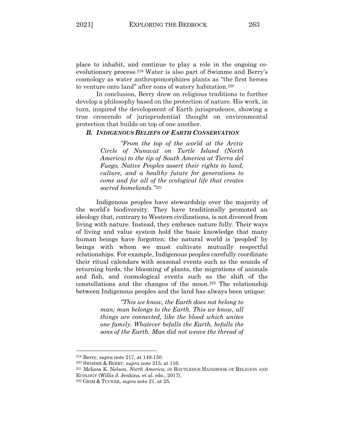place to inhabit, and continue to play a role in the ongoing coevolutionary process.219 Water is also part of Swimme and Berry's cosmology as water anthropomorphizes plants as "the first heroes to venture onto land" after eons of watery habitation.220

In conclusion, Berry drew on religious traditions to further develop a philosophy based on the protection of nature. His work, in turn, inspired the development of Earth jurisprudence, showing a true crescendo of jurisprudential thought on environmental protection that builds on top of one another.

### *B. INDIGENOUS BELIEFS OF EARTH CONSERVATION*

*"From the top of the world at the Arctic Circle of Nunavut on Turtle Island (North America) to the tip of South America at Tierra del Fuego, Native Peoples assert their rights to land, culture, and a healthy future for generations to come and for all of the ecological life that creates sacred homelands."221*

Indigenous peoples have stewardship over the majority of the world's biodiversity. They have traditionally promoted an ideology that, contrary to Western civilizations, is not divorced from living with nature. Instead, they embrace nature fully. Their ways of living and value system hold the basic knowledge that many human beings have forgotten: the natural world is 'peopled' by beings with whom we must cultivate mutually respectful relationships. For example, Indigenous peoples carefully coordinate their ritual calendars with seasonal events such as the sounds of returning birds, the blooming of plants, the migrations of animals and fish, and cosmological events such as the shift of the constellations and the changes of the moon.222 The relationship between Indigenous peoples and the land has always been unique:

> *"This we know, the Earth does not belong to man; man belongs to the Earth. This we know, all things are connected, like the blood which unites one family. Whatever befalls the Earth, befalls the sons of the Earth. Man did not weave the thread of*

<sup>219</sup> Berry, *supra* note 217, at 149-150. 220 SWIMME & BERRY, *supra* note 215, at 116. 221 Melissa K. Nelson, *North America*, *in* ROUTLEDGE HANDBOOK OF RELIGION AND ECOLOGY (Willis J. Jenkins, et al. eds., 2017).

<sup>222</sup> GRIM & TUCKER, *supra* note 21, at 25.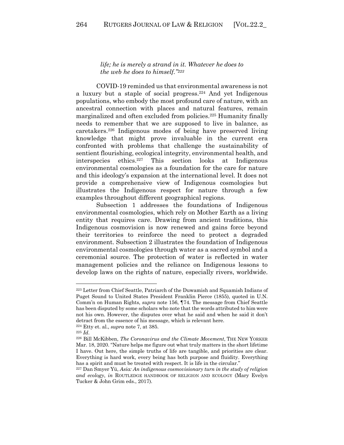### *life; he is merely a strand in it. Whatever he does to the web he does to himself."223*

COVID-19 reminded us that environmental awareness is not a luxury but a staple of social progress.224 And yet Indigenous populations, who embody the most profound care of nature, with an ancestral connection with places and natural features, remain marginalized and often excluded from policies.225 Humanity finally needs to remember that we are supposed to live in balance, as caretakers.226 Indigenous modes of being have preserved living knowledge that might prove invaluable in the current era confronted with problems that challenge the sustainability of sentient flourishing, ecological integrity, environmental health, and interspecies ethics.227 This section looks at Indigenous environmental cosmologies as a foundation for the care for nature and this ideology's expansion at the international level. It does not provide a comprehensive view of Indigenous cosmologies but illustrates the Indigenous respect for nature through a few examples throughout different geographical regions.

Subsection 1 addresses the foundations of Indigenous environmental cosmologies, which rely on Mother Earth as a living entity that requires care. Drawing from ancient traditions, this Indigenous cosmovision is now renewed and gains force beyond their territories to reinforce the need to protect a degraded environment. Subsection 2 illustrates the foundation of Indigenous environmental cosmologies through water as a sacred symbol and a ceremonial source. The protection of water is reflected in water management policies and the reliance on Indigenous lessons to develop laws on the rights of nature, especially rivers, worldwide.

<sup>223</sup> Letter from Chief Seattle, Patriarch of the Duwamish and Squamish Indians of Puget Sound to United States President Franklin Pierce (1855), quoted in U.N. Comm'n on Human Rights, *supra* note 156, ¶74. The message from Chief Seattle has been disputed by some scholars who note that the words attributed to him were not his own. However, the disputes over what he said and when he said it don't detract from the essence of his message, which is relevant here. 224 Etty et. al., *supra* note 7, at 385. 225 *Id*. 226 Bill McKibben, *The Coronavirus and the Climate Movement*, THE NEW YORKER

Mar. 18, 2020. "Nature helps me figure out what truly matters in the short lifetime I have. Out here, the simple truths of life are tangible, and priorities are clear. Everything is hard work, every being has both purpose and fluidity. Everything has a spirit and must be treated with respect. It is life in the circular."

<sup>227</sup> Dan Smyer Yü, *Asia: An indigenous cosmovisionary turn in the study of religion and ecology*, *in* ROUTLEDGE HANDBOOK OF RELIGION AND ECOLOGY (Mary Evelyn Tucker & John Grim eds., 2017).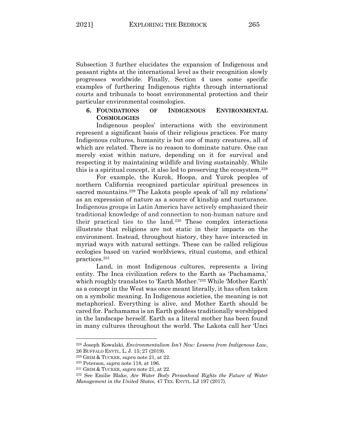Subsection 3 further elucidates the expansion of Indigenous and peasant rights at the international level as their recognition slowly progresses worldwide. Finally, Section 4 uses some specific examples of furthering Indigenous rights through international courts and tribunals to boost environmental protection and their particular environmental cosmologies.

## **6. FOUNDATIONS OF INDIGENOUS ENVIRONMENTAL COSMOLOGIES**

Indigenous peoples' interactions with the environment represent a significant basis of their religious practices. For many Indigenous cultures, humanity is but one of many creatures, all of which are related. There is no reason to dominate nature. One can merely exist within nature, depending on it for survival and respecting it by maintaining wildlife and living sustainably. While this is a spiritual concept, it also led to preserving the ecosystem.228

For example, the Kurok, Hoopa, and Yurok peoples of northern California recognized particular spiritual presences in sacred mountains.<sup>229</sup> The Lakota people speak of 'all my relations' as an expression of nature as a source of kinship and nurturance. Indigenous groups in Latin America have actively emphasized their traditional knowledge of and connection to non-human nature and their practical ties to the land.230 These complex interactions illustrate that religions are not static in their impacts on the environment. Instead, throughout history, they have interacted in myriad ways with natural settings. These can be called religious ecologies based on varied worldviews, ritual customs, and ethical practices.231

Land, in most Indigenous cultures, represents a living entity. The Inca civilization refers to the Earth as 'Pachamama,' which roughly translates to 'Earth Mother.'232 While 'Mother Earth' as a concept in the West was once meant literally, it has often taken on a symbolic meaning. In Indigenous societies, the meaning is not metaphorical. Everything is alive, and Mother Earth should be cared for. Pachamama is an Earth goddess traditionally worshipped in the landscape herself. Earth as a literal mother has been found in many cultures throughout the world. The Lakota call her 'Unci

<sup>228</sup> Joseph Kowalski, *Environmentalism Isn't New: Lessens from Indigenous Law*, 26 BUFFALO ENVTL. L. J. 15; 27 (2019).

<sup>229</sup> GRIM & TUCKER, *supra* note 21, at 22.

<sup>230</sup> Peterson, *supra* note 118, at 196. 231 GRIM & TUCKER, *supra* note 21, at 22.

<sup>232</sup> See Emilie Blake, *Are Water Body Personhood Rights the Future of Water Management in the United States*, 47 TEX. ENVTL. LJ 197 (2017).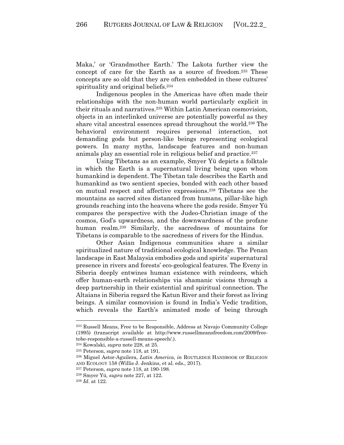Maka,' or 'Grandmother Earth.' The Lakota further view the concept of care for the Earth as a source of freedom.233 These concepts are so old that they are often embedded in these cultures' spirituality and original beliefs.234

Indigenous peoples in the Americas have often made their relationships with the non-human world particularly explicit in their rituals and narratives.235 Within Latin American cosmovision, objects in an interlinked universe are potentially powerful as they share vital ancestral essences spread throughout the world.236 The behavioral environment requires personal interaction, not demanding gods but person-like beings representing ecological powers. In many myths, landscape features and non-human animals play an essential role in religious belief and practice.237

Using Tibetans as an example, Smyer Yü depicts a folktale in which the Earth is a supernatural living being upon whom humankind is dependent. The Tibetan tale describes the Earth and humankind as two sentient species, bonded with each other based on mutual respect and affective expressions.238 Tibetans see the mountains as sacred sites distanced from humans, pillar-like high grounds reaching into the heavens where the gods reside. Smyer Yü compares the perspective with the Judeo-Christian image of the cosmos, God's upwardness, and the downwardness of the profane human realm.<sup>239</sup> Similarly, the sacredness of mountains for Tibetans is comparable to the sacredness of rivers for the Hindus.

Other Asian Indigenous communities share a similar spiritualized nature of traditional ecological knowledge. The Penan landscape in East Malaysia embodies gods and spirits' supernatural presence in rivers and forests' eco-geological features. The Eveny in Siberia deeply entwines human existence with reindeers, which offer human-earth relationships via shamanic visions through a deep partnership in their existential and spiritual connection. The Altaians in Siberia regard the Katun River and their forest as living beings. A similar cosmovision is found in India's Vedic tradition, which reveals the Earth's animated mode of being through

<sup>233</sup> Russell Means, Free to be Responsible, Address at Navajo Community College (1995) (transcript available at http://www.russellmeansfreedom.com/2009/freetobe-responsible-a-russell-means-speech/.).

<sup>234</sup> Kowalski, *supra* note 228, at 25.

<sup>&</sup>lt;sup>235</sup> Peterson, *supra* note 118, at 191.<br><sup>236</sup> Miguel Astor-Aguilera, *Latin America*, *in* ROUTLEDGE HANDBOOK OF RELIGION AND ECOLOGY 158 (Willis J. Jenkins, et al. eds., 2017).

<sup>237</sup> Peterson, *supra* note 118, at 190-198. 238 Smyer Yü, *supra* note 227, at 122. 239 *Id*. at 122.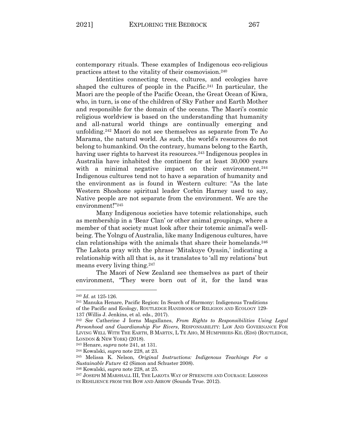contemporary rituals. These examples of Indigenous eco-religious practices attest to the vitality of their cosmovision.240

Identities connecting trees, cultures, and ecologies have shaped the cultures of people in the Pacific.241 In particular, the Maori are the people of the Pacific Ocean, the Great Ocean of Kiwa, who, in turn, is one of the children of Sky Father and Earth Mother and responsible for the domain of the oceans. The Maori's cosmic religious worldview is based on the understanding that humanity and all-natural world things are continually emerging and unfolding.242 Maori do not see themselves as separate from Te Ao Marama, the natural world. As such, the world's resources do not belong to humankind. On the contrary, humans belong to the Earth, having user rights to harvest its resources.<sup>243</sup> Indigenous peoples in Australia have inhabited the continent for at least 30,000 years with a minimal negative impact on their environment.<sup>244</sup> Indigenous cultures tend not to have a separation of humanity and the environment as is found in Western culture: "As the late Western Shoshone spiritual leader Corbin Harney used to say, Native people are not separate from the environment. We are the environment!"245

Many Indigenous societies have totemic relationships, such as membership in a 'Bear Clan' or other animal groupings, where a member of that society must look after their totemic animal's wellbeing. The Yolngu of Australia, like many Indigenous cultures, have clan relationships with the animals that share their homelands.246 The Lakota pray with the phrase 'Mitakuye Oyasin,' indicating a relationship with all that is, as it translates to 'all my relations' but means every living thing.247

The Maori of New Zealand see themselves as part of their environment, "They were born out of it, for the land was

<sup>240</sup> *Id*. at 125-126.

<sup>241</sup> Manuka Henare, Pacific Region: In Search of Harmony: Indigenous Traditions of the Pacific and Ecology, ROUTLEDGE HANDBOOK OF RELIGION AND ECOLOGY 129- 137 (Willis J. Jenkins, et al. eds., 2017).

<sup>242</sup> *See* Catherine J Iorns Magallanes, *From Rights to Responsibilities Using Legal Personhood and Guardianship For Rivers*, RESPONSABILITY: LAW AND GOVERNANCE FOR LIVING WELL WITH THE EARTH, B MARTIN, L TE AHO, M HUMPHRIES-KIL (EDS) (ROUTLEDGE, LONDON & NEW YORK) (2018).

<sup>243</sup> Henare, *supra* note 241, at 131. 244 Kowalski, *supra* note 228, at 23. 245 Melissa K. Nelson, *Original Instructions: Indigenous Teachings For <sup>a</sup> Sustainable Future* 42 (Simon and Schuster 2008).

<sup>246</sup> Kowalski, *supra* note 228, at 25.

<sup>247</sup> JOSEPH M MARSHALL III, THE LAKOTA WAY OF STRENGTH AND COURAGE: LESSONS IN RESILIENCE FROM THE BOW AND ARROW (Sounds True. 2012).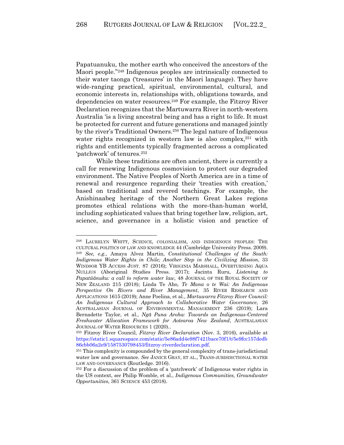Papatuanuku, the mother earth who conceived the ancestors of the Maori people."248 Indigenous peoples are intrinsically connected to their water taonga ('treasures' in the Maori language). They have wide-ranging practical, spiritual, environmental, cultural, and economic interests in, relationships with, obligations towards, and dependencies on water resources.249 For example, the Fitzroy River Declaration recognizes that the Martuwarra River in north-western Australia 'is a living ancestral being and has a right to life. It must be protected for current and future generations and managed jointly by the river's Traditional Owners.250 The legal nature of Indigenous water rights recognized in western law is also complex,<sup>251</sup> with rights and entitlements typically fragmented across a complicated 'patchwork' of tenures.252

While these traditions are often ancient, there is currently a call for renewing Indigenous cosmovision to protect our degraded environment. The Native Peoples of North America are in a time of renewal and resurgence regarding their 'treaties with creation,' based on traditional and revered teachings. For example, the Anishinaabeg heritage of the Northern Great Lakes regions promotes ethical relations with the more-than-human world, including sophisticated values that bring together law, religion, art, science, and governance in a holistic vision and practice of

<sup>248</sup> LAURELYN WHITT, SCIENCE, COLONIALISM, AND INDIGENOUS PEOPLES: THE CULTURAL POLITICS OF LAW AND KNOWLEDGE 44 (Cambridge University Press. 2009). <sup>249</sup> *See, e.g.*, Amaya Alvez Martin, *Constitutional Challenges of the South: Indigenous Water Rights in Chile; Another Step in the Civilizing Mission*, 33 WINDSOR YB ACCESS JUST. 87 (2016); VIRIGINIA MARSHALL, OVERTURNING AQUA NULLIUS (Aboriginal Studies Press. 2017); Jacinta Ruru, *Listening to Papatūānuku: a call to reform water law*, 48 JOURNAL OF THE ROYAL SOCIETY OF NEW ZEALAND 215 (2018); Linda Te Aho, *Te Mana o te Wai: An Indigenous Perspective On Rivers and River Management*, 35 RIVER RESEARCH AND APPLICATIONS 1615 (2019); Anne Poelina, et al., *Martuwarra Fitzroy River Council: An Indigenous Cultural Approach to Collaborative Water Governance*, 26 AUSTRALASIAN JOURNAL OF ENVIRONMENTAL MANAGEMENT 236 (2019); Lara Bernadette Taylor, et al., *Ngā Puna Aroha: Towards an Indigenous-Centered Freshwater Allocation Framework for Aotearoa New Zealand*, AUSTRALASIAN JOURNAL OF WATER RESOURCES 1 (2020)..

<sup>250</sup> Fitzroy River Council, *Fitzroy River Declaration* (Nov. 3, 2016), available at https://static1.squarespace.com/static/5e86add4e98f7421bace70f1/t/5e9fcc157dedb 86cbb06a2e9/1587530798453/fitzroy-riverdeclaration.pdf.

<sup>251</sup> This complexity is compounded by the general complexity of trans-jurisdictional water law and governance. *See* JANICE GRAY, ET AL., TRANS-JURISDICTIONAL WATER LAW AND GOVERNANCE (Routledge. 2016).

<sup>252</sup> For a discussion of the problem of a 'patchwork' of Indigenous water rights in the US context, *see* Philip Womble, et al., *Indigenous Communities, Groundwater Opportunities*, 361 SCIENCE 453 (2018).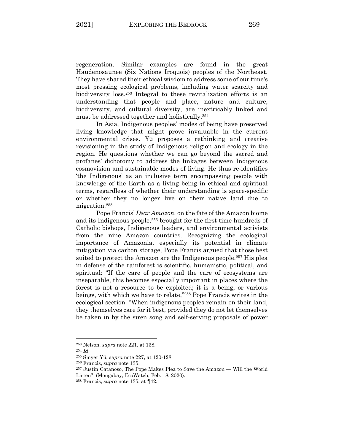regeneration. Similar examples are found in the great Haudenosaunee (Six Nations Iroquois) peoples of the Northeast. They have shared their ethical wisdom to address some of our time's most pressing ecological problems, including water scarcity and biodiversity loss.253 Integral to these revitalization efforts is an understanding that people and place, nature and culture, biodiversity, and cultural diversity, are inextricably linked and must be addressed together and holistically.254

In Asia, Indigenous peoples' modes of being have preserved living knowledge that might prove invaluable in the current environmental crises. Yü proposes a rethinking and creative revisioning in the study of Indigenous religion and ecology in the region. He questions whether we can go beyond the sacred and profanes' dichotomy to address the linkages between Indigenous cosmovision and sustainable modes of living. He thus re-identifies 'the Indigenous' as an inclusive term encompassing people with knowledge of the Earth as a living being in ethical and spiritual terms, regardless of whether their understanding is space-specific or whether they no longer live on their native land due to migration.255

Pope Francis' *Dear Amazon*, on the fate of the Amazon biome and its Indigenous people, <sup>256</sup> brought for the first time hundreds of Catholic bishops, Indigenous leaders, and environmental activists from the nine Amazon countries. Recognizing the ecological importance of Amazonia, especially its potential in climate mitigation via carbon storage, Pope Francis argued that those best suited to protect the Amazon are the Indigenous people.257 His plea in defense of the rainforest is scientific, humanistic, political, and spiritual: "If the care of people and the care of ecosystems are inseparable, this becomes especially important in places where the forest is not a resource to be exploited; it is a being, or various beings, with which we have to relate,"258 Pope Francis writes in the ecological section. "When indigenous peoples remain on their land, they themselves care for it best, provided they do not let themselves be taken in by the siren song and self-serving proposals of power

<sup>253</sup> Nelson, *supra* note 221, at 138. 254 *Id*.

<sup>255</sup> Smyer Yü, *supra* note 227, at 120-128. 256 Francis, *supra* note 135.

<sup>257</sup> Justin Catanoso, The Pope Makes Plea to Save the Amazon — Will the World Listen? (Mongabay, EcoWatch, Feb. 18, 2020).

<sup>258</sup> Francis, *supra* note 135, at ¶42.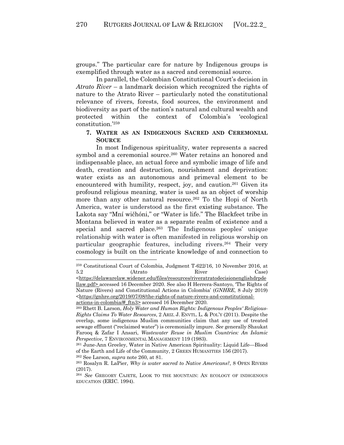groups." The particular care for nature by Indigenous groups is exemplified through water as a sacred and ceremonial source.

In parallel, the Colombian Constitutional Court's decision in *Atrato River* – a landmark decision which recognized the rights of nature to the Atrato River – particularly noted the constitutional relevance of rivers, forests, food sources, the environment and biodiversity as part of the nation's natural and cultural wealth and protected within the context of Colombia's 'ecological constitution.'259

## **7. WATER AS AN INDIGENOUS SACRED AND CEREMONIAL SOURCE**

In most Indigenous spirituality, water represents a sacred symbol and a ceremonial source.<sup>260</sup> Water retains an honored and indispensable place, an actual force and symbolic image of life and death, creation and destruction, nourishment and deprivation: water exists as an autonomous and primeval element to be encountered with humility, respect, joy, and caution.<sup>261</sup> Given its profound religious meaning, water is used as an object of worship more than any other natural resource.262 To the Hopi of North America, water is understood as the first existing substance. The Lakota say "Mní wičhóni," or "Water is life." The Blackfeet tribe in Montana believed in water as a separate realm of existence and a special and sacred place.<sup>263</sup> The Indigenous peoples' unique relationship with water is often manifested in religious worship on particular geographic features, including rivers.<sup>264</sup> Their very cosmology is built on the intricate knowledge of and connection to

<sup>259</sup> Constitutional Court of Colombia, Judgment T-622/16, 10 November 2016, at 5.2 (Atrato River Case) <https://delawarelaw.widener.edu/files/resources/riveratratodecisionenglishdrpde llaw.pdf> accessed 16 December 2020. See also H Herrera-Santoyo, 'The Rights of Nature (Rivers) and Constitutional Actions in Colombia' (*GNHRE*, 8 July 2019) <https://gnhre.org/2019/07/08/the-rights-of-nature-rivers-and-constitutionalactions-in-colombia/#\_ftn3> accessed 16 December 2020.

<sup>260</sup> Rhett B. Larson, *Holy Water and Human Rights: Indigenous Peoples' Religious-Rights Claims To Water Resources*, 2 ARIZ. J. ENVTL. L. & POL'Y (2011). Despite the overlap, some indigenous Muslim communities claim that any use of treated sewage effluent ("reclaimed water") is ceremonially impure. *See* generally Shaukat Farooq & Zafar I Ansari, *Wastewater Reuse in Muslim Countries: An Islamic Perspective*, 7 ENVIRONMENTAL MANAGEMENT 119 (1983).

<sup>261</sup> June-Ann Greeley, Water in Native American Spirituality: Liquid Life—Blood of the Earth and Life of the Community, 2 GREEN HUMANITIES 156 (2017). <sup>262</sup> See Larson, *supra* note 260, at 81.

<sup>263</sup> Rosalyn R. LaPier, *Why is water sacred to Native Americans?*, 8 OPEN RIVERS (2017).

<sup>264</sup> *See* GREGORY CAJETE, LOOK TO THE MOUNTAIN: AN ECOLOGY OF INDIGENOUS EDUCATION (ERIC. 1994).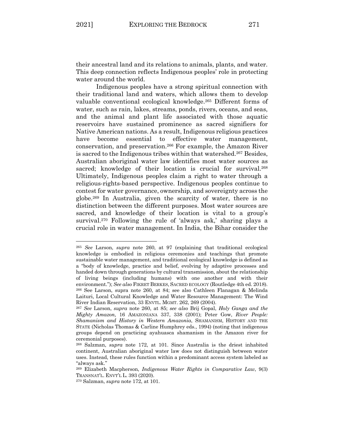their ancestral land and its relations to animals, plants, and water. This deep connection reflects Indigenous peoples' role in protecting water around the world.

Indigenous peoples have a strong spiritual connection with their traditional land and waters, which allows them to develop valuable conventional ecological knowledge.265 Different forms of water, such as rain, lakes, streams, ponds, rivers, oceans, and seas, and the animal and plant life associated with those aquatic reservoirs have sustained prominence as sacred signifiers for Native American nations. As a result, Indigenous religious practices have become essential to effective water management, conservation, and preservation.266 For example, the Amazon River is sacred to the Indigenous tribes within that watershed.267 Besides, Australian aboriginal water law identifies most water sources as sacred; knowledge of their location is crucial for survival.<sup>268</sup> Ultimately, Indigenous peoples claim a right to water through a religious-rights-based perspective. Indigenous peoples continue to contest for water governance, ownership, and sovereignty across the globe.269 In Australia, given the scarcity of water, there is no distinction between the different purposes. Most water sources are sacred, and knowledge of their location is vital to a group's survival.<sup>270</sup> Following the rule of 'always ask,' sharing plays a crucial role in water management. In India, the Bihar consider the

<sup>265</sup> *See* Larson, *supra* note 260, at 97 (explaining that traditional ecological knowledge is embodied in religious ceremonies and teachings that promote sustainable water management, and traditional ecological knowledge is defined as a "body of knowledge, practice and belief, evolving by adaptive processes and handed down through generations by cultural transmission, about the relationship of living beings (including humans) with one another and with their environment."); *See also* FIKRET BERKES, SACRED ECOLOGY (Routledge 4th ed. 2018). <sup>266</sup> See Larson, supra note 260, at 84; see also Cathleen Flanagan & Melinda Laituri, Local Cultural Knowledge and Water Resource Management: The Wind River Indian Reservation, 33 ENVTL. MGMT. 262, 269 (2004).

<sup>267</sup> *See* Larson, *supra* note 260, at 85; *see also* Brij Gopal, *Holy Ganga and the Mighty Amazon,* 16 AMAZONIANA 337, 338 (2001); Peter Gow, *River People: Shamanism and History in Western Amazonia*, SHAMANISM, HISTORY AND THE STATE (Nicholas Thomas & Carline Humphrey eds., 1994) (noting that indigenous groups depend on practicing ayahuasca shamanism in the Amazon river for ceremonial purposes).

<sup>268</sup> Salzman, *supra* note 172, at 101. Since Australia is the driest inhabited continent, Australian aboriginal water law does not distinguish between water uses. Instead, these rules function within a predominant access system labeled as "always ask."

<sup>269</sup> Elizabeth Macpherson, *Indigenous Water Rights in Comparative Law*, 9(3) TRANSNAT'L. ENVT'L L. 393 (2020).

<sup>270</sup> Salzman, *supra* note 172, at 101.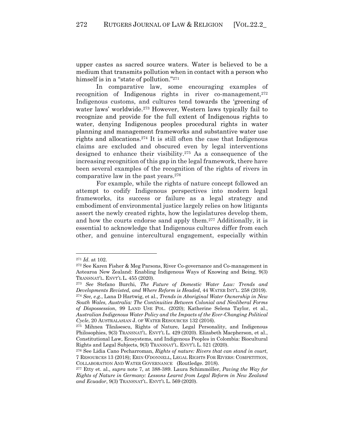upper castes as sacred source waters. Water is believed to be a medium that transmits pollution when in contact with a person who himself is in a "state of pollution."<sup>271</sup>

In comparative law, some encouraging examples of recognition of Indigenous rights in river co-management, $272$ Indigenous customs, and cultures tend towards the 'greening of water laws' worldwide.<sup>273</sup> However, Western laws typically fail to recognize and provide for the full extent of Indigenous rights to water, denying Indigenous peoples procedural rights in water planning and management frameworks and substantive water use rights and allocations.274 It is still often the case that Indigenous claims are excluded and obscured even by legal interventions designed to enhance their visibility.275 As a consequence of the increasing recognition of this gap in the legal framework, there have been several examples of the recognition of the rights of rivers in comparative law in the past years.276

For example, while the rights of nature concept followed an attempt to codify Indigenous perspectives into modern legal frameworks, its success or failure as a legal strategy and embodiment of environmental justice largely relies on how litigants assert the newly created rights, how the legislatures develop them, and how the courts endorse sand apply them.277 Additionally, it is essential to acknowledge that Indigenous cultures differ from each other, and genuine intercultural engagement, especially within

<sup>271</sup> *Id*. at 102.

<sup>272</sup> See Karen Fisher & Meg Parsons, River Co-governance and Co-management in Aotearoa New Zealand: Enabling Indigenous Ways of Knowing and Being, 9(3) TRANSNAT'L. ENVT'L L. 455 (2020).

<sup>273</sup> *See* Stefano Burchi, *The Future of Domestic Water Law: Trends and Developments Revisted, and Where Reform is Headed*, 44 WATER INT'L. 258 (2019). <sup>274</sup> *See, e.g.*, Lana D Hartwig, et al., *Trends in Aboriginal Water Ownership in New South Wales, Australia: The Continuities Between Colonial and Neoliberal Forms of Dispossession*, 99 LAND USE POL. (2020); Katherine Selena Taylor, et al., *Australian Indigenous Water Policy and the Impacts of the Ever-Changing Political Cycle*, 20 AUSTRALASIAN J. OF WATER RESOURCES 132 (2016).

<sup>275</sup> Mihnea Tănăsescu, Rights of Nature, Legal Personality, and Indigenous Philosophies, 9(3) TRANSNAT'L. ENVT'L L. 429 (2020). Elizabeth Macpherson, et al., Constitutional Law, Ecosystems, and Indigenous Peoples in Colombia: Biocultural Rights and Legal Subjects, 9(3) TRANSNAT'L. ENVT'L L. 521 (2020).

<sup>276</sup> See Lidia Cano Pecharroman, *Rights of nature: Rivers that can stand in court*, 7 RESOURCES 13 (2018); ERIN O'DONNELL, LEGAL RIGHTS FOR RIVERS: COMPETITION, COLLABORATION AND WATER GOVERNANCE (Routledge. 2018).

<sup>277</sup> Etty et. al., *supra* note 7, at 388-389. Laura Schimmöller, *Paving the Way for Rights of Nature in Germany: Lessons Learnt from Legal Reform in New Zealand and Ecuador*, 9(3) TRANSNAT'L. ENVT'L L. 569 (2020).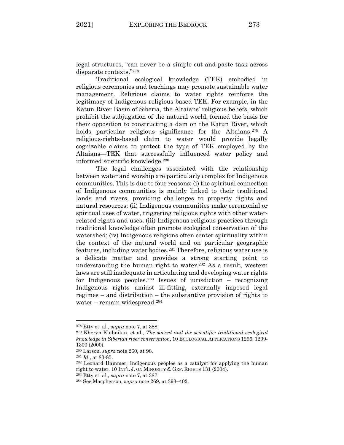legal structures, "can never be a simple cut-and-paste task across disparate contexts."278

Traditional ecological knowledge (TEK) embodied in religious ceremonies and teachings may promote sustainable water management. Religious claims to water rights reinforce the legitimacy of Indigenous religious-based TEK. For example, in the Katun River Basin of Siberia, the Altaians' religious beliefs, which prohibit the subjugation of the natural world, formed the basis for their opposition to constructing a dam on the Katun River, which holds particular religious significance for the Altaians.<sup>279</sup> A religious-rights-based claim to water would provide legally cognizable claims to protect the type of TEK employed by the Altaians—TEK that successfully influenced water policy and informed scientific knowledge.280

The legal challenges associated with the relationship between water and worship are particularly complex for Indigenous communities. This is due to four reasons: (i) the spiritual connection of Indigenous communities is mainly linked to their traditional lands and rivers, providing challenges to property rights and natural resources; (ii) Indigenous communities make ceremonial or spiritual uses of water, triggering religious rights with other waterrelated rights and uses; (iii) Indigenous religious practices through traditional knowledge often promote ecological conservation of the watershed; (iv) Indigenous religions often center spirituality within the context of the natural world and on particular geographic features, including water bodies.281 Therefore, religious water use is a delicate matter and provides a strong starting point to understanding the human right to water.282 As a result, western laws are still inadequate in articulating and developing water rights for Indigenous peoples.<sup>283</sup> Issues of jurisdiction – recognizing Indigenous rights amidst ill-fitting, externally imposed legal regimes – and distribution – the substantive provision of rights to water – remain widespread.284

<sup>278</sup> Etty et. al., *supra* note 7, at 388.

<sup>279</sup> Kheryn Klubnikin, et al., *The sacred and the scientific: traditional ecological knowledge in Siberian river conservation*, 10 ECOLOGICAL APPLICATIONS 1296; 1299- 1300 (2000).

<sup>&</sup>lt;sup>280</sup> Larson, *supra* note 260, at 98.<br><sup>281</sup> *Id*., at 83-85.<br><sup>282</sup> Leonard Hammer, Indigenous peoples as a catalyst for applying the human right to water, 10 INT'L J. ON MINORITY & GRP. RIGHTS 131 (2004).

<sup>283</sup> Etty et. al., *supra* note 7, at 387.

<sup>284</sup> See Macpherson, *supra* note 269, at 393–402.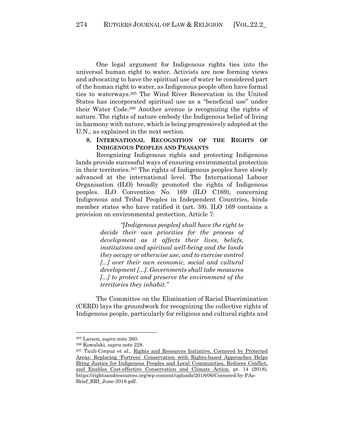One legal argument for Indigenous rights ties into the universal human right to water. Activists are now forming views and advocating to have the spiritual use of water be considered part of the human right to water, as Indigenous people often have formal ties to waterways.285 The Wind River Reservation in the United States has incorporated spiritual use as a "beneficial use" under their Water Code.286 Another avenue is recognizing the rights of nature. The rights of nature embody the Indigenous belief of living in harmony with nature, which is being progressively adopted at the U.N., as explained in the next section.

**8. INTERNATIONAL RECOGNITION OF THE RIGHTS OF INDIGENOUS PEOPLES AND PEASANTS**

Recognizing Indigenous rights and protecting Indigenous lands provide successful ways of ensuring environmental protection in their territories.287 The rights of Indigenous peoples have slowly advanced at the international level. The International Labour Organisation (ILO) broadly promoted the rights of Indigenous peoples. ILO Convention No. 169 (ILO C169), concerning Indigenous and Tribal Peoples in Independent Countries, binds member states who have ratified it (art. 38). ILO 169 contains a provision on environmental protection, Article 7:

> *"[Indigenous peoples] shall have the right to decide their own priorities for the process of development as it affects their lives, beliefs, institutions and spiritual well-being and the lands they occupy or otherwise use, and to exercise control [...] over their own economic, social and cultural development [...]. Governments shall take measures [...] to protect and preserve the environment of the territories they inhabit."*

The Committee on the Elimination of Racial Discrimination (CERD) lays the groundwork for recognizing the collective rights of Indigenous people, particularly for religious and cultural rights and

<sup>285</sup> Larson, *supra* note 260.

<sup>&</sup>lt;sup>286</sup> Kowalski, *supra* note 228.<br><sup>287</sup> Tauli-Corpuz et al., Rights and Resources Initiative, Cornered by Protected Areas: Replacing 'Fortress' Conservation with Rights-based Approaches Helps Bring Justice for Indigenous Peoples and Local Communities, Reduces Conflict, and Enables Cost-effective Conservation and Climate Action. pt. 14 (2018), https://rightsandresources.org/wp-content/uploads/2018/06/Cornered-by-PAs-Brief RRI June-2018.pdf.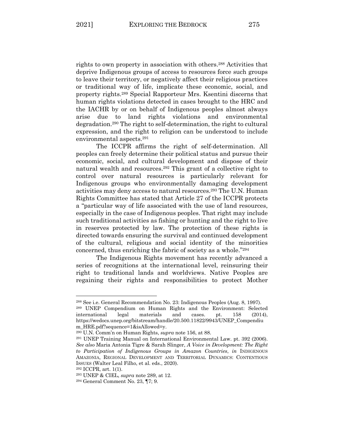rights to own property in association with others.288 Activities that deprive Indigenous groups of access to resources force such groups to leave their territory, or negatively affect their religious practices or traditional way of life, implicate these economic, social, and property rights.289 Special Rapporteur Mrs. Ksentini discerns that human rights violations detected in cases brought to the HRC and the IACHR by or on behalf of Indigenous peoples almost always arise due to land rights violations and environmental degradation.290 The right to self-determination, the right to cultural expression, and the right to religion can be understood to include environmental aspects.291

The ICCPR affirms the right of self-determination. All peoples can freely determine their political status and pursue their economic, social, and cultural development and dispose of their natural wealth and resources.292 This grant of a collective right to control over natural resources is particularly relevant for Indigenous groups who environmentally damaging development activities may deny access to natural resources. <sup>293</sup> The U.N. Human Rights Committee has stated that Article 27 of the ICCPR protects a "particular way of life associated with the use of land resources, especially in the case of Indigenous peoples. That right may include such traditional activities as fishing or hunting and the right to live in reserves protected by law. The protection of these rights is directed towards ensuring the survival and continued development of the cultural, religious and social identity of the minorities concerned, thus enriching the fabric of society as a whole."294

The Indigenous Rights movement has recently advanced a series of recognitions at the international level, reinsuring their right to traditional lands and worldviews. Native Peoples are regaining their rights and responsibilities to protect Mother

<sup>288</sup> See i.e. General Recommendation No. 23: Indigenous Peoples (Aug. 8, 1997).

<sup>289</sup> UNEP Compendium on Human Rights and the Environment: Selected international legal materials and cases. pt. 158 (2014), https://wedocs.unep.org/bitstream/handle/20.500.11822/9943/UNEP\_Compendiu m\_HRE.pdf?sequence=1&isAllowed=y. 290 U.N. Comm'n on Human Rights, *supra* note 156, at 88.

<sup>291</sup> UNEP Training Manual on International Environmental Law. pt. 392 (2006). *See also* Maria Antonia Tigre & Sarah Slinger, *A Voice in Development: The Right to Participation of Indigenous Groups in Amazon Countries*, *in* INDIGENOUS AMAZONIA, REGIONAL DEVELOPMENT AND TERRITORIAL DYNAMICS: CONTENTIOUS ISSUES (Walter Leal Filho, et al. eds., 2020).

<sup>292</sup> ICCPR, art. 1(1). 293 UNEP & CIEL, *supra* note 289, at 12.

<sup>294</sup> General Comment No. 23, ¶7; 9.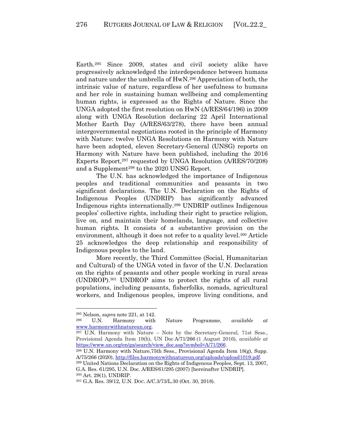Earth.295 Since 2009, states and civil society alike have progressively acknowledged the interdependence between humans and nature under the umbrella of HwN. <sup>296</sup> Appreciation of both, the intrinsic value of nature, regardless of her usefulness to humans and her role in sustaining human wellbeing and complementing human rights, is expressed as the Rights of Nature. Since the UNGA adopted the first resolution on HwN (A/RES/64/196) in 2009 along with UNGA Resolution declaring 22 April International Mother Earth Day (A/RES/63/278), there have been annual intergovernmental negotiations rooted in the principle of Harmony with Nature: twelve UNGA Resolutions on Harmony with Nature have been adopted, eleven Secretary-General (UNSG) reports on Harmony with Nature have been published, including the 2016 Experts Report,297 requested by UNGA Resolution (A/RES/70/208) and a Supplement<sup>298</sup> to the 2020 UNSG Report.

The U.N. has acknowledged the importance of Indigenous peoples and traditional communities and peasants in two significant declarations. The U.N. Declaration on the Rights of Indigenous Peoples (UNDRIP) has significantly advanced Indigenous rights internationally.299 UNDRIP outlines Indigenous peoples' collective rights, including their right to practice religion, live on, and maintain their homelands, language, and collective human rights. It consists of a substantive provision on the environment, although it does not refer to a quality level.<sup>300</sup> Article 25 acknowledges the deep relationship and responsibility of Indigenous peoples to the land.

More recently, the Third Committee (Social, Humanitarian and Cultural) of the UNGA voted in favor of the U.N. Declaration on the rights of peasants and other people working in rural areas (UNDROP).301 UNDROP aims to protect the rights of all rural populations, including peasants, fisherfolks, nomads, agricultural workers, and Indigenous peoples, improve living conditions, and

<sup>295</sup> Nelson, *supra* note 221, at 142. 296 U.N. Harmony with Nature Programme, *available at*

www.harmonywithnatureun.org.<br><sup>297</sup> U.N. Harmony with Nature – Note by the Secretary-General, 71st Sess., Provisional Agenda Item 19(h), UN Doc A/71/266 (1 August 2016), *available at* https://www.un.org/en/ga/search/view\_doc.asp?symbol=A/71/266.<br><sup>298</sup> U.N. Harmony with Nature,75th Sess., Provisional Agenda Item 18(g), Supp.

A/75/266 (2020), http://files.harmonywithnatureun.org/uploads/upload1019.pdf.

<sup>299</sup> United Nations Declaration on the Rights of Indigenous Peoples, Sept. 13, 2007, G.A. Res. 61/295, U.N. Doc. A/RES/61/295 (2007) [hereinafter UNDRIP].

<sup>300</sup> Art. 29(1), UNDRIP.<br><sup>301</sup> G.A. Res. 39/12, U.N. Doc. A/C.3/73/L.30 (Oct. 30, 2018).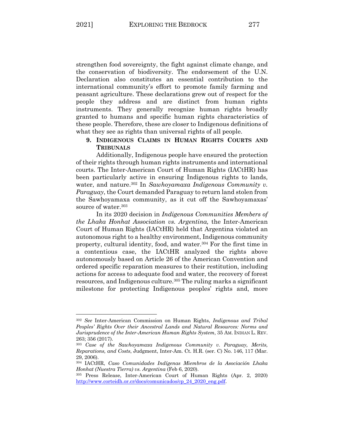strengthen food sovereignty, the fight against climate change, and the conservation of biodiversity. The endorsement of the U.N. Declaration also constitutes an essential contribution to the international community's effort to promote family farming and peasant agriculture. These declarations grew out of respect for the people they address and are distinct from human rights instruments. They generally recognize human rights broadly

granted to humans and specific human rights characteristics of these people. Therefore, these are closer to Indigenous definitions of what they see as rights than universal rights of all people.

# **9. INDIGENOUS CLAIMS IN HUMAN RIGHTS COURTS AND TRIBUNALS**

Additionally, Indigenous people have ensured the protection of their rights through human rights instruments and international courts. The Inter-American Court of Human Rights (IACtHR) has been particularly active in ensuring Indigenous rights to lands, water, and nature.302 In *Sawhoyamaxa Indigenous Community v. Paraguay*, the Court demanded Paraguay to return land stolen from the Sawhoyamaxa community, as it cut off the Sawhoyamaxas' source of water.<sup>303</sup>

In its 2020 decision in *Indigenous Communities Members of the Lhaka Honhat Association vs. Argentina,* the Inter-American Court of Human Rights (IACtHR) held that Argentina violated an autonomous right to a healthy environment, Indigenous community property, cultural identity, food, and water.<sup>304</sup> For the first time in a contentious case, the IACtHR analyzed the rights above autonomously based on Article 26 of the American Convention and ordered specific reparation measures to their restitution, including actions for access to adequate food and water, the recovery of forest resources, and Indigenous culture.<sup>305</sup> The ruling marks a significant milestone for protecting Indigenous peoples' rights and, more

<sup>302</sup> *See* Inter-American Commission on Human Rights, *Indigenous and Tribal Peoples' Rights Over their Ancestral Lands and Natural Resources: Norms and Jurisprudence of the Inter-American Human Rights System*, 35 AM. INDIAN L. REV. 263; 356 (2017).

<sup>303</sup> *Case of the Sawhoyamaxa Indigenous Community v. Paraguay, Merits, Reparations, and Costs*, Judgment, Inter-Am. Ct. H.R. (ser. C) No. 146, 117 (Mar. 29, 2006).

<sup>304</sup> IACtHR, *Caso Comunidades Indígenas Miembros de la Asociación Lhaka Honhat (Nuestra Tierra) vs. Argentina* (Feb 6, 2020). 305 Press Release, Inter-American Court of Human Rights (Apr. 2, 2020)

http://www.corteidh.or.cr/docs/comunicados/cp\_24\_2020\_eng.pdf.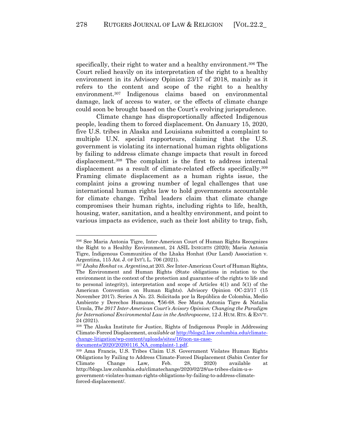specifically, their right to water and a healthy environment.<sup>306</sup> The Court relied heavily on its interpretation of the right to a healthy environment in its Advisory Opinion 23/17 of 2018, mainly as it refers to the content and scope of the right to a healthy environment.307 Indigenous claims based on environmental damage, lack of access to water, or the effects of climate change could soon be brought based on the Court's evolving jurisprudence.

Climate change has disproportionally affected Indigenous people, leading them to forced displacement. On January 15, 2020, five U.S. tribes in Alaska and Louisiana submitted a complaint to multiple U.N. special rapporteurs, claiming that the U.S. government is violating its international human rights obligations by failing to address climate change impacts that result in forced displacement.308 The complaint is the first to address internal displacement as a result of climate-related effects specifically.<sup>309</sup> Framing climate displacement as a human rights issue, the complaint joins a growing number of legal challenges that use international human rights law to hold governments accountable for climate change. Tribal leaders claim that climate change compromises their human rights, including rights to life, health, housing, water, sanitation, and a healthy environment, and point to various impacts as evidence, such as their lost ability to trap, fish,

documents/2020/20200116\_NA\_complaint-1.pdf.

<sup>306</sup> See Maria Antonia Tigre, Inter-American Court of Human Rights Recognizes the Right to a Healthy Environment, 24 ASIL INSIGHTS (2020); Maria Antonia Tigre, Indigenous Communities of the Lhaka Honhat (Our Land) Association v. Argentina, 115 AM. J. OF INT'L L. 706 (2021).

<sup>307</sup> *Lhaka Honhat vs. Argentina*,at 203. *See* Inter-American Court of Human Rights, The Environment and Human Rights (State obligations in relation to the environment in the context of the protection and guarantee of the rights to life and to personal integrity), interpretation and scope of Articles 4(1) and 5(1) of the American Convention on Human Rights). Advisory Opinion OC-23/17 (15 November 2017). Series A No. 23. Solicitada por la República de Colombia, Medio Ambiente y Derechos Humanos, ¶56-68. See Maria Antonia Tigre & Natalia Urzola, *The 2017 Inter-American Court's Avisory Opinion: Changing the Paradigm for International Environmental Law in the Anthropocene*, 12 J. HUM. RTS. & ENV'T. 24 (2021).

<sup>308</sup> The Alaska Institute for Justice, Rights of Indigenous People in Addressing Climate-Forced Displacement, *available at* http://blogs2.law.columbia.edu/climatechange-litigation/wp-content/uploads/sites/16/non-us-case-

<sup>309</sup> Ama Francis, U.S. Tribes Claim U.S. Government Violates Human Rights Obligations by Failing to Address Climate-Forced Displacement (Sabin Center for Climate Change Law, Feb. 28, 2020) available at http://blogs.law.columbia.edu/climatechange/2020/02/28/us-tribes-claim-u-sgovernment-violates-human-rights-obligations-by-failing-to-address-climateforced-displacement/.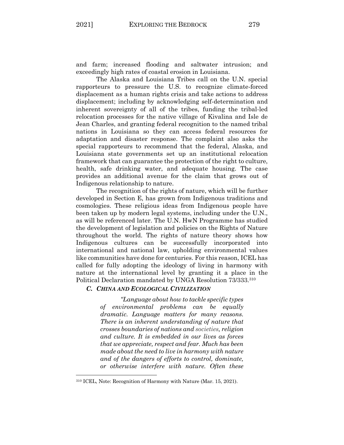and farm; increased flooding and saltwater intrusion; and exceedingly high rates of coastal erosion in Louisiana.

The Alaska and Louisiana Tribes call on the U.N. special rapporteurs to pressure the U.S. to recognize climate-forced displacement as a human rights crisis and take actions to address displacement; including by acknowledging self-determination and inherent sovereignty of all of the tribes, funding the tribal-led relocation processes for the native village of Kivalina and Isle de Jean Charles, and granting federal recognition to the named tribal nations in Louisiana so they can access federal resources for adaptation and disaster response. The complaint also asks the special rapporteurs to recommend that the federal, Alaska, and Louisiana state governments set up an institutional relocation framework that can guarantee the protection of the right to culture, health, safe drinking water, and adequate housing. The case provides an additional avenue for the claim that grows out of Indigenous relationship to nature.

The recognition of the rights of nature, which will be further developed in Section E, has grown from Indigenous traditions and cosmologies. These religious ideas from Indigenous people have been taken up by modern legal systems, including under the U.N., as will be referenced later. The U.N. HwN Programme has studied the development of legislation and policies on the Rights of Nature throughout the world. The rights of nature theory shows how Indigenous cultures can be successfully incorporated into international and national law, upholding environmental values like communities have done for centuries. For this reason, ICEL has called for fully adopting the ideology of living in harmony with nature at the international level by granting it a place in the Political Declaration mandated by UNGA Resolution 73/333.310

### *C. CHINA AND ECOLOGICAL CIVILIZATION*

*"Language about how to tackle specific types of environmental problems can be equally dramatic. Language matters for many reasons. There is an inherent understanding of nature that crosses boundaries of nations and societies, religion and culture. It is embedded in our lives as forces that we appreciate, respect and fear. Much has been made about the need to live in harmony with nature and of the dangers of efforts to control, dominate, or otherwise interfere with nature. Often these* 

<sup>310</sup> ICEL, Note: Recognition of Harmony with Nature (Mar. 15, 2021).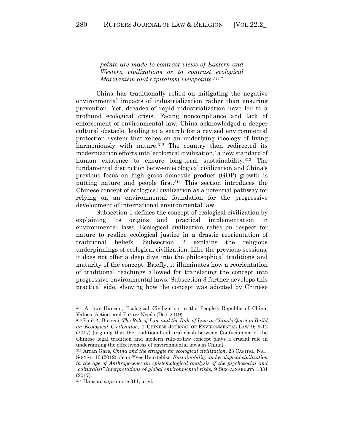*points are made to contrast views of Eastern and Western civilizations or to contrast ecological Marxianism and capitalism viewpoints.311"*

China has traditionally relied on mitigating the negative environmental impacts of industrialization rather than ensuring prevention. Yet, decades of rapid industrialization have led to a profound ecological crisis. Facing noncompliance and lack of enforcement of environmental law, China acknowledged a deeper cultural obstacle, leading to a search for a revised environmental protection system that relies on an underlying ideology of living harmoniously with nature.<sup>312</sup> The country then redirected its modernization efforts into 'ecological civilization,' a new standard of human existence to ensure long-term sustainability.<sup>313</sup> The fundamental distinction between ecological civilization and China's previous focus on high gross domestic product (GDP) growth is putting nature and people first.314 This section introduces the Chinese concept of ecological civilization as a potential pathway for relying on an environmental foundation for the progressive development of international environmental law.

Subsection 1 defines the concept of ecological civilization by explaining its origins and practical implementation in environmental laws. Ecological civilization relies on respect for nature to realize ecological justice in a drastic reorientation of traditional beliefs. Subsection 2 explains the religious underpinnings of ecological civilization. Like the previous sessions, it does not offer a deep dive into the philosophical traditions and maturity of the concept. Briefly, it illuminates how a reorientation of traditional teachings allowed for translating the concept into progressive environmental laws. Subsection 3 further develops this practical side, showing how the concept was adopted by Chinese

<sup>311</sup> Arthur Hanson, Ecological Civilization in the People's Republic of China: Values, Action, and Future Needs (Dec. 2019).

<sup>312</sup> Paul A. Barresi, *The Role of Law and the Rule of Law in China's Quest to Build an Ecological Civilization*, 1 CHINESE JOURNAL OF ENVIRONMENTAL LAW 9; 9-12 (2017) (arguing that the traditional cultural clash between Confucianism of the Chinese legal tradition and modern rule-of-law concept plays a crucial role in undermining the effectiveness of environmental laws in China).

<sup>313</sup> Arran Gare, *China and the struggle for ecological civilization*, 23 CAPITAL. NAT. SOCIAL. 10 (2012). Jean-Yves Heurtebise, *Sustainability and ecological civilization in the age of Anthropocene: an epistemological analysis of the psychosocial and "culturalist" interpretations of global environmental risks*, 9 SUSTAINABILITY 1331 (2017).

<sup>314</sup> Hanson, *supra* note 311, at vi.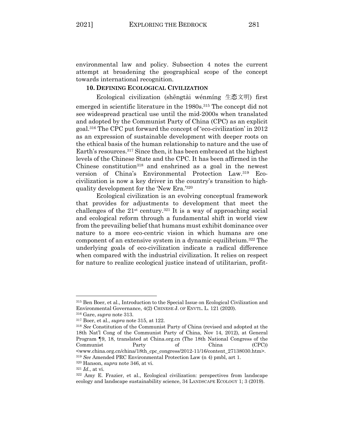environmental law and policy. Subsection 4 notes the current attempt at broadening the geographical scope of the concept towards international recognition.

### **10. DEFINING ECOLOGICAL CIVILIZATION**

Ecological civilization (shēngtài wénmíng 生态文明) first emerged in scientific literature in the 1980s.315 The concept did not see widespread practical use until the mid-2000s when translated and adopted by the Communist Party of China (CPC) as an explicit goal.316 The CPC put forward the concept of 'eco-civilization' in 2012 as an expression of sustainable development with deeper roots on the ethical basis of the human relationship to nature and the use of Earth's resources.317 Since then, it has been embraced at the highest levels of the Chinese State and the CPC. It has been affirmed in the Chinese constitution $318$  and enshrined as a goal in the newest version of China's Environmental Protection Law.319 Ecocivilization is now a key driver in the country's transition to highquality development for the 'New Era.'320

Ecological civilization is an evolving conceptual framework that provides for adjustments to development that meet the challenges of the  $21^{st}$  century.<sup>321</sup> It is a way of approaching social and ecological reform through a fundamental shift in world view from the prevailing belief that humans must exhibit dominance over nature to a more eco-centric vision in which humans are one component of an extensive system in a dynamic equilibrium.322 The underlying goals of eco-civilization indicate a radical difference when compared with the industrial civilization. It relies on respect for nature to realize ecological justice instead of utilitarian, profit-

<sup>315</sup> Ben Boer, et al., Introduction to the Special Issue on Ecological Civilization and Environmental Governance, 4(2) CHINESE J. OF ENVTL. L. 121 (2020).<br><sup>316</sup> Gare, *supra* note 313.<br><sup>317</sup> Boer, et al., *supra* note 315, at 122.<br><sup>318</sup> See Constitution of the Communist Party of China (revised and adopted at

<sup>18</sup>th Nat'l Cong of the Communist Party of China, Nov 14, 2012), at General Program ¶9, 18, translated at China.org.cn (The 18th National Congress of the Communist Party of China (CPC)) <www.china.org.cn/china/18th\_cpc\_congress/2012-11/16/content\_27138030.htm>. <sup>319</sup> *See* Amended PRC Environmental Protection Law (n 4) pmbl, art 1.

<sup>320</sup> Hanson, *supra* note 346, at vi.

 $321$  *Id.*, at vi.<br> $322$  Amy E. Frazier, et al., Ecological civilization: perspectives from landscape ecology and landscape sustainability science, 34 LANDSCAPE ECOLOGY 1; 3 (2019).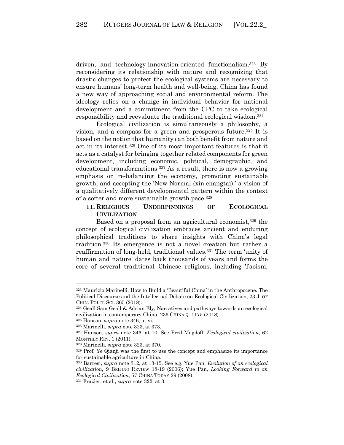driven, and technology-innovation-oriented functionalism.323 By reconsidering its relationship with nature and recognizing that drastic changes to protect the ecological systems are necessary to ensure humans' long-term health and well-being, China has found a new way of approaching social and environmental reform. The ideology relies on a change in individual behavior for national development and a commitment from the CPC to take ecological responsibility and reevaluate the traditional ecological wisdom.324

Ecological civilization is simultaneously a philosophy, a vision, and a compass for a green and prosperous future.<sup>325</sup> It is based on the notion that humanity can both benefit from nature and act in its interest.326 One of its most important features is that it acts as a catalyst for bringing together related components for green development, including economic, political, demographic, and educational transformations.327 As a result, there is now a growing emphasis on re-balancing the economy, promoting sustainable growth, and accepting the 'New Normal (xin changtai):' a vision of a qualitatively different developmental pattern within the context of a softer and more sustainable growth pace.328

# **11. RELIGIOUS UNDERPINNINGS OF ECOLOGICAL CIVILIZATION**

Based on a proposal from an agricultural economist,<sup>329</sup> the concept of ecological civilization embraces ancient and enduring philosophical traditions to share insights with China's legal tradition.330 Its emergence is not a novel creation but rather a reaffirmation of long-held, traditional values.331 The term 'unity of human and nature' dates back thousands of years and forms the core of several traditional Chinese religions, including Taoism,

<sup>323</sup> Maurizio Marinelli, How to Build a 'Beautiful China' in the Anthropocene. The Political Discourse and the Intellectual Debate on Ecological Civilization, 23 J. OF CHIN. POLIT. SCI. 365 (2018).

<sup>324</sup> Geall Sam Geall & Adrian Ely, Narratives and pathways towards an ecological civilization in contemporary China, 236 CHINA Q. 1175 (2018).

<sup>325</sup> Hanson, *supra* note 346, at vi.

<sup>326</sup> Marinelli, *supra* note 323, at 373.

<sup>327</sup> Hanson, *supra* note 346, at 10. See Fred Magdoff, *Ecological civilization*, 62 MONTHLY REV. 1 (2011).

<sup>&</sup>lt;sup>328</sup> Marinelli, *supra* note 323, at 370.<br><sup>329</sup> Prof. Ye Qianji was the first to use the concept and emphasize its importance for sustainable agriculture in China.

<sup>330</sup> Barresi, *supra* note 312, at 13-15. See e.g. Yue Pan, *Evolution of an ecological civilization*, 9 BEIJING REVIEW 18-19 (2006); Yue Pan, *Looking Forward to an Ecological Civilization*, 57 CHINA TODAY 29 (2008).

<sup>331</sup> Frazier, et al., *supra* note 322, at 3.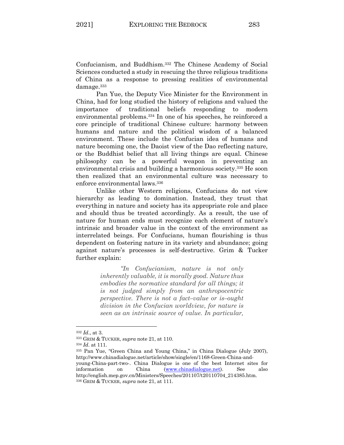Confucianism, and Buddhism.332 The Chinese Academy of Social Sciences conducted a study in rescuing the three religious traditions of China as a response to pressing realities of environmental damage.333

Pan Yue, the Deputy Vice Minister for the Environment in China, had for long studied the history of religions and valued the importance of traditional beliefs responding to modern environmental problems.334 In one of his speeches, he reinforced a core principle of traditional Chinese culture: harmony between humans and nature and the political wisdom of a balanced environment. These include the Confucian idea of humans and nature becoming one, the Daoist view of the Dao reflecting nature, or the Buddhist belief that all living things are equal. Chinese philosophy can be a powerful weapon in preventing an environmental crisis and building a harmonious society.335 He soon then realized that an environmental culture was necessary to enforce environmental laws.336

Unlike other Western religions, Confucians do not view hierarchy as leading to domination. Instead, they trust that everything in nature and society has its appropriate role and place and should thus be treated accordingly. As a result, the use of nature for human ends must recognize each element of nature's intrinsic and broader value in the context of the environment as interrelated beings. For Confucians, human flourishing is thus dependent on fostering nature in its variety and abundance; going against nature's processes is self-destructive. Grim & Tucker further explain:

> *"In Confucianism, nature is not only inherently valuable, it is morally good. Nature thus embodies the normative standard for all things; it is not judged simply from an anthropocentric perspective. There is not a fact–value or is–ought division in the Confucian worldview, for nature is seen as an intrinsic source of value. In particular,*

<sup>332</sup> *Id*., at 3. 333 GRIM & TUCKER, *supra* note 21, at 110.

<sup>334</sup> *Id*. at 111.

<sup>335</sup> Pan Yue, "Green China and Young China," in China Dialogue (July 2007), http://www.chinadialogue.net/article/show/single/en/1168-Green-China-andyoung-China-part-two-. China Dialogue is one of the best Internet sites for information on China (www.chinadialogue.net). See also http://english.mep.gov.cn/Ministers/Speeches/201107/t20110704\_214385.htm. <sup>336</sup> GRIM & TUCKER, *supra* note 21, at 111.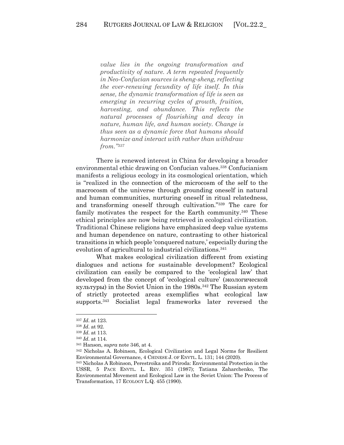*value lies in the ongoing transformation and productivity of nature. A term repeated frequently in Neo-Confucian sources is sheng-sheng, reflecting the ever-renewing fecundity of life itself. In this sense, the dynamic transformation of life is seen as emerging in recurring cycles of growth, fruition, harvesting, and abundance. This reflects the natural processes of flourishing and decay in nature, human life, and human society. Change is thus seen as a dynamic force that humans should harmonize and interact with rather than withdraw from."337*

There is renewed interest in China for developing a broader environmental ethic drawing on Confucian values.338 Confucianism manifests a religious ecology in its cosmological orientation, which is "realized in the connection of the microcosm of the self to the macrocosm of the universe through grounding oneself in natural and human communities, nurturing oneself in ritual relatedness, and transforming oneself through cultivation."339 The care for family motivates the respect for the Earth community.340 These ethical principles are now being retrieved in ecological civilization. Traditional Chinese religions have emphasized deep value systems and human dependence on nature, contrasting to other historical transitions in which people 'conquered nature,' especially during the evolution of agricultural to industrial civilizations.<sup>341</sup>

What makes ecological civilization different from existing dialogues and actions for sustainable development? Ecological civilization can easily be compared to the 'ecological law' that developed from the concept of 'ecological culture' (экологической культуры) in the Soviet Union in the  $1980s$ .<sup>342</sup> The Russian system of strictly protected areas exemplifies what ecological law supports.343 Socialist legal frameworks later reversed the

<sup>337</sup> *Id*. at 123.

<sup>338</sup> *Id*. at 92.

<sup>339</sup> *Id*. at 113.

<sup>340</sup> *Id*. at 114.

<sup>341</sup> Hanson, *supra* note 346, at 4.

<sup>342</sup> Nicholas A. Robinson, Ecological Civilization and Legal Norms for Resilient Environmental Governance, 4 CHINESE J. OF ENVTL. L. 131; 144 (2020).

<sup>343</sup> Nicholas A Robinson, Perestroika and Priroda: Environmental Protection in the USSR, 5 PACE ENVTL. L. REV. 351 (1987); Tatiana Zaharchenko, The Environmental Movement and Ecological Law in the Soviet Union: The Process of Transformation, 17 ECOLOGY L.Q. 455 (1990).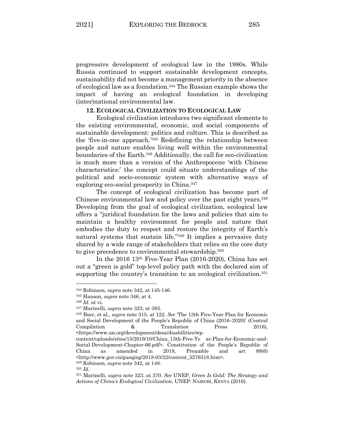progressive development of ecological law in the 1980s. While Russia continued to support sustainable development concepts, sustainability did not become a management priority in the absence of ecological law as a foundation.344 The Russian example shows the impact of having an ecological foundation in developing (inter)national environmental law.

### **12. ECOLOGICAL CIVILIZATION TO ECOLOGICAL LAW**

Ecological civilization introduces two significant elements to the existing environmental, economic, and social components of sustainable development: politics and culture. This is described as the 'five-in-one approach.'345 Redefining the relationship between people and nature enables living well within the environmental boundaries of the Earth.346 Additionally, the call for eco-civilization is much more than a version of the Anthropocene 'with Chinese characteristics:' the concept could situate understandings of the political and socio-economic system with alternative ways of exploring eco-social prosperity in China.347

The concept of ecological civilization has become part of Chinese environmental law and policy over the past eight years.<sup>348</sup> Developing from the goal of ecological civilization, ecological law offers a "juridical foundation for the laws and policies that aim to maintain a healthy environment for people and nature that embodies the duty to respect and restore the integrity of Earth's natural systems that sustain life."349 It implies a pervasive duty shared by a wide range of stakeholders that relies on the core duty to give precedence to environmental stewardship.350

In the 2016 13th Five-Year Plan (2016-2020), China has set out a "green is gold" top-level policy path with the declared aim of supporting the country's transition to an ecological civilization.<sup>351</sup>

<sup>344</sup> Robinson, *supra* note 342, at 145-146.

<sup>345</sup> Hanson, *supra* note 346, at 4.

<sup>346</sup> *Id*. at vi. 347 Marinelli, *supra* note 323, at 383. 348 Boer, et al., *supra* note 315, at 122. *See* 'The 13th Five-Year Plan for Economic and Social Development of the People's Republic of China (2016–2020)' (Central Compilation  $\&$  Translation Press 2016), <https://www.un.org/development/desa/disabilities/wp-

content/uploads/sites/15/2019/10/China\_13th-Five-Ye ar-Plan-for-Economic-and-Social-Development-Chapter-66.pdf>. Constitution of the People's Republic of China as amended in 2018, Preamble and art 89(6) <http://www.gov.cn/guoqing/2018-03/22/content\_5276318.htm>.

<sup>349</sup> Robinson, *supra* note 342, at 148.

<sup>350</sup> *Id*.

<sup>351</sup> Marinelli, *supra* note 323, at 370. *See* UNEP, *Green Is Gold: The Strategy and Actions of China's Ecological Civilization*, UNEP: NAIROBI, KENYA (2016).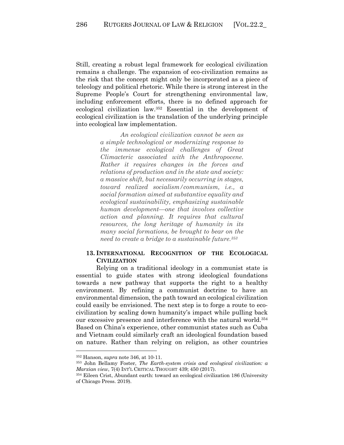Still, creating a robust legal framework for ecological civilization remains a challenge. The expansion of eco-civilization remains as the risk that the concept might only be incorporated as a piece of teleology and political rhetoric. While there is strong interest in the Supreme People's Court for strengthening environmental law, including enforcement efforts, there is no defined approach for ecological civilization law.352 Essential in the development of ecological civilization is the translation of the underlying principle into ecological law implementation.

> *An ecological civilization cannot be seen as a simple technological or modernizing response to the immense ecological challenges of Great Climacteric associated with the Anthropocene. Rather it requires changes in the forces and relations of production and in the state and society: a massive shift, but necessarily occurring in stages, toward realized socialism/communism, i.e., a social formation aimed at substantive equality and ecological sustainability, emphasizing sustainable human development—one that involves collective action and planning. It requires that cultural resources, the long heritage of humanity in its many social formations, be brought to bear on the need to create a bridge to a sustainable future.353*

## **13. INTERNATIONAL RECOGNITION OF THE ECOLOGICAL CIVILIZATION**

Relying on a traditional ideology in a communist state is essential to guide states with strong ideological foundations towards a new pathway that supports the right to a healthy environment. By refining a communist doctrine to have an environmental dimension, the path toward an ecological civilization could easily be envisioned. The next step is to forge a route to ecocivilization by scaling down humanity's impact while pulling back our excessive presence and interference with the natural world.354 Based on China's experience, other communist states such as Cuba and Vietnam could similarly craft an ideological foundation based on nature. Rather than relying on religion, as other countries

<sup>352</sup> Hanson, *supra* note 346, at 10-11.

<sup>353</sup> John Bellamy Foster, *The Earth-system crisis and ecological civilization: a Marxian view*, 7(4) INT'L CRITICAL THOUGHT 439; 450 (2017).

<sup>354</sup> Eileen Crist, Abundant earth: toward an ecological civilization 186 (University of Chicago Press. 2019).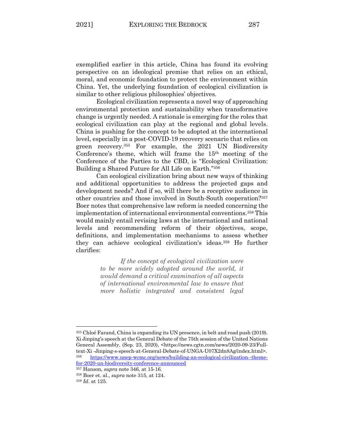exemplified earlier in this article, China has found its evolving perspective on an ideological premise that relies on an ethical, moral, and economic foundation to protect the environment within China. Yet, the underlying foundation of ecological civilization is similar to other religious philosophies' objectives.

Ecological civilization represents a novel way of approaching environmental protection and sustainability when transformative change is urgently needed. A rationale is emerging for the roles that ecological civilization can play at the regional and global levels. China is pushing for the concept to be adopted at the international level, especially in a post-COVID-19 recovery scenario that relies on green recovery.355 For example, the 2021 UN Biodiversity Conference's theme, which will frame the 15<sup>th</sup> meeting of the Conference of the Parties to the CBD, is "Ecological Civilization: Building a Shared Future for All Life on Earth."356

Can ecological civilization bring about new ways of thinking and additional opportunities to address the projected gaps and development needs? And if so, will there be a receptive audience in other countries and those involved in South-South cooperation?357 Boer notes that comprehensive law reform is needed concerning the implementation of international environmental conventions.358 This would mainly entail revising laws at the international and national levels and recommending reform of their objectives, scope, definitions, and implementation mechanisms to assess whether they can achieve ecological civilization's ideas.359 He further clarifies:

> *If the concept of ecological civilization were to be more widely adopted around the world, it would demand a critical examination of all aspects of international environmental law to ensure that more holistic integrated and consistent legal*

<sup>355</sup> Chloé Farand, China is expanding its UN presence, in belt and road push (2019). Xi Jinping's speech at the General Debate of the 75th session of the United Nations General Assembly, (Sep. 23, 2020), <https://news.cgtn.com/news/2020-09-23/Fulltext-Xi -Jinping-s-speech-at-General-Debate-of-UNGA-U07X2dn8Ag/index.html>. <sup>356</sup> https://www.unep-wcmc.org/news/building-an-ecological-civilization--themefor-2020-un-biodiversity-conference-announced

<sup>357</sup> Hanson, *supra* note 346, at 15-16.

<sup>358</sup> Boer et. al., *supra* note 315, at 124.

<sup>359</sup> *Id*. at 125.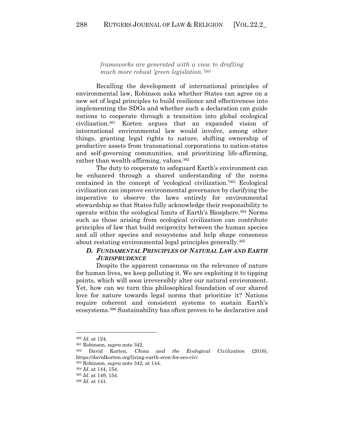*frameworks are generated with a view to drafting much more robust 'green legislation.'360*

Recalling the development of international principles of environmental law, Robinson asks whether States can agree on a new set of legal principles to build resilience and effectiveness into implementing the SDGs and whether such a declaration can guide nations to cooperate through a transition into global ecological civilization.361 Korten argues that an expanded vision of international environmental law would involve, among other things, granting legal rights to nature, shifting ownership of productive assets from transnational corporations to nation-states and self-governing communities, and prioritizing life-affirming, rather than wealth-affirming, values.<sup>362</sup>

The duty to cooperate to safeguard Earth's environment can be enhanced through a shared understanding of the norms contained in the concept of 'ecological civilization.'363 Ecological civilization can improve environmental governance by clarifying the imperative to observe the laws entirely for environmental stewardship so that States fully acknowledge their responsibility to operate within the ecological limits of Earth's Biosphere.364 Norms such as those arising from ecological civilization can contribute principles of law that build reciprocity between the human species and all other species and ecosystems and help shape consensus about restating environmental legal principles generally.<sup>365</sup>

# *D. FUNDAMENTAL PRINCIPLES OF NATURAL LAW AND EARTH JURISPRUDENCE*

Despite the apparent consensus on the relevance of nature for human lives, we keep polluting it. We are exploiting it to tipping points, which will soon irreversibly alter our natural environment. Yet, how can we turn this philosophical foundation of our shared love for nature towards legal norms that prioritize it? Nations require coherent and consistent systems to sustain Earth's ecosystems.366 Sustainability has often proven to be declarative and

<sup>360</sup> *Id*. at 124.

<sup>361</sup> Robinson, *supra* note 342. 362 David Korten, *China and the Ecological Civilization* (2016), https://davidkorten.org/living-earth-econ-for-eco-civ/.

<sup>363</sup> Robinson, *supra* note 342, at 144. 364 *Id*. at 144, 154.

<sup>365</sup> *Id*. at 149, 154.

<sup>366</sup> *Id*. at 141.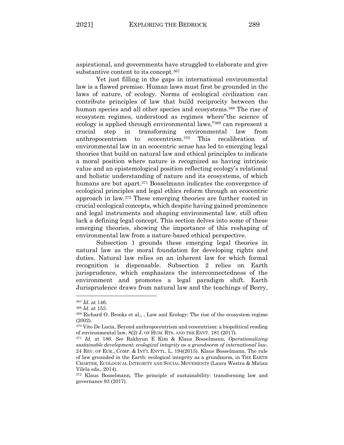aspirational, and governments have struggled to elaborate and give substantive content to its concept.367

Yet just filling in the gaps in international environmental law is a flawed premise. Human laws must first be grounded in the laws of nature, of ecology. Norms of ecological civilization can contribute principles of law that build reciprocity between the human species and all other species and ecosystems.<sup>368</sup> The rise of ecosystem regimes, understood as regimes where"the science of ecology is applied through environmental laws,"369 can represent a crucial step in transforming environmental law from anthropocentrism to ecocentrism.370 This recalibration of environmental law in an ecocentric sense has led to emerging legal theories that build on natural law and ethical principles to indicate a moral position where nature is recognized as having intrinsic value and an epistemological position reflecting ecology's relational and holistic understanding of nature and its ecosystems, of which humans are but apart.<sup>371</sup> Bosselmann indicates the convergence of ecological principles and legal ethics reform through an ecocentric approach in law.372 These emerging theories are further rooted in crucial ecological concepts, which despite having gained prominence and legal instruments and shaping environmental law, still often lack a defining legal concept. This section delves into some of these emerging theories, showing the importance of this reshaping of environmental law from a nature-based ethical perspective.

Subsection 1 grounds these emerging legal theories in natural law as the moral foundation for developing rights and duties. Natural law relies on an inherent law for which formal recognition is dispensable. Subsection 2 relies on Earth jurisprudence, which emphasizes the interconnectedness of the environment and promotes a legal paradigm shift. Earth Jurisprudence draws from natural law and the teachings of Berry,

<sup>367</sup> *Id*. at 146.

<sup>&</sup>lt;sup>368</sup> *Id.* at 153. 368 *Id.* at 153. 369 Richard O. Brooks et al., , Law and Ecology: The rise of the ecosystem regime (2002).

<sup>370</sup> Vito De Lucia, Beyond anthropocentrism and ecocentrism: a biopolitical reading of environmental law, 8(2) J. OF HUM. RTS. AND THE ENVT. 181 (2017).

<sup>371</sup> *Id*. at 186. *See* Rakhyun E Kim & Klaus Bosselmann, *Operationalizing sustainable development: ecological integrity as a grundnorm of international law*, 24 REV. OF EUR., COMP. & INT'L ENVTL. L. 194(2015). Klaus Bosselmann, The rule of law grounded in the Earth: ecological integrity as a grundnorm, in THE EARTH CHARTER, ECOLOGICAL INTEGRITY AND SOCIAL MOVEMENTS (Laura Westra & Mirian Vilela eds., 2014).

<sup>372</sup> Klaus Bosselmann, The principle of sustainability: transforming law and governance 93 (2017).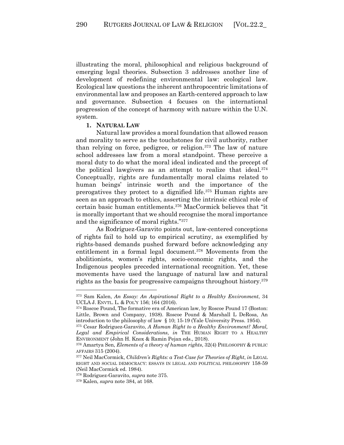illustrating the moral, philosophical and religious background of emerging legal theories. Subsection 3 addresses another line of development of redefining environmental law: ecological law. Ecological law questions the inherent anthropocentric limitations of environmental law and proposes an Earth-centered approach to law and governance. Subsection 4 focuses on the international progression of the concept of harmony with nature within the U.N. system.

#### **1. NATURAL LAW**

Natural law provides a moral foundation that allowed reason and morality to serve as the touchstones for civil authority, rather than relying on force, pedigree, or religion.373 The law of nature school addresses law from a moral standpoint. These perceive a moral duty to do what the moral ideal indicated and the precept of the political lawgivers as an attempt to realize that ideal.374 Conceptually, rights are fundamentally moral claims related to human beings' intrinsic worth and the importance of the prerogatives they protect to a dignified life.375 Human rights are seen as an approach to ethics, asserting the intrinsic ethical role of certain basic human entitlements.376 MacCormick believes that "it is morally important that we should recognise the moral importance and the significance of moral rights."377

As Rodríguez-Garavito points out, law-centered conceptions of rights fail to hold up to empirical scrutiny, as exemplified by rights-based demands pushed forward before acknowledging any entitlement in a formal legal document.378 Movements from the abolitionists, women's rights, socio-economic rights, and the Indigenous peoples preceded international recognition. Yet, these movements have used the language of natural law and natural rights as the basis for progressive campaigns throughout history.<sup>379</sup>

<sup>373</sup> Sam Kalen, *An Essay: An Aspirational Right to a Healthy Environment*, 34 UCLA J. ENVTL. L. & POL'Y 156; 164 (2016).

<sup>374</sup> Roscoe Pound, The formative era of American law, by Roscoe Pound 17 (Boston: Little, Brown and Company, 1938). Roscoe Pound & Marshall L DeRosa, An introduction to the philosophy of law § 10; 15-19 (Yale University Press. 1954).

<sup>375</sup> Cesar Rodriguez-Garavito, *A Human Right to a Healthy Environment? Moral, Legal and Empirical Considerations*, *in* THE HUMAN RIGHT TO A HEALTHY ENVIRONMENT (John H. Knox & Ramin Pejan eds., 2018).

<sup>376</sup> Amartya Sen, *Elements of a theory of human rights*, 32(4) PHILOSOPHY & PUBLIC AFFAIRS 315 (2004).

<sup>377</sup> Neil MacCormick, *Children's Rights: a Test-Case for Theories of Right*, *in* LEGAL RIGHT AND SOCIAL DEMOCRACY: ESSAYS IN LEGAL AND POLITICAL PHILOSOPHY 158-59 (Neil MacCormick ed. 1984).

<sup>378</sup> Rodriguez-Garavito, *supra* note 375. 379 Kalen, *supra* note 384, at 168.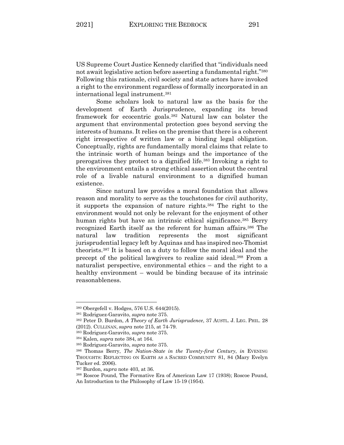US Supreme Court Justice Kennedy clarified that "individuals need not await legislative action before asserting a fundamental right."380 Following this rationale, civil society and state actors have invoked a right to the environment regardless of formally incorporated in an international legal instrument.381

Some scholars look to natural law as the basis for the development of Earth Jurisprudence, expanding its broad framework for ecocentric goals.382 Natural law can bolster the argument that environmental protection goes beyond serving the interests of humans. It relies on the premise that there is a coherent right irrespective of written law or a binding legal obligation. Conceptually, rights are fundamentally moral claims that relate to the intrinsic worth of human beings and the importance of the prerogatives they protect to a dignified life.383 Invoking a right to the environment entails a strong ethical assertion about the central role of a livable natural environment to a dignified human existence.

Since natural law provides a moral foundation that allows reason and morality to serve as the touchstones for civil authority, it supports the expansion of nature rights.384 The right to the environment would not only be relevant for the enjoyment of other human rights but have an intrinsic ethical significance.<sup>385</sup> Berry recognized Earth itself as the referent for human affairs.<sup>386</sup> The natural law tradition represents the most significant jurisprudential legacy left by Aquinas and has inspired neo-Thomist theorists.387 It is based on a duty to follow the moral ideal and the precept of the political lawgivers to realize said ideal.388 From a naturalist perspective, environmental ethics – and the right to a healthy environment – would be binding because of its intrinsic reasonableness.

<sup>380</sup> Obergefell v. Hodges, 576 U.S. 644(2015). 381 Rodriguez-Garavito, *supra* note 375.

<sup>382</sup> Peter D. Burdon, *A Theory of Earth Jurisprudence*, 37 AUSTL. J. LEG. PHIL. 28 (2012). CULLINAN, *supra* note 215, at 74-79.

<sup>383</sup> Rodriguez-Garavito, *supra* note 375.

<sup>384</sup> Kalen, *supra* note 384, at 164.

<sup>385</sup> Rodriguez-Garavito, *supra* note 375.

<sup>386</sup> Thomas Berry, *The Nation-State in the Twenty-first Century*, *in* EVENING THOUGHTS: REFLECTING ON EARTH AS A SACRED COMMUNITY 81, 84 (Mary Evelyn Tucker ed. 2006).

<sup>387</sup> Burdon, *supra* note 403, at 36.

<sup>388</sup> Roscoe Pound, The Formative Era of American Law 17 (1938); Roscoe Pound, An Introduction to the Philosophy of Law 15-19 (1954).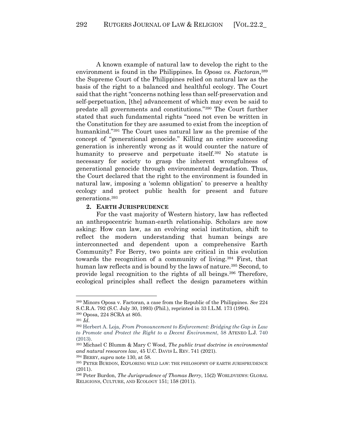A known example of natural law to develop the right to the environment is found in the Philippines. In *Oposa vs. Factoran*, 389 the Supreme Court of the Philippines relied on natural law as the basis of the right to a balanced and healthful ecology. The Court said that the right "concerns nothing less than self-preservation and self-perpetuation, [the] advancement of which may even be said to predate all governments and constitutions."390 The Court further stated that such fundamental rights "need not even be written in the Constitution for they are assumed to exist from the inception of humankind."391 The Court uses natural law as the premise of the concept of "generational genocide." Killing an entire succeeding generation is inherently wrong as it would counter the nature of humanity to preserve and perpetuate itself.<sup>392</sup> No statute is necessary for society to grasp the inherent wrongfulness of generational genocide through environmental degradation. Thus, the Court declared that the right to the environment is founded in natural law, imposing a 'solemn obligation' to preserve a healthy ecology and protect public health for present and future generations.393

### **2. EARTH JURISPRUDENCE**

For the vast majority of Western history, law has reflected an anthropocentric human-earth relationship. Scholars are now asking: How can law, as an evolving social institution, shift to reflect the modern understanding that human beings are interconnected and dependent upon a comprehensive Earth Community? For Berry, two points are critical in this evolution towards the recognition of a community of living.394 First, that human law reflects and is bound by the laws of nature.<sup>395</sup> Second, to provide legal recognition to the rights of all beings.396 Therefore, ecological principles shall reflect the design parameters within

<sup>389</sup> Minors Oposa v. Factoran, a case from the Republic of the Philippines. *See* 224 S.C.R.A. 792 (S.C. July 30, 1993) (Phil.), reprinted in 33 I.L.M. 173 (1994). <sup>390</sup> Oposa, 224 SCRA at 805. 391 *Id*.

<sup>392</sup> Herbert A. Loja, *From Pronouncement to Enforcement: Bridging the Gap in Law to Promote and Protect the Right to a Decent Environment*, 58 ATENEO L.J. 740 (2013).

<sup>393</sup> Michael C Blumm & Mary C Wood, *The public trust doctrine in environmental and natural resources law*, 45 U.C. DAVIS L. REV. 741 (2021).

<sup>&</sup>lt;sup>394</sup> BERRY, *supra* note 130, at 58.<br><sup>395</sup> PETER BURDON, EXPLORING WILD LAW: THE PHILOSOPHY OF EARTH JURISPRUDENCE (2011).

<sup>396</sup> Peter Burdon, *The Jurisprudence of Thomas Berry*, 15(2) WORLDVIEWS: GLOBAL RELIGIONS, CULTURE, AND ECOLOGY 151; 158 (2011).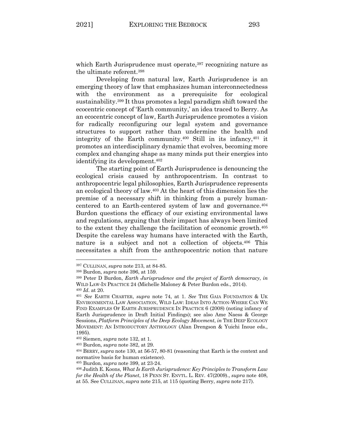which Earth Jurisprudence must operate,<sup>397</sup> recognizing nature as the ultimate referent.398

Developing from natural law, Earth Jurisprudence is an emerging theory of law that emphasizes human interconnectedness with the environment as a prerequisite for ecological sustainability.399 It thus promotes a legal paradigm shift toward the ecocentric concept of 'Earth community,' an idea traced to Berry. As an ecocentric concept of law, Earth Jurisprudence promotes a vision for radically reconfiguring our legal system and governance structures to support rather than undermine the health and integrity of the Earth community.400 Still in its infancy,401 it promotes an interdisciplinary dynamic that evolves, becoming more complex and changing shape as many minds put their energies into identifying its development.402

The starting point of Earth Jurisprudence is denouncing the ecological crisis caused by anthropocentrism. In contrast to anthropocentric legal philosophies, Earth Jurisprudence represents an ecological theory of law.403 At the heart of this dimension lies the premise of a necessary shift in thinking from a purely humancentered to an Earth-centered system of law and governance.404 Burdon questions the efficacy of our existing environmental laws and regulations, arguing that their impact has always been limited to the extent they challenge the facilitation of economic growth.405 Despite the careless way humans have interacted with the Earth, nature is a subject and not a collection of objects.406 This necessitates a shift from the anthropocentric notion that nature

<sup>397</sup> CULLINAN, *supra* note 213, at 84-85. 398 Burdon, *supra* note 396, at 159.

<sup>399</sup> Peter D Burdon, *Earth Jurisprudence and the project of Earth democracy*, *in*  WILD LAW-IN PRACTICE 24 (Michelle Maloney & Peter Burdon eds., 2014).

<sup>400</sup> *Id*. at 20. 401 *See* EARTH CHARTER, *supra* note 74, at 1. *See* THE GAIA FOUNDATION & UK ENVIRONMENTAL LAW ASSOCIATION, WILD LAW: IDEAS INTO ACTION-WHERE CAN WE FIND EXAMPLES OF EARTH JURISPRUDENCE IN PRACTICE 6 (2008) (noting infancy of Earth Jurisprudence in Draft Initial Findings); see also Ame Naess & George Sessions, *Platform Principles of the Deep Ecology Movement*, *in* THE DEEP ECOLOGY MOVEMENT: AN INTRODUCTORY ANTHOLOGY (Alan Drengson & Yuichi Inoue eds., 1995).

<sup>402</sup> Siemen, *supra* note 132, at 1. 403 Burdon, *supra* note 382, at 29. 404 BERRY, *supra* note 130, at 56-57, 80-81 (reasoning that Earth is the context and normative basis for human existence).

<sup>405</sup> Burdon, *supra* note 399, at 23-24. 406 Judith E. Koons, *What Is Earth Jurisprudence: Key Principles to Transform Law for the Health of the Planet*, 18 PENN ST. ENVTL. L. REV. 47(2009)., *supra* note 408, at 55. See CULLINAN, *supra* note 215, at 115 (quoting Berry, *supra* note 217).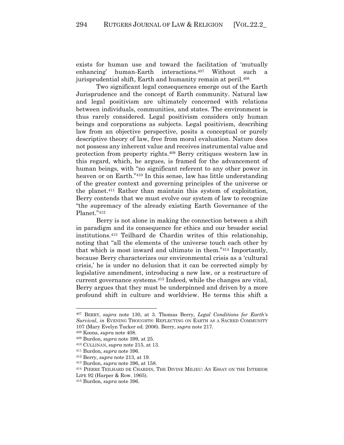exists for human use and toward the facilitation of 'mutually enhancing' human-Earth interactions.407 Without such a jurisprudential shift, Earth and humanity remain at peril.<sup>408</sup>

Two significant legal consequences emerge out of the Earth Jurisprudence and the concept of Earth community. Natural law and legal positivism are ultimately concerned with relations between individuals, communities, and states. The environment is thus rarely considered. Legal positivism considers only human beings and corporations as subjects. Legal positivism, describing law from an objective perspective, posits a conceptual or purely descriptive theory of law, free from moral evaluation. Nature does not possess any inherent value and receives instrumental value and protection from property rights.409 Berry critiques western law in this regard, which, he argues, is framed for the advancement of human beings, with "no significant referent to any other power in heaven or on Earth."410 In this sense, law has little understanding of the greater context and governing principles of the universe or the planet.411 Rather than maintain this system of exploitation, Berry contends that we must evolve our system of law to recognize "the supremacy of the already existing Earth Governance of the Planet."412

Berry is not alone in making the connection between a shift in paradigm and its consequence for ethics and our broader social institutions.413 Teilhard de Chardin writes of this relationship, noting that "all the elements of the universe touch each other by that which is most inward and ultimate in them."414 Importantly, because Berry characterizes our environmental crisis as a 'cultural crisis,' he is under no delusion that it can be corrected simply by legislative amendment, introducing a new law, or a restructure of current governance systems.415 Indeed, while the changes are vital, Berry argues that they must be underpinned and driven by a more profound shift in culture and worldview. He terms this shift a

<sup>407</sup> BERRY, *supra* note 130, at 3. Thomas Berry, *Legal Conditions for Earth's Survival*, *in* EVENING THOUGHTS: REFLECTING ON EARTH AS A SACRED COMMUNITY <sup>107</sup> (Mary Evelyn Tucker ed. 2006). Berry, *supra* note 217. 408 Koons, *supra* note 408. 409 Burdon, *supra* note 399, at 25.

<sup>410</sup> CULLINAN, *supra* note 215, at 13. 411 Burdon, *supra* note 396.

<sup>412</sup> Berry, *supra* note 213, at 19.

<sup>413</sup> Burdon, *supra* note 396, at 158.

<sup>414</sup> PIERRE TEILHARD DE CHARDIN, THE DIVINE MILIEU: AN ESSAY ON THE INTERIOR LIFE 92 (Harper & Row. 1965).

<sup>415</sup> Burdon, *supra* note 396.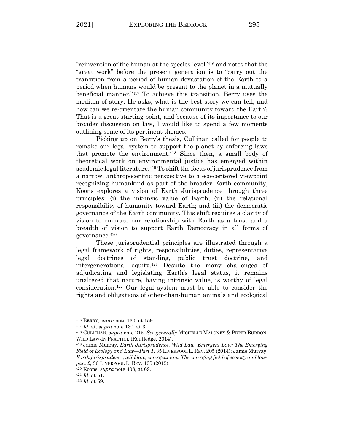"reinvention of the human at the species level"416 and notes that the "great work" before the present generation is to "carry out the transition from a period of human devastation of the Earth to a period when humans would be present to the planet in a mutually beneficial manner."417 To achieve this transition, Berry uses the medium of story. He asks, what is the best story we can tell, and how can we re-orientate the human community toward the Earth? That is a great starting point, and because of its importance to our broader discussion on law, I would like to spend a few moments outlining some of its pertinent themes.

Picking up on Berry's thesis, Cullinan called for people to remake our legal system to support the planet by enforcing laws that promote the environment.418 Since then, a small body of theoretical work on environmental justice has emerged within academic legal literature.419 To shift the focus of jurisprudence from a narrow, anthropocentric perspective to a eco-centered viewpoint recognizing humankind as part of the broader Earth community, Koons explores a vision of Earth Jurisprudence through three principles: (i) the intrinsic value of Earth; (ii) the relational responsibility of humanity toward Earth; and (iii) the democratic governance of the Earth community. This shift requires a clarity of vision to embrace our relationship with Earth as a trust and a breadth of vision to support Earth Democracy in all forms of governance.420

These jurisprudential principles are illustrated through a legal framework of rights, responsibilities, duties, representative legal doctrines of standing, public trust doctrine, and intergenerational equity.421 Despite the many challenges of adjudicating and legislating Earth's legal status, it remains unaltered that nature, having intrinsic value, is worthy of legal consideration.422 Our legal system must be able to consider the rights and obligations of other-than-human animals and ecological

<sup>416</sup> BERRY, *supra* note 130, at 159.

<sup>417</sup> *Id*. at. *supra* note 130, at 3. 418 CULLINAN, *supra* note 215. *See generally* MICHELLE MALONEY & PETER BURDON, WILD LAW-IN PRACTICE (Routledge. 2014).

<sup>419</sup> Jamie Murray, *Earth Jurisprudence, Wild Law, Emergent Law: The Emerging Field of Ecology and Law—Part 1*, 35 LIVERPOOL L. REV. 205 (2014); Jamie Murray, *Earth jurisprudence, wild law, emergent law: The emerging field of ecology and lawpart 2*, 36 LIVERPOOL L. REV. 105 (2015).

<sup>420</sup> Koons, *supra* note 408, at 69.

<sup>421</sup> *Id*. at 51. 422 *Id*. at 59.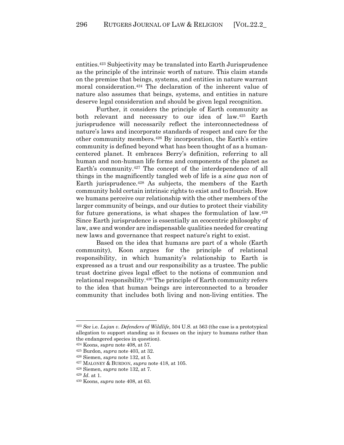entities.423 Subjectivity may be translated into Earth Jurisprudence as the principle of the intrinsic worth of nature. This claim stands on the premise that beings, systems, and entities in nature warrant moral consideration.424 The declaration of the inherent value of nature also assumes that beings, systems, and entities in nature deserve legal consideration and should be given legal recognition.

Further, it considers the principle of Earth community as both relevant and necessary to our idea of law.425 Earth jurisprudence will necessarily reflect the interconnectedness of nature's laws and incorporate standards of respect and care for the other community members.426 By incorporation, the Earth's entire community is defined beyond what has been thought of as a humancentered planet. It embraces Berry's definition, referring to all human and non-human life forms and components of the planet as Earth's community.427 The concept of the interdependence of all things in the magnificently tangled web of life is a *sine qua non* of Earth jurisprudence.428 As subjects, the members of the Earth community hold certain intrinsic rights to exist and to flourish. How we humans perceive our relationship with the other members of the larger community of beings, and our duties to protect their viability for future generations, is what shapes the formulation of law.<sup>429</sup> Since Earth jurisprudence is essentially an ecocentric philosophy of law, awe and wonder are indispensable qualities needed for creating new laws and governance that respect nature's right to exist.

Based on the idea that humans are part of a whole (Earth community), Koon argues for the principle of relational responsibility, in which humanity's relationship to Earth is expressed as a trust and our responsibility as a trustee. The public trust doctrine gives legal effect to the notions of communion and relational responsibility.430 The principle of Earth community refers to the idea that human beings are interconnected to a broader community that includes both living and non-living entities. The

<sup>423</sup> *See* i.e. *Lujan v. Defenders of Wildlife*, 504 U.S. at 563 (the case is a prototypical allegation to support standing as it focuses on the injury to humans rather than the endangered species in question).

<sup>424</sup> Koons, *supra* note 408, at 57.

<sup>425</sup> Burdon, *supra* note 403, at 32.

<sup>426</sup> Siemen, *supra* note 132, at 5. 427 MALONEY & BURDON, *supra* note 418, at 105.

<sup>428</sup> Siemen, *supra* note 132, at 7.

<sup>429</sup> *Id*. at 1.

<sup>430</sup> Koons, *supra* note 408, at 63.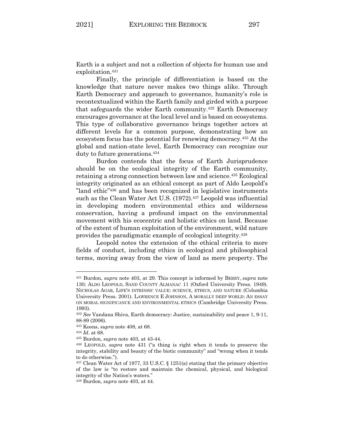Earth is a subject and not a collection of objects for human use and exploitation.<sup>431</sup>

Finally, the principle of differentiation is based on the knowledge that nature never makes two things alike. Through Earth Democracy and approach to governance, humanity's role is recontextualized within the Earth family and girded with a purpose that safeguards the wider Earth community.432 Earth Democracy encourages governance at the local level and is based on ecosystems. This type of collaborative governance brings together actors at different levels for a common purpose, demonstrating how an ecosystem focus has the potential for renewing democracy.433 At the global and nation-state level, Earth Democracy can recognize our duty to future generations.<sup>434</sup>

Burdon contends that the focus of Earth Jurisprudence should be on the ecological integrity of the Earth community, retaining a strong connection between law and science.435 Ecological integrity originated as an ethical concept as part of Aldo Leopold's "land ethic"436 and has been recognized in legislative instruments such as the Clean Water Act U.S. (1972).<sup>437</sup> Leopold was influential in developing modern environmental ethics and wilderness conservation, having a profound impact on the environmental movement with his ecocentric and holistic ethics on land. Because of the extent of human exploitation of the environment, wild nature provides the paradigmatic example of ecological integrity.438

Leopold notes the extension of the ethical criteria to more fields of conduct, including ethics in ecological and philosophical terms, moving away from the view of land as mere property. The

<sup>431</sup> Burdon, *supra* note 403, at 29. This concept is informed by BERRY, *supra* note 130; ALDO LEOPOLD, SAND COUNTY ALMANAC 11 (Oxford University Press. 1949). NICHOLAS AGAR, LIFE'S INTRINSIC VALUE: SCIENCE, ETHICS, AND NATURE (Columbia University Press. 2001). LAWRENCE E JOHNSON, A MORALLY DEEP WORLD: AN ESSAY ON MORAL SIGNIFICANCE AND ENVIRONMENTAL ETHICS (Cambridge University Press. 1993).

<sup>432</sup> *See* Vandana Shiva, Earth democracy: Justice, sustainability and peace 1, 9-11, 88-89 (2006).

<sup>433</sup> Koons, *supra* note 408, at 68.

<sup>434</sup> *Id*. at 68.

<sup>435</sup> Burdon, *supra* note 403, at 43-44.

<sup>436</sup> LEOPOLD, *supra* note 431 ("a thing is right when it tends to preserve the integrity, stability and beauty of the biotic community" and "wrong when it tends to do otherwise.").

<sup>437</sup> Clean Water Act of 1977, 33 U.S.C. § 1251(a) stating that the primary objective of the law is "to restore and maintain the chemical, physical, and biological integrity of the Nation's waters."

<sup>438</sup> Burdon, *supra* note 403, at 44.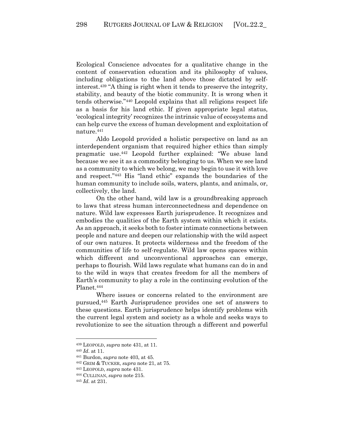Ecological Conscience advocates for a qualitative change in the content of conservation education and its philosophy of values, including obligations to the land above those dictated by selfinterest.439 "A thing is right when it tends to preserve the integrity, stability, and beauty of the biotic community. It is wrong when it tends otherwise."440 Leopold explains that all religions respect life as a basis for his land ethic. If given appropriate legal status, 'ecological integrity' recognizes the intrinsic value of ecosystems and can help curve the excess of human development and exploitation of nature.441

Aldo Leopold provided a holistic perspective on land as an interdependent organism that required higher ethics than simply pragmatic use.442 Leopold further explained: "We abuse land because we see it as a commodity belonging to us. When we see land as a community to which we belong, we may begin to use it with love and respect."443 His "land ethic" expands the boundaries of the human community to include soils, waters, plants, and animals, or, collectively, the land.

On the other hand, wild law is a groundbreaking approach to laws that stress human interconnectedness and dependence on nature. Wild law expresses Earth jurisprudence. It recognizes and embodies the qualities of the Earth system within which it exists. As an approach, it seeks both to foster intimate connections between people and nature and deepen our relationship with the wild aspect of our own natures. It protects wilderness and the freedom of the communities of life to self-regulate. Wild law opens spaces within which different and unconventional approaches can emerge, perhaps to flourish. Wild laws regulate what humans can do in and to the wild in ways that creates freedom for all the members of Earth's community to play a role in the continuing evolution of the Planet.<sup>444</sup>

Where issues or concerns related to the environment are pursued,445 Earth Jurisprudence provides one set of answers to these questions. Earth jurisprudence helps identify problems with the current legal system and society as a whole and seeks ways to revolutionize to see the situation through a different and powerful

<sup>439</sup> LEOPOLD, *supra* note 431, at 11.

<sup>440</sup> *Id*. at 11.

<sup>441</sup> Burdon, *supra* note 403, at 45.

<sup>442</sup> GRIM & TUCKER, *supra* note 21, at 75.

<sup>443</sup> LEOPOLD, *supra* note 431. 444 CULLINAN, *supra* note 215.

<sup>445</sup> *Id*. at 231.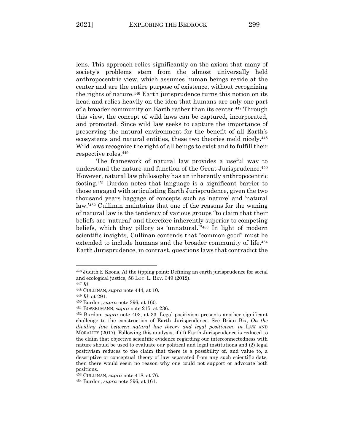lens. This approach relies significantly on the axiom that many of society's problems stem from the almost universally held anthropocentric view, which assumes human beings reside at the center and are the entire purpose of existence, without recognizing the rights of nature.446 Earth jurisprudence turns this notion on its head and relies heavily on the idea that humans are only one part of a broader community on Earth rather than its center.<sup>447</sup> Through this view, the concept of wild laws can be captured, incorporated, and promoted. Since wild law seeks to capture the importance of preserving the natural environment for the benefit of all Earth's ecosystems and natural entities, these two theories meld nicely.448 Wild laws recognize the right of all beings to exist and to fulfill their respective roles.449

The framework of natural law provides a useful way to understand the nature and function of the Great Jurisprudence. 450 However, natural law philosophy has an inherently anthropocentric footing.451 Burdon notes that language is a significant barrier to those engaged with articulating Earth Jurisprudence, given the two thousand years baggage of concepts such as 'nature' and 'natural law.'452 Cullinan maintains that one of the reasons for the waning of natural law is the tendency of various groups "to claim that their beliefs are 'natural' and therefore inherently superior to competing beliefs, which they pillory as 'unnatural.'"453 In light of modern scientific insights, Cullinan contends that "common good" must be extended to include humans and the broader community of life.454 Earth Jurisprudence, in contrast, questions laws that contradict the

<sup>446</sup> Judith E Koons, At the tipping point: Defining an earth jurisprudence for social and ecological justice, 58 LOY. L. REV. 349 (2012).

<sup>447</sup> *Id*.

<sup>448</sup> CULLINAN, *supra* note 444, at 10.

<sup>449</sup> *Id*. at 291. 450 Burdon, *supra* note 396, at 160.

<sup>451</sup> BOSSELMANN, *supra* note 215, at 236. 452 Burdon, *supra* note 403, at 33. Legal positivism presents another significant challenge to the construction of Earth Jurisprudence. See Brian Bix, *On the dividing line between natural law theory and legal positivism*, *in* LAW AND MORALITY (2017). Following this analysis, if (1) Earth Jurisprudence is reduced to the claim that objective scientific evidence regarding our interconnectedness with nature should be used to evaluate our political and legal institutions and (2) legal positivism reduces to the claim that there is a possibility of, and value to, a descriptive or conceptual theory of law separated from any such scientific date, then there would seem no reason why one could not support or advocate both positions.

<sup>453</sup> CULLINAN, *supra* note 418, at 76.

<sup>454</sup> Burdon, *supra* note 396, at 161.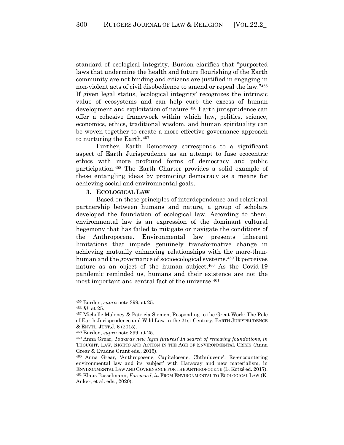standard of ecological integrity. Burdon clarifies that "purported laws that undermine the health and future flourishing of the Earth community are not binding and citizens are justified in engaging in non-violent acts of civil disobedience to amend or repeal the law."455 If given legal status, 'ecological integrity' recognizes the intrinsic value of ecosystems and can help curb the excess of human development and exploitation of nature.<sup>456</sup> Earth jurisprudence can offer a cohesive framework within which law, politics, science, economics, ethics, traditional wisdom, and human spirituality can be woven together to create a more effective governance approach to nurturing the Earth.457

Further, Earth Democracy corresponds to a significant aspect of Earth Jurisprudence as an attempt to fuse ecocentric ethics with more profound forms of democracy and public participation.458 The Earth Charter provides a solid example of these entangling ideas by promoting democracy as a means for achieving social and environmental goals.

## **3. ECOLOGICAL LAW**

Based on these principles of interdependence and relational partnership between humans and nature, a group of scholars developed the foundation of ecological law. According to them, environmental law is an expression of the dominant cultural hegemony that has failed to mitigate or navigate the conditions of the Anthropocene. Environmental law presents inherent limitations that impede genuinely transformative change in achieving mutually enhancing relationships with the more-thanhuman and the governance of socioecological systems.459 It perceives nature as an object of the human subject.460 As the Covid-19 pandemic reminded us, humans and their existence are not the most important and central fact of the universe.<sup>461</sup>

<sup>455</sup> Burdon, *supra* note 399, at 25.

<sup>456</sup> *Id*. at 25.

<sup>457</sup> Michelle Maloney & Patricia Siemen, Responding to the Great Work: The Role of Earth Jurisprudence and Wild Law in the 21st Century, EARTH JURISPRUDENCE & ENVTL. JUST.J. 6 (2015).

<sup>458</sup> Burdon, *supra* note 399, at 25.

<sup>459</sup> Anna Grear, *Towards new legal futures? In search of renewing foundations*, *in*  THOUGHT, LAW, RIGHTS AND ACTION IN THE AGE OF ENVIRONMENTAL CRISIS (Anna Grear & Evadne Grant eds., 2015).

<sup>460</sup> Anna Grear, 'Anthropocene, Capitalocene, Chthulucene': Re-encountering environmental law and its 'subject' with Haraway and new materialism, in ENVIRONMENTAL LAW AND GOVERNANCE FOR THE ANTHROPOCENE (L. Kotzé ed. 2017). <sup>461</sup> Klaus Bosselmann, *Foreword*, *in* FROM ENVIRONMENTAL TO ECOLOGICAL LAW (K. Anker, et al. eds., 2020).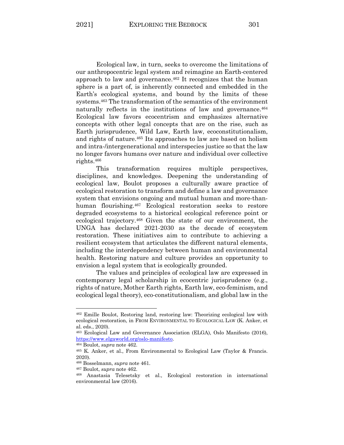Ecological law, in turn, seeks to overcome the limitations of our anthropocentric legal system and reimagine an Earth-centered approach to law and governance.462 It recognizes that the human sphere is a part of, is inherently connected and embedded in the Earth's ecological systems, and bound by the limits of these systems.463 The transformation of the semantics of the environment naturally reflects in the institutions of law and governance.<sup>464</sup> Ecological law favors ecocentrism and emphasizes alternative concepts with other legal concepts that are on the rise, such as Earth jurisprudence, Wild Law, Earth law, ecoconstitutionalism, and rights of nature.465 Its approaches to law are based on holism and intra-/intergenerational and interspecies justice so that the law no longer favors humans over nature and individual over collective rights.466

This transformation requires multiple perspectives, disciplines, and knowledges. Deepening the understanding of ecological law, Boulot proposes a culturally aware practice of ecological restoration to transform and define a law and governance system that envisions ongoing and mutual human and more-thanhuman flourishing.467 Ecological restoration seeks to restore degraded ecosystems to a historical ecological reference point or ecological trajectory.468 Given the state of our environment, the UNGA has declared 2021-2030 as the decade of ecosystem restoration. These initiatives aim to contribute to achieving a resilient ecosystem that articulates the different natural elements, including the interdependency between human and environmental health. Restoring nature and culture provides an opportunity to envision a legal system that is ecologically grounded.

The values and principles of ecological law are expressed in contemporary legal scholarship in ecocentric jurisprudence (e.g., rights of nature, Mother Earth rights, Earth law, eco-feminism, and ecological legal theory), eco-constitutionalism, and global law in the

<sup>462</sup> Emille Boulot, Restoring land, restoring law: Theorizing ecological law with ecological restoration, in FROM ENVIRONMENTAL TO ECOLOGICAL LAW (K. Anker, et al. eds., 2020).

<sup>463</sup> Ecological Law and Governance Association (ELGA), Oslo Manifesto (2016), https://www.elgaworld.org/oslo-manifesto. 464 Boulot, *supra* note 462. 465 K. Anker, et al., From Environmental to Ecological Law (Taylor & Francis.

<sup>2020).</sup>

<sup>466</sup> Bosselmann, *supra* note 461. 467 Boulot, *supra* note 462.

<sup>468</sup> Anastasia Telesetsky et al., Ecological restoration in international environmental law (2016).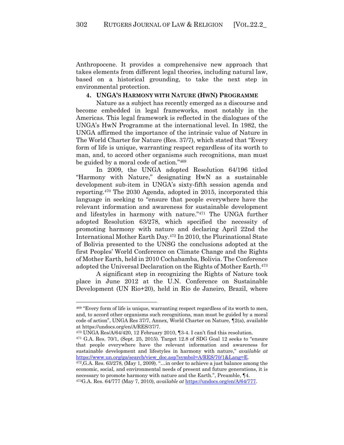Anthropocene. It provides a comprehensive new approach that takes elements from different legal theories, including natural law, based on a historical grounding, to take the next step in environmental protection.

## **4. UNGA'S HARMONY WITH NATURE (HWN) PROGRAMME**

Nature as a subject has recently emerged as a discourse and become embedded in legal frameworks, most notably in the Americas. This legal framework is reflected in the dialogues of the UNGA's HwN Programme at the international level. In 1982, the UNGA affirmed the importance of the intrinsic value of Nature in The World Charter for Nature (Res. 37/7), which stated that "Every form of life is unique, warranting respect regardless of its worth to man, and, to accord other organisms such recognitions, man must be guided by a moral code of action."469

In 2009, the UNGA adopted Resolution 64/196 titled "Harmony with Nature," designating HwN as a sustainable development sub-item in UNGA's sixty-fifth session agenda and reporting.470 The 2030 Agenda, adopted in 2015, incorporated this language in seeking to "ensure that people everywhere have the relevant information and awareness for sustainable development and lifestyles in harmony with nature."471 The UNGA further adopted Resolution 63/278, which specified the necessity of promoting harmony with nature and declaring April 22nd the International Mother Earth Day.472 In 2010, the Plurinational State of Bolivia presented to the UNSG the conclusions adopted at the first Peoples' World Conference on Climate Change and the Rights of Mother Earth, held in 2010 Cochabamba, Bolivia. The Conference adopted the Universal Declaration on the Rights of Mother Earth.473

A significant step in recognizing the Rights of Nature took place in June 2012 at the U.N. Conference on Sustainable Development (UN Rio+20), held in Rio de Janeiro, Brazil, where

<sup>469</sup> "Every form of life is unique, warranting respect regardless of its worth to men, and, to accord other organisms such recognitions, man must be guided by a moral code of action", UNGA Res 37/7, Annex, World Charter on Nature, ¶2(a), available at https://undocs.org/en/A/RES/37/7.

<sup>470</sup> UNGA Res/A/64/420, 12 February 2010, ¶3-4. I can't find this resolution.

 $471$  G.A. Res.  $70/1$ , (Sept. 25, 2015). Target 12.8 of SDG Goal 12 seeks to "ensure that people everywhere have the relevant information and awareness for sustainable development and lifestyles in harmony with nature," *available at* https://www.un.org/ga/search/view\_doc.asp?symbol= $A/RES/70/1&Lang-E.$ <sup>472</sup>,G.A. Res. 63/278, (May 1, 2009). "…in order to achieve a just balance among the

economic, social, and environmental needs of present and future generations, it is necessary to promote harmony with nature and the Earth.", Preamble, ¶4. 473G.A. Res. 64/777 (May 7, 2010), *available at* https://undocs.org/en/A/64/777.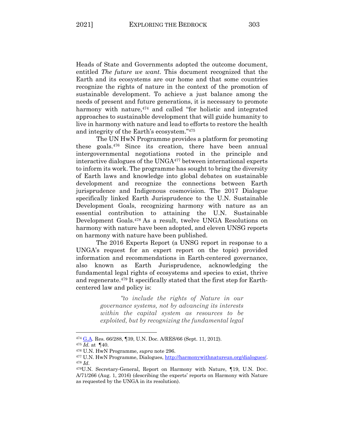Heads of State and Governments adopted the outcome document, entitled *The future we want*. This document recognized that the Earth and its ecosystems are our home and that some countries recognize the rights of nature in the context of the promotion of sustainable development. To achieve a just balance among the needs of present and future generations, it is necessary to promote harmony with nature,<sup>474</sup> and called "for holistic and integrated approaches to sustainable development that will guide humanity to live in harmony with nature and lead to efforts to restore the health and integrity of the Earth's ecosystem."475

The UN HwN Programme provides a platform for promoting these goals.476 Since its creation, there have been annual intergovernmental negotiations rooted in the principle and interactive dialogues of the UNGA477 between international experts to inform its work. The programme has sought to bring the diversity of Earth laws and knowledge into global debates on sustainable development and recognize the connections between Earth jurisprudence and Indigenous cosmovision. The 2017 Dialogue specifically linked Earth Jurisprudence to the U.N. Sustainable Development Goals, recognizing harmony with nature as an essential contribution to attaining the U.N. Sustainable Development Goals.478 As a result, twelve UNGA Resolutions on harmony with nature have been adopted, and eleven UNSG reports on harmony with nature have been published.

The 2016 Experts Report (a UNSG report in response to a UNGA's request for an expert report on the topic) provided information and recommendations in Earth-centered governance, also known as Earth Jurisprudence, acknowledging the fundamental legal rights of ecosystems and species to exist, thrive and regenerate.479 It specifically stated that the first step for Earthcentered law and policy is:

> *"to include the rights of Nature in our governance systems, not by advancing its interests within the capital system as resources to be exploited, but by recognizing the fundamental legal*

<sup>&</sup>lt;sup>474</sup> G.A. Res. 66/288, ¶39, U.N. Doc. A/RES/66 (Sept. 11, 2012).<br><sup>475</sup> *Id.* at ¶40.

<sup>476</sup> U.N. HwN Programme, *supra* note 296. 477 U.N. HwN Programme, Dialogues, http://harmonywithnatureun.org/dialogues/. 478 *Id*.

<sup>479</sup>U.N. Secretary-General, Report on Harmony with Nature, ¶19, U.N. DOC. A/71/266 (Aug. 1, 2016) (describing the experts' reports on Harmony with Nature as requested by the UNGA in its resolution).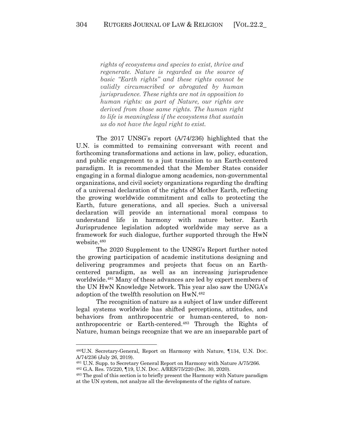*rights of ecosystems and species to exist, thrive and regenerate. Nature is regarded as the source of basic "Earth rights" and these rights cannot be validly circumscribed or abrogated by human jurisprudence. These rights are not in opposition to human rights: as part of Nature, our rights are derived from those same rights. The human right to life is meaningless if the ecosystems that sustain us do not have the legal right to exist.*

The 2017 UNSG's report (A/74/236) highlighted that the U.N. is committed to remaining conversant with recent and forthcoming transformations and actions in law, policy, education, and public engagement to a just transition to an Earth-centered paradigm. It is recommended that the Member States consider engaging in a formal dialogue among academics, non-governmental organizations, and civil society organizations regarding the drafting of a universal declaration of the rights of Mother Earth, reflecting the growing worldwide commitment and calls to protecting the Earth, future generations, and all species. Such a universal declaration will provide an international moral compass to understand life in harmony with nature better. Earth Jurisprudence legislation adopted worldwide may serve as a framework for such dialogue, further supported through the HwN website.480

The 2020 Supplement to the UNSG's Report further noted the growing participation of academic institutions designing and delivering programmes and projects that focus on an Earthcentered paradigm, as well as an increasing jurisprudence worldwide.481 Many of these advances are led by expert members of the UN HwN Knowledge Network. This year also saw the UNGA's adoption of the twelfth resolution on HwN.482

The recognition of nature as a subject of law under different legal systems worldwide has shifted perceptions, attitudes, and behaviors from anthropocentric or human-centered, to nonanthropocentric or Earth-centered.483 Through the Rights of Nature, human beings recognize that we are an inseparable part of

<sup>480</sup>U.N. Secretary-General, Report on Harmony with Nature, ¶134, U.N. DOC. A/74/236 (July 26, 2019).

<sup>481</sup> U.N. Supp. to Secretary General Report on Harmony with Nature A/75/266.

<sup>&</sup>lt;sup>482</sup> G.A. Res. 75/220,  $\P$ 19, U.N. Doc. A/RES/75/220 (Dec. 30, 2020).<br><sup>483</sup> The goal of this section is to briefly present the Harmony with Nature paradigm at the UN system, not analyze all the developments of the rights of nature.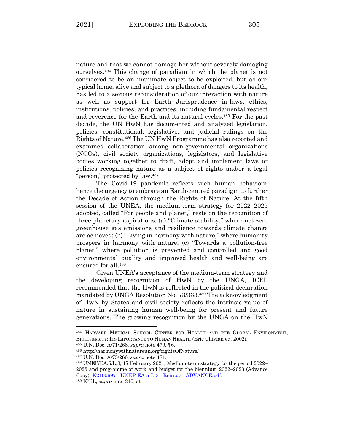nature and that we cannot damage her without severely damaging ourselves.484 This change of paradigm in which the planet is not considered to be an inanimate object to be exploited, but as our typical home, alive and subject to a plethora of dangers to its health, has led to a serious reconsideration of our interaction with nature as well as support for Earth Jurisprudence in-laws, ethics, institutions, policies, and practices, including fundamental respect and reverence for the Earth and its natural cycles.485 For the past decade, the UN HwN has documented and analyzed legislation, policies, constitutional, legislative, and judicial rulings on the Rights of Nature.486 The UN HwN Programme has also reported and examined collaboration among non-governmental organizations (NGOs), civil society organizations, legislators, and legislative bodies working together to draft, adopt and implement laws or policies recognizing nature as a subject of rights and/or a legal "person," protected by law.487

The Covid-19 pandemic reflects such human behaviour hence the urgency to embrace an Earth-centred paradigm to further the Decade of Action through the Rights of Nature. At the fifth session of the UNEA, the medium-term strategy for 2022–2025 adopted, called "For people and planet," rests on the recognition of three planetary aspirations: (a) "Climate stability," where net-zero greenhouse gas emissions and resilience towards climate change are achieved; (b) "Living in harmony with nature," where humanity prospers in harmony with nature; (c) "Towards a pollution-free planet," where pollution is prevented and controlled and good environmental quality and improved health and well-being are ensured for all.488

Given UNEA's acceptance of the medium-term strategy and the developing recognition of HwN by the UNGA, ICEL recommended that the HwN is reflected in the political declaration mandated by UNGA Resolution No. 73/333.489 The acknowledgment of HwN by States and civil society reflects the intrinsic value of nature in sustaining human well-being for present and future generations. The growing recognition by the UNGA on the HwN

<sup>484</sup> HARVARD MEDICAL SCHOOL CENTER FOR HEALTH AND THE GLOBAL ENVIRONMENT, BIODIVERSITY: ITS IMPORTANCE TO HUMAN HEALTH (Eric Chivian ed. 2002).

<sup>485</sup> U.N. Doc. A/71/266, *supra* note 479, ¶6.

<sup>486</sup> http://harmonywithnatureun.org/rightsOfNature/

<sup>487</sup> U.N. Doc. A/75/266, *supra* note 481.

<sup>488</sup> UNEP/EA.5/L.3, 17 February 2021, Medium-term strategy for the period 2022– 2025 and programme of work and budget for the biennium 2022–2023 (Advance Copy), K2100697 - UNEP-EA-5-L-3 - Reissue - ADVANCE.pdf.

<sup>489</sup> ICEL, *supra* note 310, at 1.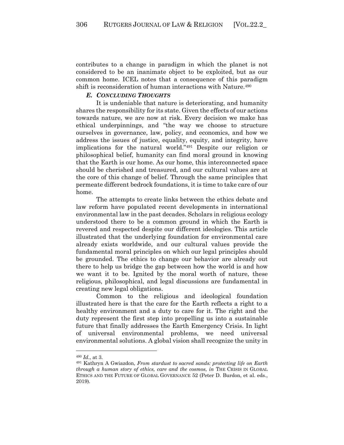contributes to a change in paradigm in which the planet is not considered to be an inanimate object to be exploited, but as our common home. ICEL notes that a consequence of this paradigm shift is reconsideration of human interactions with Nature.<sup>490</sup>

## *E. CONCLUDING THOUGHTS*

It is undeniable that nature is deteriorating, and humanity shares the responsibility for its state. Given the effects of our actions towards nature, we are now at risk. Every decision we make has ethical underpinnings, and "the way we choose to structure ourselves in governance, law, policy, and economics, and how we address the issues of justice, equality, equity, and integrity, have implications for the natural world."491 Despite our religion or philosophical belief, humanity can find moral ground in knowing that the Earth is our home. As our home, this interconnected space should be cherished and treasured, and our cultural values are at the core of this change of belief. Through the same principles that permeate different bedrock foundations, it is time to take care of our home.

The attempts to create links between the ethics debate and law reform have populated recent developments in international environmental law in the past decades. Scholars in religious ecology understood there to be a common ground in which the Earth is revered and respected despite our different ideologies. This article illustrated that the underlying foundation for environmental care already exists worldwide, and our cultural values provide the fundamental moral principles on which our legal principles should be grounded. The ethics to change our behavior are already out there to help us bridge the gap between how the world is and how we want it to be. Ignited by the moral worth of nature, these religious, philosophical, and legal discussions are fundamental in creating new legal obligations.

Common to the religious and ideological foundation illustrated here is that the care for the Earth reflects a right to a healthy environment and a duty to care for it. The right and the duty represent the first step into propelling us into a sustainable future that finally addresses the Earth Emergency Crisis. In light of universal environmental problems, we need universal environmental solutions. A global vision shall recognize the unity in

<sup>&</sup>lt;sup>490</sup> *Id.*, at 3.<br><sup>491</sup> Kathryn A Gwiazdon, *From stardust to sacred sands: protecting life on Earth through a human story of ethics, care and the cosmos*, *in* THE CRISIS IN GLOBAL ETHICS AND THE FUTURE OF GLOBAL GOVERNANCE 52 (Peter D. Burdon, et al. eds., 2019).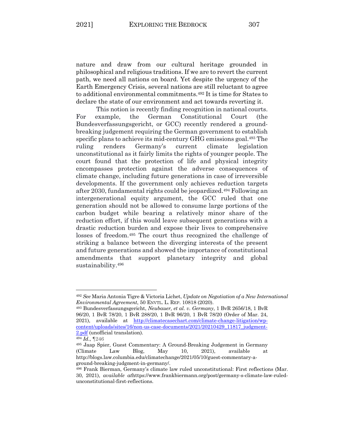nature and draw from our cultural heritage grounded in philosophical and religious traditions. If we are to revert the current path, we need all nations on board. Yet despite the urgency of the Earth Emergency Crisis, several nations are still reluctant to agree to additional environmental commitments.492 It is time for States to declare the state of our environment and act towards reverting it.

This notion is recently finding recognition in national courts. For example, the German Constitutional Court (the Bundesverfassungsgericht, or GCC) recently rendered a groundbreaking judgement requiring the German government to establish specific plans to achieve its mid-century GHG emissions goal.493 The ruling renders Germany's current climate legislation unconstitutional as it fairly limits the rights of younger people. The court found that the protection of life and physical integrity encompasses protection against the adverse consequences of climate change, including future generations in case of irreversible developments. If the government only achieves reduction targets after 2030, fundamental rights could be jeopardized.494 Following an intergenerational equity argument, the GCC ruled that one generation should not be allowed to consume large portions of the carbon budget while bearing a relatively minor share of the reduction effort, if this would leave subsequent generations with a drastic reduction burden and expose their lives to comprehensive losses of freedom.495 The court thus recognized the challenge of striking a balance between the diverging interests of the present and future generations and showed the importance of constitutional amendments that support planetary integrity and global sustainability.<sup>496</sup>

<sup>492</sup> *See* Maria Antonia Tigre & Victoria Lichet, *Update on Negotiation of a New International Environmental Agreement*, 50 ENVTL. L. REP. 10818 (2020).

<sup>493</sup> Bundesverfassungsgericht, *Neubauer, et al. v. Germany*, 1 BvR 2656/18, 1 BvR 96/20, 1 BvR 78/20, 1 BvR 288/20, 1 BvR 96/20, 1 BvR 78/20 (Order of Mar. 24, 2021), available at http://climatecasechart.com/climate-change-litigation/wpcontent/uploads/sites/16/non-us-case-documents/2021/20210429\_11817\_judgment-2.pdf (unofficial translation). 494 *Id*., ¶246

<sup>495</sup> Jaap Spier, Guest Commentary: A Ground-Breaking Judgement in Germany (Climate Law Blog, May 10, 2021), available at http://blogs.law.columbia.edu/climatechange/2021/05/10/guest-commentary-aground-breaking-judgment-in-germany/.<br><sup>496</sup> Frank Bierman, Germany's climate law ruled unconstitutional: First reflections (Mar.

<sup>30, 2021),</sup> *available at*https://www.frankbiermann.org/post/germany-s-climate-law-ruledunconstitutional-first-reflections.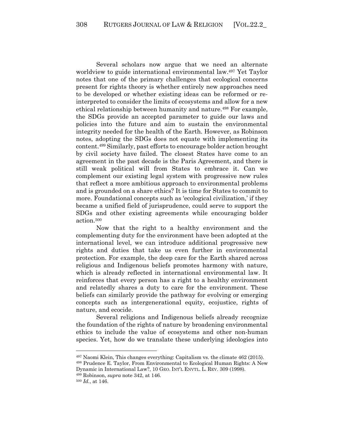Several scholars now argue that we need an alternate worldview to guide international environmental law.497 Yet Taylor notes that one of the primary challenges that ecological concerns present for rights theory is whether entirely new approaches need to be developed or whether existing ideas can be reformed or reinterpreted to consider the limits of ecosystems and allow for a new ethical relationship between humanity and nature.498 For example, the SDGs provide an accepted parameter to guide our laws and policies into the future and aim to sustain the environmental integrity needed for the health of the Earth. However, as Robinson notes, adopting the SDGs does not equate with implementing its content.499 Similarly, past efforts to encourage bolder action brought by civil society have failed. The closest States have come to an agreement in the past decade is the Paris Agreement, and there is still weak political will from States to embrace it. Can we complement our existing legal system with progressive new rules that reflect a more ambitious approach to environmental problems and is grounded on a share ethics? It is time for States to commit to more. Foundational concepts such as 'ecological civilization,' if they became a unified field of jurisprudence, could serve to support the SDGs and other existing agreements while encouraging bolder action. 500

Now that the right to a healthy environment and the complementing duty for the environment have been adopted at the international level, we can introduce additional progressive new rights and duties that take us even further in environmental protection. For example, the deep care for the Earth shared across religious and Indigenous beliefs promotes harmony with nature, which is already reflected in international environmental law. It reinforces that every person has a right to a healthy environment and relatedly shares a duty to care for the environment. These beliefs can similarly provide the pathway for evolving or emerging concepts such as intergenerational equity, ecojustice, rights of nature, and ecocide.

Several religions and Indigenous beliefs already recognize the foundation of the rights of nature by broadening environmental ethics to include the value of ecosystems and other non-human species. Yet, how do we translate these underlying ideologies into

<sup>497</sup> Naomi Klein, This changes everything: Capitalism vs. the climate 462 (2015).

<sup>498</sup> Prudence E. Taylor, From Environmental to Ecological Human Rights: A New Dynamic in International Law?, 10 GEO. INT'L ENVTL. L. REV. 309 (1998).

<sup>499</sup> Robinson, *supra* note 342, at 146.

<sup>500</sup> *Id.*, at 146.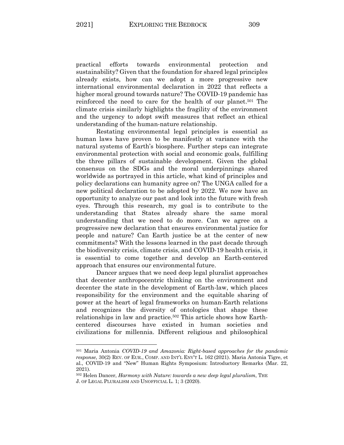practical efforts towards environmental protection and sustainability? Given that the foundation for shared legal principles already exists, how can we adopt a more progressive new international environmental declaration in 2022 that reflects a higher moral ground towards nature? The COVID-19 pandemic has reinforced the need to care for the health of our planet.501 The climate crisis similarly highlights the fragility of the environment and the urgency to adopt swift measures that reflect an ethical understanding of the human-nature relationship.

Restating environmental legal principles is essential as human laws have proven to be manifestly at variance with the natural systems of Earth's biosphere. Further steps can integrate environmental protection with social and economic goals, fulfilling the three pillars of sustainable development. Given the global consensus on the SDGs and the moral underpinnings shared worldwide as portrayed in this article, what kind of principles and policy declarations can humanity agree on? The UNGA called for a new political declaration to be adopted by 2022. We now have an opportunity to analyze our past and look into the future with fresh eyes. Through this research, my goal is to contribute to the understanding that States already share the same moral understanding that we need to do more. Can we agree on a progressive new declaration that ensures environmental justice for people and nature? Can Earth justice be at the center of new commitments? With the lessons learned in the past decade through the biodiversity crisis, climate crisis, and COVID-19 health crisis, it is essential to come together and develop an Earth-centered approach that ensures our environmental future.

Dancer argues that we need deep legal pluralist approaches that decenter anthropocentric thinking on the environment and decenter the state in the development of Earth-law, which places responsibility for the environment and the equitable sharing of power at the heart of legal frameworks on human-Earth relations and recognizes the diversity of ontologies that shape these relationships in law and practice.<sup>502</sup> This article shows how Earthcentered discourses have existed in human societies and civilizations for millennia. Different religious and philosophical

<sup>501</sup> Maria Antonia *COVID-19 and Amazonia: Right-based approaches for the pandemic response*, 30(2) REV. OF EUR., COMP. AND INT'L ENV'T L. 162 (2021). Maria Antonia Tigre, et al., COVID-19 and "New" Human Rights Symposium: Introductory Remarks (Mar. 22, 2021).

<sup>502</sup> Helen Dancer, *Harmony with Nature: towards a new deep legal pluralism*, THE J. OF LEGAL PLURALISM AND UNOFFICIAL L. 1; 3 (2020).